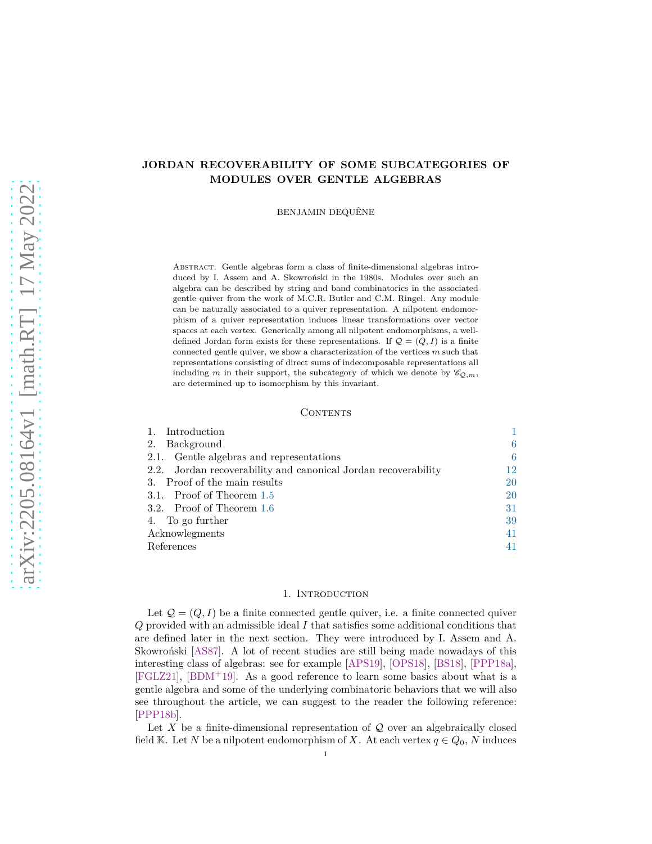# **JORDAN RECOVERABILITY OF SOME SUBCATEGORIES OF MODULES OVER GENTLE ALGEBRAS**

BENJAMIN DEQUÊNE

Abstract. Gentle algebras form a class of finite-dimensional algebras introduced by I. Assem and A. Skowronski in the 1980s. Modules over such an algebra can be described by string and band combinatorics in the associated gentle quiver from the work of M.C.R. Butler and C.M. Ringel. Any module can be naturally associated to a quiver representation. A nilpotent endomorphism of a quiver representation induces linear transformations over vector spaces at each vertex. Generically among all nilpotent endomorphisms, a welldefined Jordan form exists for these representations. If  $\mathcal{Q} = (Q, I)$  is a finite connected gentle quiver, we show a characterization of the vertices *m* such that representations consisting of direct sums of indecomposable representations all including *m* in their support, the subcategory of which we denote by  $\mathscr{C}_{\mathcal{Q},m}$ , are determined up to isomorphism by this invariant.

#### **CONTENTS**

| Introduction                                                   |    |
|----------------------------------------------------------------|----|
| Background<br>2.                                               | 6  |
| 2.1. Gentle algebras and representations                       | 6  |
| 2.2. Jordan recoverability and canonical Jordan recoverability | 12 |
| 3. Proof of the main results                                   | 20 |
| 3.1. Proof of Theorem 1.5                                      | 20 |
| 3.2. Proof of Theorem 1.6                                      | 31 |
| 4. To go further                                               | 39 |
| Acknowlegments                                                 | 41 |
| References                                                     | 41 |

## 1. INTRODUCTION

<span id="page-0-0"></span>Let  $\mathcal{Q} = (Q, I)$  be a finite connected gentle quiver, i.e. a finite connected quiver *Q* provided with an admissible ideal *I* that satisfies some additional conditions that are defined later in the next section. They were introduced by I. Assem and A. Skowron'ski [\[AS87\]](#page-40-2). A lot of recent studies are still being made nowadays of this interesting class of algebras: see for example [\[APS19\]](#page-40-3), [\[OPS18\]](#page-40-4), [\[BS18\]](#page-40-5), [\[PPP18a\]](#page-40-6), [\[FGLZ21\]](#page-40-7), [\[BDM](#page-40-8)<sup>+</sup>19]. As a good reference to learn some basics about what is a gentle algebra and some of the underlying combinatoric behaviors that we will also see throughout the article, we can suggest to the reader the following reference: [\[PPP18b\]](#page-40-9).

Let X be a finite-dimensional representation of Q over an algebraically closed field K. Let *N* be a nilpotent endomorphism of *X*. At each vertex  $q \in Q_0$ , *N* induces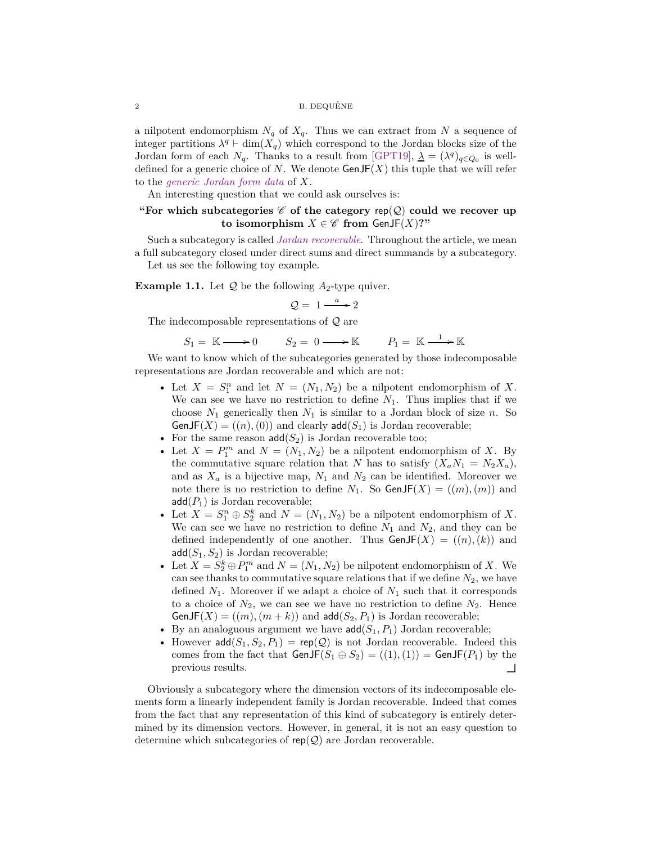a nilpotent endomorphism  $N_q$  of  $X_q$ . Thus we can extract from N a sequence of integer partitions  $\lambda^q$  ⊢ dim( $X_q$ ) which correspond to the Jordan blocks size of the Jordan form of each  $N_q$ . Thanks to a result from [\[GPT19\]](#page-40-10),  $\lambda = (\lambda^q)_{q \in Q_0}$  is welldefined for a generic choice of *N*. We denote  $\mathsf{GenJF}(X)$  this tuple that we will refer to the *generic Jordan form data* of *X*.

An interesting question that we could ask ourselves is:

# **"For which subcategories**  $\mathscr C$  of the category rep( $\mathscr Q$ ) could we recover up **to isomorphism** *X* ∈  $\mathscr{C}$  **from** GenJF(*X*)?"

Such a subcategory is called *Jordan recoverable*. Throughout the article, we mean a full subcategory closed under direct sums and direct summands by a subcategory. Let us see the following toy example.

<span id="page-1-0"></span>**Example 1.1.** Let  $Q$  be the following  $A_2$ -type quiver.

$$
Q = 1 \xrightarrow{a} 2
$$

The indecomposable representations of Q are

$$
S_1 = \mathbb{K} \longrightarrow 0 \qquad S_2 = 0 \longrightarrow \mathbb{K} \qquad P_1 = \mathbb{K} \longrightarrow \mathbb{K}
$$

We want to know which of the subcategories generated by those indecomposable representations are Jordan recoverable and which are not:

- Let  $X = S_1^n$  and let  $N = (N_1, N_2)$  be a nilpotent endomorphism of X. We can see we have no restriction to define  $N_1$ . Thus implies that if we choose  $N_1$  generically then  $N_1$  is similar to a Jordan block of size  $n$ . So  $\mathsf{GenJF}(X) = ((n), (0))$  and clearly  $\mathsf{add}(S_1)$  is Jordan recoverable;
- For the same reason  $add(S_2)$  is Jordan recoverable too;
- Let  $X = P_1^m$  and  $N = (N_1, N_2)$  be a nilpotent endomorphism of X. By the commutative square relation that *N* has to satisfy  $(X_a N_1 = N_2 X_a)$ , and as  $X_a$  is a bijective map,  $N_1$  and  $N_2$  can be identified. Moreover we note there is no restriction to define  $N_1$ . So  $\text{GenJF}(X) = ((m),(m))$  and  $add(P_1)$  is Jordan recoverable;
- Let  $X = S_1^n \oplus S_2^k$  and  $N = (N_1, N_2)$  be a nilpotent endomorphism of X. We can see we have no restriction to define  $N_1$  and  $N_2$ , and they can be defined independently of one another. Thus  $GenJF(X) = ((n),(k))$  and add(*S*1*, S*2) is Jordan recoverable;
- Let  $X = S_2^k \oplus P_1^m$  and  $N = (N_1, N_2)$  be nilpotent endomorphism of *X*. We can see thanks to commutative square relations that if we define  $N_2$ , we have defined  $N_1$ . Moreover if we adapt a choice of  $N_1$  such that it corresponds to a choice of  $N_2$ , we can see we have no restriction to define  $N_2$ . Hence GenJF( $X$ ) = ((*m*), ( $m + k$ )) and add( $S_2, P_1$ ) is Jordan recoverable;
- By an analoguous argument we have  $\text{add}(S_1, P_1)$  Jordan recoverable;
- However  $\text{add}(S_1, S_2, P_1) = \text{rep}(\mathcal{Q})$  is not Jordan recoverable. Indeed this comes from the fact that  $GenJF(S_1 \oplus S_2) = ((1), (1)) = GenJF(P_1)$  by the previous results.

Obviously a subcategory where the dimension vectors of its indecomposable elements form a linearly independent family is Jordan recoverable. Indeed that comes from the fact that any representation of this kind of subcategory is entirely determined by its dimension vectors. However, in general, it is not an easy question to determine which subcategories of  $rep(Q)$  are Jordan recoverable.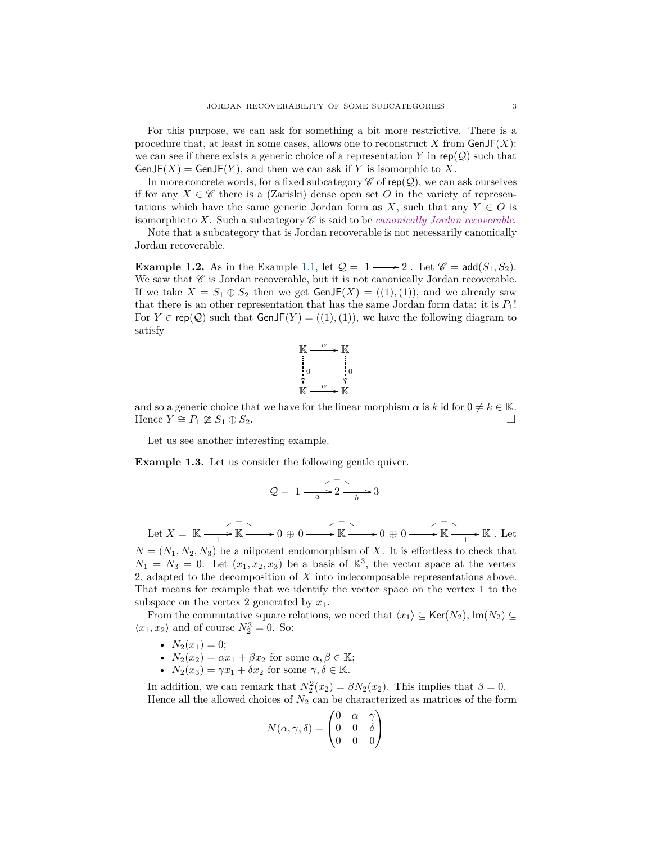For this purpose, we can ask for something a bit more restrictive. There is a procedure that, at least in some cases, allows one to reconstruct  $X$  from  $GenJF(X)$ : we can see if there exists a generic choice of a representation  $Y$  in rep( $Q$ ) such that  $\mathsf{GenJF}(X) = \mathsf{GenJF}(Y)$ , and then we can ask if Y is isomorphic to X.

In more concrete words, for a fixed subcategory  $\mathscr C$  of rep( $\mathcal Q$ ), we can ask ourselves if for any  $X \in \mathscr{C}$  there is a (Zariski) dense open set O in the variety of representations which have the same generic Jordan form as *X*, such that any  $Y \in O$  is isomorphic to  $X$ . Such a subcategory  $\mathscr C$  is said to be *canonically Jordan recoverable*.

Note that a subcategory that is Jordan recoverable is not necessarily canonically Jordan recoverable.

<span id="page-2-0"></span>**Example 1.2.** As in the Example [1.1,](#page-1-0) let  $Q = 1 \longrightarrow 2$ . Let  $\mathscr{C} = \text{add}(S_1, S_2)$ . We saw that  $\mathscr C$  is Jordan recoverable, but it is not canonically Jordan recoverable. If we take  $X = S_1 \oplus S_2$  then we get  $GenJF(X) = ((1), (1))$ , and we already saw that there is an other representation that has the same Jordan form data: it is *P*1! For  $Y \in \text{rep}(\mathcal{Q})$  such that  $\text{GenJF}(Y) = ((1), (1))$ , we have the following diagram to satisfy



and so a generic choice that we have for the linear morphism  $\alpha$  is  $k$  id for  $0 \neq k \in \mathbb{K}$ .<br>Hence  $Y \cong P_1 \ncong S_1 \oplus S_2$ .

Let us see another interesting example.

<span id="page-2-1"></span>**Example 1.3.** Let us consider the following gentle quiver.

$$
Q = 1 - \frac{2}{a} \div 2 \xrightarrow{b} 3
$$

Let  $X = \mathbb{K} \xrightarrow[1]{ } \mathbb{K}$  $\overline{\mathbb{K}} \longrightarrow 0 \oplus 0 \longrightarrow \overline{\mathbb{K}} \longrightarrow$  $\overline{\mathbb{K}} \longrightarrow 0 \oplus 0 \longrightarrow \overline{\mathbb{K}} \longrightarrow$  $\mathbb{K} \longrightarrow \mathbb{K}$ . Let

 $N = (N_1, N_2, N_3)$  be a nilpotent endomorphism of *X*. It is effortless to check that  $N_1 = N_3 = 0$ . Let  $(x_1, x_2, x_3)$  be a basis of  $\mathbb{K}^3$ , the vector space at the vertex 2, adapted to the decomposition of *X* into indecomposable representations above. That means for example that we identify the vector space on the vertex 1 to the subspace on the vertex 2 generated by *x*1.

From the commutative square relations, we need that  $\langle x_1 \rangle \subseteq \text{Ker}(N_2)$ ,  $\text{Im}(N_2) \subseteq$  $\langle x_1, x_2 \rangle$  and of course  $N_2^3 = 0$ . So:

- $N_2(x_1) = 0;$
- $N_2(x_2) = \alpha x_1 + \beta x_2$  for some  $\alpha, \beta \in \mathbb{K}$ ;
- $N_2(x_3) = \gamma x_1 + \delta x_2$  for some  $\gamma, \delta \in \mathbb{K}$ .

In addition, we can remark that  $N_2^2(x_2) = \beta N_2(x_2)$ . This implies that  $\beta = 0$ . Hence all the allowed choices of  $N_2$  can be characterized as matrices of the form

$$
N(\alpha, \gamma, \delta) = \begin{pmatrix} 0 & \alpha & \gamma \\ 0 & 0 & \delta \\ 0 & 0 & 0 \end{pmatrix}
$$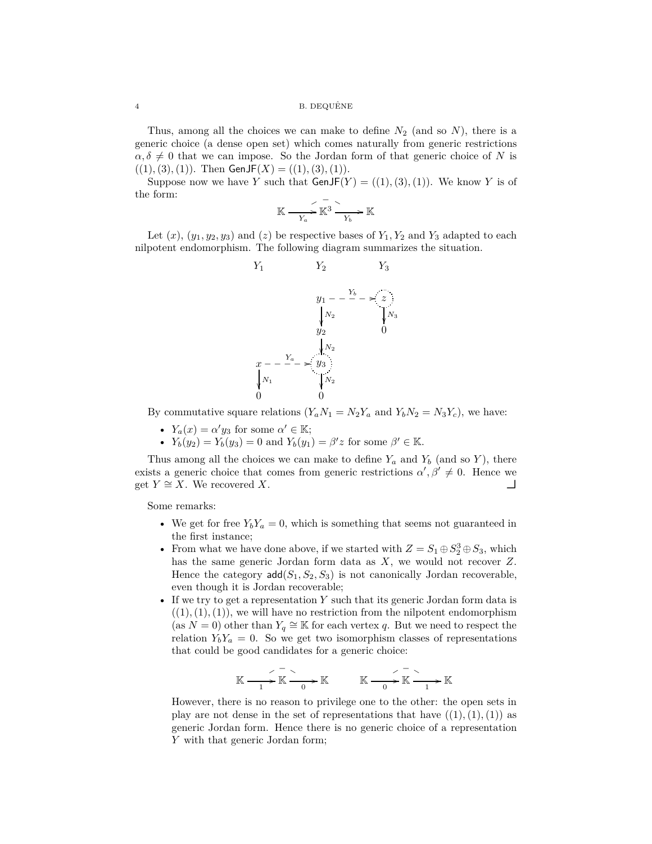## $\,$  B. DEQUÊNE  $\,$  B. DEQUÊNE

Thus, among all the choices we can make to define *N*<sup>2</sup> (and so *N*), there is a generic choice (a dense open set) which comes naturally from generic restrictions  $\alpha, \delta \neq 0$  that we can impose. So the Jordan form of that generic choice of *N* is  $((1), (3), (1))$ . Then GenJF $(X) = ((1), (3), (1))$ .

Suppose now we have *Y* such that  $GenJF(Y) = ((1), (3), (1))$ . We know *Y* is of the form:

$$
\mathbb{K} \xrightarrow{f \ X_a} \mathbb{K}^3 \xrightarrow{f \ Y_b} \mathbb{K}
$$

Let  $(x)$ ,  $(y_1, y_2, y_3)$  and  $(z)$  be respective bases of  $Y_1, Y_2$  and  $Y_3$  adapted to each nilpotent endomorphism. The following diagram summarizes the situation.



By commutative square relations  $(Y_a N_1 = N_2 Y_a$  and  $Y_b N_2 = N_3 Y_c)$ , we have:

- $Y_a(x) = \alpha' y_3$  for some  $\alpha' \in \mathbb{K}$ ;
- $Y_b(y_2) = Y_b(y_3) = 0$  and  $Y_b(y_1) = \beta' z$  for some  $\beta' \in \mathbb{K}$ .

Thus among all the choices we can make to define  $Y_a$  and  $Y_b$  (and so  $Y$ ), there exists a generic choice that comes from generic restrictions  $\alpha', \beta' \neq 0$ . Hence we get *Y* ≃ *X*. We recovered *X*.

Some remarks:

- We get for free  $Y_b Y_a = 0$ , which is something that seems not guaranteed in the first instance;
- From what we have done above, if we started with  $Z = S_1 \oplus S_2^3 \oplus S_3$ , which has the same generic Jordan form data as *X*, we would not recover *Z*. Hence the category  $\text{add}(S_1, S_2, S_3)$  is not canonically Jordan recoverable, even though it is Jordan recoverable;
- If we try to get a representation *Y* such that its generic Jordan form data is  $((1), (1), (1))$ , we will have no restriction from the nilpotent endomorphism (as  $N = 0$ ) other than  $Y_q \cong K$  for each vertex *q*. But we need to respect the relation  $Y_bY_a = 0$ . So we get two isomorphism classes of representations that could be good candidates for a generic choice:

$$
\mathbb{K} \xrightarrow{1} \mathbb{K} \xrightarrow{0} \mathbb{K} \longrightarrow \mathbb{K} \xrightarrow{0} \mathbb{K} \xrightarrow{0} \mathbb{K} \xrightarrow{1} \mathbb{K}
$$

However, there is no reason to privilege one to the other: the open sets in play are not dense in the set of representations that have  $((1), (1), (1))$  as generic Jordan form. Hence there is no generic choice of a representation *Y* with that generic Jordan form;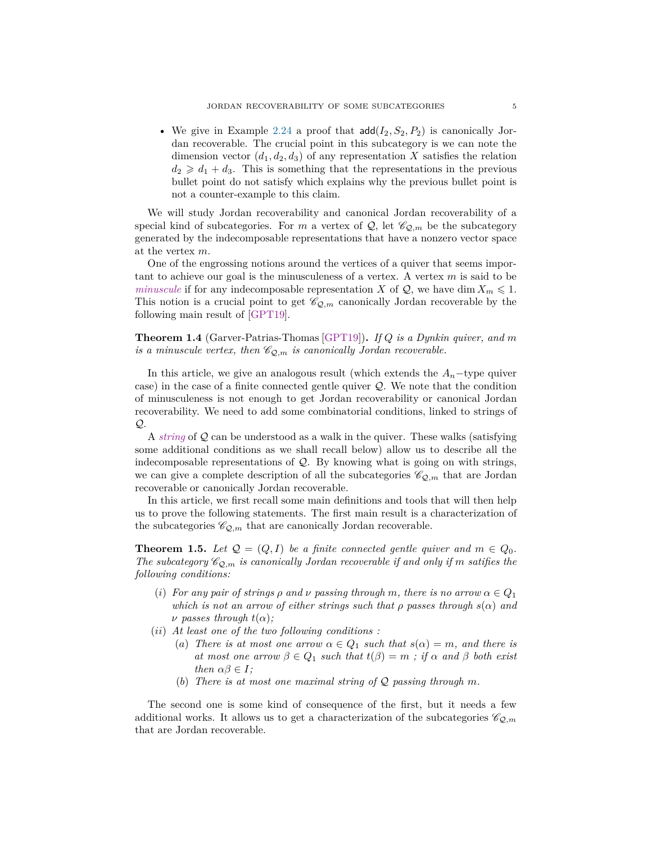• We give in Example [2.24](#page-14-0) a proof that  $\text{add}(I_2, S_2, P_2)$  is canonically Jordan recoverable. The crucial point in this subcategory is we can note the dimension vector  $(d_1, d_2, d_3)$  of any representation X satisfies the relation  $d_2 \geq d_1 + d_3$ . This is something that the representations in the previous bullet point do not satisfy which explains why the previous bullet point is not a counter-example to this claim.

We will study Jordan recoverability and canonical Jordan recoverability of a special kind of subcategories. For *m* a vertex of  $Q$ , let  $\mathscr{C}_{Q,m}$  be the subcategory generated by the indecomposable representations that have a nonzero vector space at the vertex *m*.

One of the engrossing notions around the vertices of a quiver that seems important to achieve our goal is the minusculeness of a vertex. A vertex *m* is said to be *minuscule* if for any indecomposable representation *X* of  $Q$ , we have dim  $X_m \leq 1$ . This notion is a crucial point to get  $\mathcal{C}_{Q,m}$  canonically Jordan recoverable by the following main result of [\[GPT19\]](#page-40-10).

**Theorem 1.4** (Garver-Patrias-Thomas [\[GPT19\]](#page-40-10))**.** *If Q is a Dynkin quiver, and m is a minuscule vertex, then*  $\mathcal{C}_{\mathcal{Q},m}$  *is canonically Jordan recoverable.* 

In this article, we give an analogous result (which extends the  $A_n$ -type quiver case) in the case of a finite connected gentle quiver Q. We note that the condition of minusculeness is not enough to get Jordan recoverability or canonical Jordan recoverability. We need to add some combinatorial conditions, linked to strings of Q.

A *string* of Q can be understood as a walk in the quiver. These walks (satisfying some additional conditions as we shall recall below) allow us to describe all the indecomposable representations of Q. By knowing what is going on with strings, we can give a complete description of all the subcategories  $\mathscr{C}_{\mathcal{Q},m}$  that are Jordan recoverable or canonically Jordan recoverable.

In this article, we first recall some main definitions and tools that will then help us to prove the following statements. The first main result is a characterization of the subcategories  $\mathscr{C}_{\mathcal{Q},m}$  that are canonically Jordan recoverable.

<span id="page-4-0"></span>**Theorem 1.5.** Let  $Q = (Q, I)$  be a finite connected gentle quiver and  $m \in Q_0$ . *The subcategory*  $\mathcal{C}_{Q,m}$  *is canonically Jordan recoverable if and only if m satifies the following conditions:*

- (*i*) For any pair of strings  $\rho$  and  $\nu$  passing through m, there is no arrow  $\alpha \in Q_1$ *which is not an arrow of either strings such that*  $\rho$  *passes through*  $s(\alpha)$  *and*  $\nu$  *passes through*  $t(\alpha)$ *;*
- (*ii*) *At least one of the two following conditions :*
	- (*a*) *There is at most one arrow*  $\alpha \in Q_1$  *such that*  $s(\alpha) = m$ *, and there is at most one arrow*  $\beta \in Q_1$  *such that*  $t(\beta) = m$  *; if*  $\alpha$  *and*  $\beta$  *both exist then*  $\alpha\beta \in I$ *;*
	- (*b*) *There is at most one maximal string of* Q *passing through m.*

The second one is some kind of consequence of the first, but it needs a few additional works. It allows us to get a characterization of the subcategories  $\mathscr{C}_{\mathcal{Q},m}$ that are Jordan recoverable.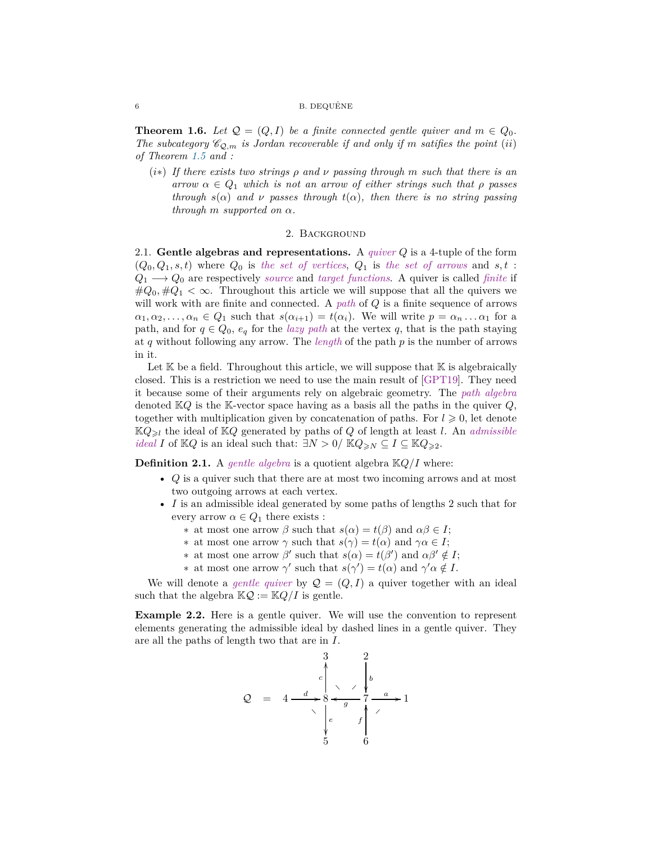## 6 B. DEQUÊNE

<span id="page-5-2"></span>**Theorem 1.6.** *Let*  $Q = (Q, I)$  *be a finite connected gentle quiver and*  $m \in Q_0$ *. The subcategory*  $\mathcal{C}_{\mathcal{Q},m}$  *is Jordan recoverable if and only if m satifies the point* (*ii*) *of Theorem [1.5](#page-4-0) and :*

(*i*∗) *If there exists two strings ρ and ν passing through m such that there is an arrow*  $\alpha \in Q_1$  *which is not an arrow of either strings such that*  $\rho$  *passes through*  $s(\alpha)$  *and*  $\nu$  *passes through*  $t(\alpha)$ *, then there is no string passing through m supported on α.*

## 2. Background

<span id="page-5-1"></span><span id="page-5-0"></span>2.1. **Gentle algebras and representations.** A *quiver Q* is a 4-tuple of the form  $(Q_0, Q_1, s, t)$  where  $Q_0$  is the set of vertices,  $Q_1$  is the set of arrows and  $s, t$ :  $Q_1 \longrightarrow Q_0$  are respectively *source* and *target functions*. A quiver is called *finite* if  $\#Q_0, \#Q_1 < \infty$ . Throughout this article we will suppose that all the quivers we will work with are finite and connected. A *path* of *Q* is a finite sequence of arrows  $\alpha_1, \alpha_2, \ldots, \alpha_n \in Q_1$  such that  $s(\alpha_{i+1}) = t(\alpha_i)$ . We will write  $p = \alpha_n \ldots \alpha_1$  for a path, and for  $q \in Q_0$ ,  $e_q$  for the *lazy path* at the vertex q, that is the path staying at *q* without following any arrow. The *length* of the path *p* is the number of arrows in it.

Let  $K$  be a field. Throughout this article, we will suppose that  $K$  is algebraically closed. This is a restriction we need to use the main result of [\[GPT19\]](#page-40-10). They need it because some of their arguments rely on algebraic geometry. The *path algebra* denoted K*Q* is the K-vector space having as a basis all the paths in the quiver *Q*, together with multiplication given by concatenation of paths. For  $l \geqslant 0$ , let denote  $KQ_{\geq l}$  the ideal of  $KQ$  generated by paths of  $Q$  of length at least *l*. An *admissible ideal I* of K*Q* is an ideal such that:  $\exists N > 0$ / K $Q_{\geq N} \subseteq I \subseteq \mathbb{K}Q_{\geq 2}$ .

**Definition 2.1.** A *gentle algebra* is a quotient algebra K*Q/I* where:

- *Q* is a quiver such that there are at most two incoming arrows and at most two outgoing arrows at each vertex.
- *I* is an admissible ideal generated by some paths of lengths 2 such that for every arrow  $\alpha \in Q_1$  there exists :
	- ∗ at most one arrow *β* such that *s*(*α*) = *t*(*β*) and *αβ* ∈ *I*;
	- ∗ at most one arrow *γ* such that *s*(*γ*) = *t*(*α*) and *γα* ∈ *I*;
	- $\star$  at most one arrow *β*' such that *s*(*α*) = *t*(*β*') and *αβ*'  $\notin$  *I*;
	- *∗* at most one arrow  $\gamma'$  such that  $s(\gamma') = t(\alpha)$  and  $\gamma' \alpha \notin I$ .

We will denote a *gentle quiver* by  $Q = (Q, I)$  a quiver together with an ideal such that the algebra  $\mathbb{K} \mathcal{Q} := \mathbb{K} Q / I$  is gentle.

**Example 2.2.** Here is a gentle quiver. We will use the convention to represent elements generating the admissible ideal by dashed lines in a gentle quiver. They are all the paths of length two that are in *I*.

$$
Q = 4 \xrightarrow{d} \begin{array}{c} 3 & 2 \\ c \\ s \\ s \\ s \\ t \\ t \end{array} \xrightarrow{d} \begin{array}{c} 1 \\ b \\ b \\ t \\ t \end{array}
$$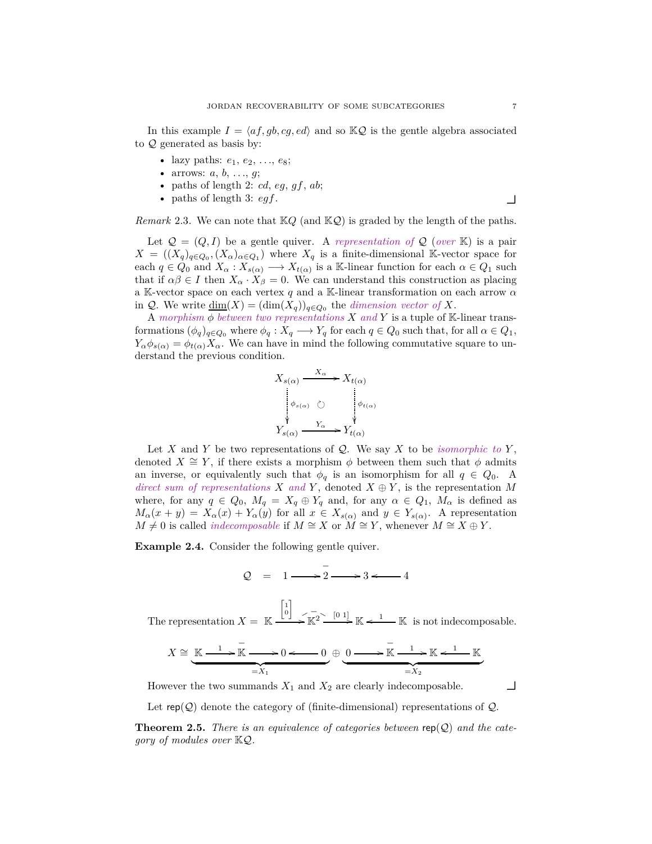In this example  $I = \langle af, gb, cg, ed \rangle$  and so  $KQ$  is the gentle algebra associated to Q generated as basis by:

- lazy paths:  $e_1, e_2, ..., e_8$ ;
- arrows:  $a, b, ..., g$ ;
- paths of length 2:  $cd$ ,  $eg$ ,  $gf$ ,  $ab$ ;
- paths of length 3:  $egf$ .

*Remark* 2.3. We can note that  $KQ$  (and  $KQ$ ) is graded by the length of the paths.

Let  $\mathcal{Q} = (Q, I)$  be a gentle quiver. A *representation of*  $\mathcal{Q}$  (*over* K) is a pair  $X = ((X_q)_{q \in Q_0}, (X_\alpha)_{\alpha \in Q_1})$  where  $X_q$  is a finite-dimensional K-vector space for each  $q \in Q_0$  and  $X_\alpha: X_{s(\alpha)} \longrightarrow X_{t(\alpha)}$  is a K-linear function for each  $\alpha \in Q_1$  such that if  $\alpha\beta \in I$  then  $X_{\alpha} \cdot X_{\beta} = 0$ . We can understand this construction as placing a K-vector space on each vertex *q* and a K-linear transformation on each arrow *α* in  $\mathcal{Q}$ . We write  $\underline{\dim}(X) = (\dim(X_q))_{q \in Q_0}$  the *dimension vector of* X.

A morphism  $\phi$  between two representations X and Y is a tuple of K-linear transformations  $(\phi_q)_{q \in Q_0}$  where  $\phi_q: X_q \longrightarrow Y_q$  for each  $q \in Q_0$  such that, for all  $\alpha \in Q_1$ ,  $Y_{\alpha} \phi_{s(\alpha)} = \phi_{t(\alpha)} X_{\alpha}$ . We can have in mind the following commutative square to understand the previous condition.

$$
X_{s(\alpha)} \xrightarrow{X_{\alpha}} X_{t(\alpha)}
$$
  
\n
$$
\downarrow_{s(\alpha)} \circlearrowright
$$
  
\n
$$
Y_{s(\alpha)} \xrightarrow{Y_{\alpha}} Y_{t(\alpha)}
$$

Let *X* and *Y* be two representations of  $Q$ . We say *X* to be *isomorphic to Y*, denoted  $X \cong Y$ , if there exists a morphism  $\phi$  between them such that  $\phi$  admits an inverse, or equivalently such that  $\phi_q$  is an isomorphism for all  $q \in Q_0$ . A *direct sum of representations*  $X$  *and*  $Y$ , denoted  $X \oplus Y$ , is the representation  $M$ where, for any  $q \in Q_0$ ,  $M_q = X_q \oplus Y_q$  and, for any  $\alpha \in Q_1$ ,  $M_\alpha$  is defined as  $M_{\alpha}(x + y) = X_{\alpha}(x) + Y_{\alpha}(y)$  for all  $x \in X_{s(\alpha)}$  and  $y \in Y_{s(\alpha)}$ . A representation *M*  $\neq$  0 is called *indecomposable* if *M* ≃ *X* or *M* ≃ *Y*, whenever *M* ≃ *X* ⊕ *Y*.

<span id="page-6-0"></span>**Example 2.4.** Consider the following gentle quiver.

$$
Q = 1 \longrightarrow 2 \longrightarrow 3 \longleftarrow 4
$$

The representation  $X = \mathbb{K}$  $\begin{bmatrix} 1 \\ 0 \end{bmatrix}$  $K_{\mathbb{K}}^2 \longrightarrow \mathbb{K} \leftarrow \mathbb{K}$  is not indecomposable.

$$
X \cong \underbrace{\mathbb{K} \xrightarrow{1} \overline{\mathbb{K}} \xrightarrow{= X_1} 0 \longleftarrow 0 \xleftarrow{0} \bigoplus \underbrace{0 \longrightarrow \overline{\mathbb{K}} \xrightarrow{1} \mathbb{K} \xleftarrow{1} \mathbb{K}}_{=X_2}
$$

However the two summands  $X_1$  and  $X_2$  are clearly indecomposable.  $\Box$ 

Let  $\text{rep}(\mathcal{Q})$  denote the category of (finite-dimensional) representations of  $\mathcal{Q}$ .

**Theorem 2.5.** *There is an equivalence of categories between* rep(Q) *and the category of modules over* KQ*.*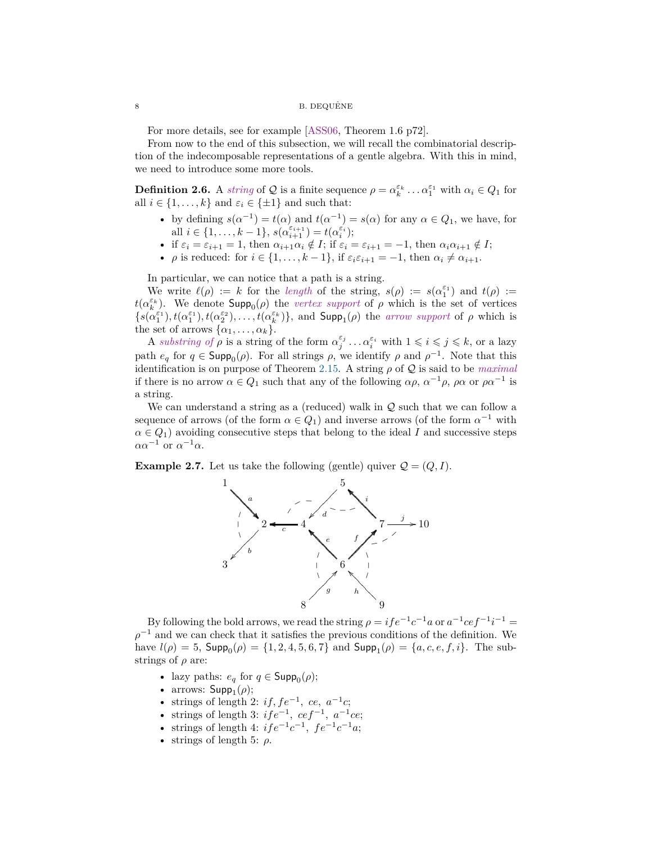## 8 B. DEQUÊNE

For more details, see for example [\[ASS06,](#page-40-11) Theorem 1.6 p72].

From now to the end of this subsection, we will recall the combinatorial description of the indecomposable representations of a gentle algebra. With this in mind, we need to introduce some more tools.

**Definition 2.6.** A *string* of Q is a finite sequence  $\rho = \alpha_k^{\varepsilon_k} \dots \alpha_1^{\varepsilon_1}$  with  $\alpha_i \in Q_1$  for all  $i \in \{1, \ldots, k\}$  and  $\varepsilon_i \in \{\pm 1\}$  and such that:

- by defining  $s(\alpha^{-1}) = t(\alpha)$  and  $t(\alpha^{-1}) = s(\alpha)$  for any  $\alpha \in Q_1$ , we have, for all  $i \in \{1, ..., k-1\}$ ,  $s(\alpha_{i+1}^{\varepsilon_{i+1}}) = t(\alpha_i^{\varepsilon_i})$ ;
- if  $\varepsilon_i = \varepsilon_{i+1} = 1$ , then  $\alpha_{i+1}\alpha_i \notin I$ ; if  $\varepsilon_i = \varepsilon_{i+1} = -1$ , then  $\alpha_i\alpha_{i+1} \notin I$ ;
- *ρ* is reduced: for  $i \in \{1, \ldots, k-1\}$ , if  $\varepsilon_i \varepsilon_{i+1} = -1$ , then  $\alpha_i \neq \alpha_{i+1}$ .

In particular, we can notice that a path is a string.

We write  $\ell(\rho) := k$  for the *length* of the string,  $s(\rho) := s(\alpha_1^{\varepsilon_1})$  and  $t(\rho) :=$  $t(\alpha_k^{\varepsilon_k})$ . We denote  $\textsf{Supp}_0(\rho)$  the *vertex support* of  $\rho$  which is the set of vertices  $\{s(\alpha_1^{\varepsilon_1}), t(\alpha_1^{\varepsilon_2}), t(\alpha_2^{\varepsilon_2}), \ldots, t(\alpha_k^{\varepsilon_k})\}$ , and  $\text{Supp}_1(\rho)$  the *arrow support* of  $\rho$  which is the set of arrows  $\{\alpha_1, \ldots, \alpha_k\}.$ 

A *substring of*  $\rho$  is a string of the form  $\alpha_j^{\varepsilon_j} \dots \alpha_i^{\varepsilon_i}$  with  $1 \leq i \leq j \leq k$ , or a lazy path  $e_q$  for  $q \in \textsf{Supp}_0(\rho)$ . For all strings  $\rho$ , we identify  $\rho$  and  $\rho^{-1}$ . Note that this identification is on purpose of Theorem [2.15.](#page-10-0) A string  $\rho$  of  $\mathcal Q$  is said to be *maximal* if there is no arrow  $\alpha \in Q_1$  such that any of the following  $\alpha \rho$ ,  $\alpha^{-1} \rho$ ,  $\rho \alpha$  or  $\rho \alpha^{-1}$  is a string.

We can understand a string as a (reduced) walk in  $Q$  such that we can follow a sequence of arrows (of the form  $\alpha \in Q_1$ ) and inverse arrows (of the form  $\alpha^{-1}$  with  $\alpha \in Q_1$ ) avoiding consecutive steps that belong to the ideal *I* and successive steps  $\alpha \alpha^{-1}$  or  $\alpha^{-1} \alpha$ .

<span id="page-7-0"></span>**Example 2.7.** Let us take the following (gentle) quiver  $Q = (Q, I)$ .



By following the bold arrows, we read the string  $\rho = i f e^{-1} c^{-1} a$  or  $a^{-1} c e f^{-1} i^{-1} =$  $\rho^{-1}$  and we can check that it satisfies the previous conditions of the definition. We  $h$ ave  $l(\rho) = 5$ ,  $\text{Supp}_0(\rho) = \{1, 2, 4, 5, 6, 7\}$  and  $\text{Supp}_1(\rho) = \{a, c, e, f, i\}$ . The substrings of *ρ* are:

- lazy paths:  $e_q$  for  $q \in \mathsf{Supp}_0(\rho);$
- arrows:  $\mathsf{Supp}_1(\rho)$ ;
- strings of length 2: *if, fe*−<sup>1</sup> *, ce, a*−<sup>1</sup> *c*;
- strings of length 3: *ife*<sup>−</sup><sup>1</sup> *, cef* <sup>−</sup><sup>1</sup> *, a*<sup>−</sup><sup>1</sup> *ce*;
- strings of length 4:  $ife^{-1}c^{-1}$ ,  $fe^{-1}c^{-1}a$ ;
- strings of length 5:  $\rho$ .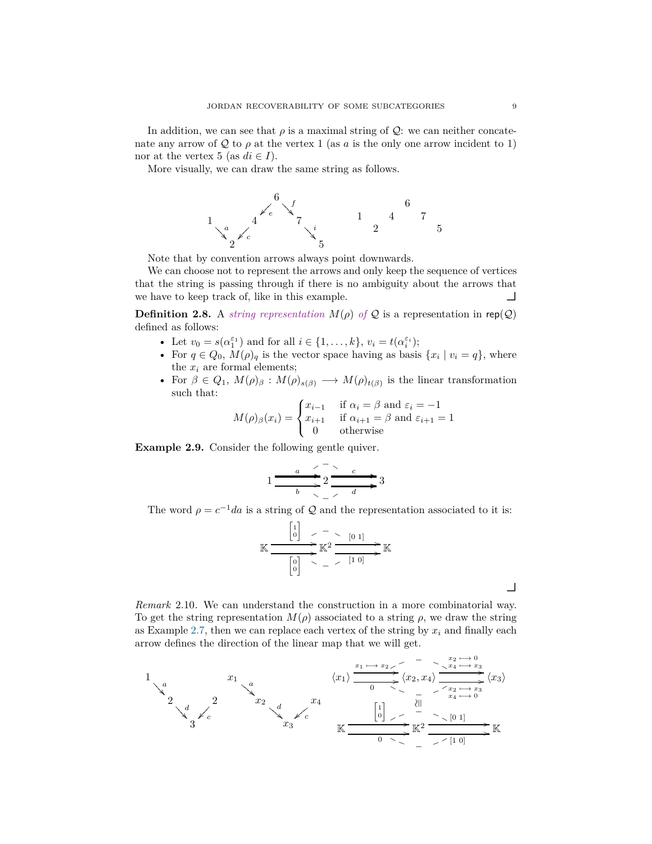In addition, we can see that  $\rho$  is a maximal string of  $\mathcal{Q}$ : we can neither concatenate any arrow of Q to  $\rho$  at the vertex 1 (as a is the only one arrow incident to 1) nor at the vertex 5 (as  $di \in I$ ).

More visually, we can draw the same string as follows.

6 ✁ *<sup>e</sup>* ✁ ✁ ✁ *<sup>f</sup>* ❂ ❂ ❂ ❂ 1 *a* ❂ ❂ ❂ ❂ 4 ✁ *<sup>c</sup>* ✁ ✁ ✁ 7 *i* ❂ ❂ ❂ ❂ 2 5 6 1 4 7 2 5

Note that by convention arrows always point downwards.

We can choose not to represent the arrows and only keep the sequence of vertices that the string is passing through if there is no ambiguity about the arrows that we have to keep track of, like in this example.

**Definition 2.8.** A *string representation*  $M(\rho)$  *of*  $Q$  is a representation in rep( $Q$ ) defined as follows:

- Let  $v_0 = s(\alpha_1^{\varepsilon_1})$  and for all  $i \in \{1, ..., k\}$ ,  $v_i = t(\alpha_i^{\varepsilon_i})$ ;
- For  $q \in Q_0$ ,  $M(\rho)_q$  is the vector space having as basis  $\{x_i \mid v_i = q\}$ , where the  $x_i$  are formal elements;
- For  $\beta \in Q_1$ ,  $M(\rho)_{\beta}: M(\rho)_{s(\beta)} \longrightarrow M(\rho)_{t(\beta)}$  is the linear transformation such that:

$$
M(\rho)_{\beta}(x_i) = \begin{cases} x_{i-1} & \text{if } \alpha_i = \beta \text{ and } \varepsilon_i = -1 \\ x_{i+1} & \text{if } \alpha_{i+1} = \beta \text{ and } \varepsilon_{i+1} = 1 \\ 0 & \text{otherwise} \end{cases}
$$

**Example 2.9.** Consider the following gentle quiver.

$$
1 \xrightarrow{\begin{array}{c}\n a \\
 \hline\n a \\
 \hline\n b\n \end{array}} 2 \xrightarrow{\begin{array}{c}\n c \\
 \hline\n a \\
 \hline\n \end{array}} 3
$$

The word  $\rho = c^{-1}da$  is a string of  $\mathcal Q$  and the representation associated to it is:

$$
\mathbb{K} \xrightarrow{\begin{bmatrix} 1 \\ 0 \end{bmatrix} < - < [0 1] \rightarrow \mathbb{K}^2 \xrightarrow{\begin{bmatrix} 0 1 \end{bmatrix} \rightarrow \mathbb{K}} \mathbb{K}
$$

*Remark* 2.10*.* We can understand the construction in a more combinatorial way. To get the string representation  $M(\rho)$  associated to a string  $\rho$ , we draw the string as Example [2.7,](#page-7-0) then we can replace each vertex of the string by  $x_i$  and finally each arrow defines the direction of the linear map that we will get.

1  
\na  
\n
$$
\begin{array}{c}\n & x_1 \\
 & x_2 \\
 & & x_3\n\end{array}
$$
\n
$$
\begin{array}{c}\n & x_1 \\
 & x_2 \\
 & & x_3\n\end{array}
$$
\n
$$
\begin{array}{c}\n & x_1 \\
 & x_2 \\
 & & x_3\n\end{array}
$$
\n
$$
\begin{array}{c}\n & x_1 \\
 & x_2 \\
 & & x_3\n\end{array}
$$
\n
$$
\begin{array}{c}\n & x_1 \\
 & x_2 \\
 & & x_3\n\end{array}
$$
\n
$$
\begin{array}{c}\n & x_1 \\
 & x_2 \\
 & & x_3\n\end{array}
$$
\n
$$
\begin{array}{c}\n & x_1 \\
 & x_2 \\
 & & x_3\n\end{array}
$$
\n
$$
\begin{array}{c}\n & x_1 \\
 & x_2 \\
 & & x_3\n\end{array}
$$
\n
$$
\begin{array}{c}\n & x_1 \\
 & x_2 \\
 & & x_3\n\end{array}
$$
\n
$$
\begin{array}{c}\n & x_1 \\
 & x_2 \\
 & & x_3\n\end{array}
$$
\n
$$
\begin{array}{c}\n & x_1 \\
 & x_2 \\
 & & x_3\n\end{array}
$$
\n
$$
\begin{array}{c}\n & x_1 \\
 & x_2 \\
 & & x_3\n\end{array}
$$
\n
$$
\begin{array}{c}\n & x_1 \\
 & x_2 \\
 & & x_3\n\end{array}
$$
\n
$$
\begin{array}{c}\n & x_1 \\
 & x_2 \\
 & & x_3\n\end{array}
$$
\n
$$
\begin{array}{c}\n & x_1 \\
 & x_2 \\
 & & x_3\n\end{array}
$$
\n
$$
\begin{array}{c}\n & x_1 \\
 & x_2 \\
 & & x_3\n\end{array}
$$

 $\overline{\phantom{a}}$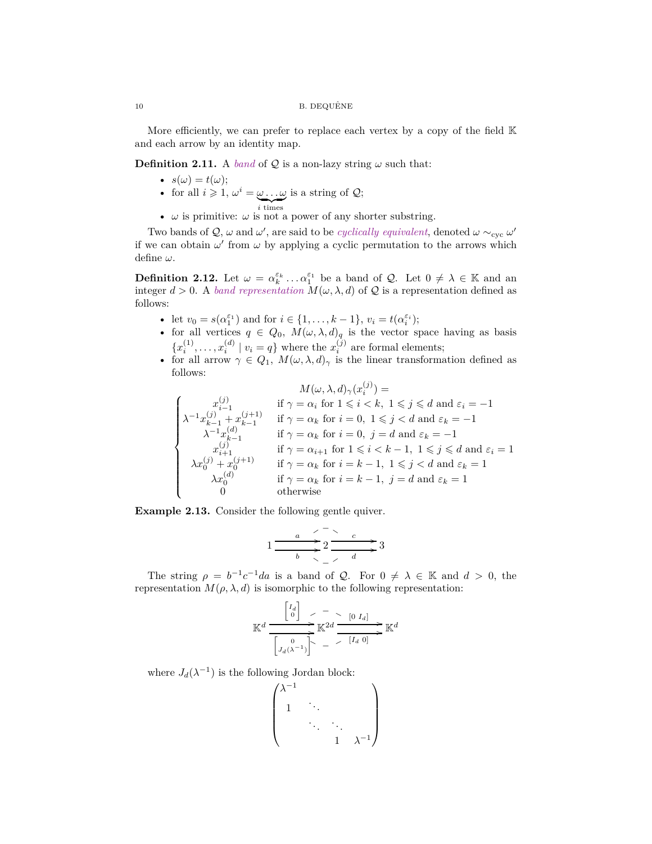More efficiently, we can prefer to replace each vertex by a copy of the field  $K$ and each arrow by an identity map.

**Definition 2.11.** A *band* of  $Q$  is a non-lazy string  $\omega$  such that:

- $s(\omega) = t(\omega);$
- for all  $i \geqslant 1$ ,  $\omega^i = \omega \dots \omega$  $\sum_{i \text{ times}}$ is a string of  $\mathcal{Q};$
- $\omega$  is primitive:  $\omega$  is not a power of any shorter substring.

Two bands of  $\mathcal{Q}, \omega$  and  $\omega'$ , are said to be *cyclically equivalent*, denoted  $\omega \sim_{\text{cyc}} \omega'$ if we can obtain  $\omega'$  from  $\omega$  by applying a cyclic permutation to the arrows which define *ω*.

**Definition 2.12.** Let  $\omega = \alpha_k^{\varepsilon_k} \dots \alpha_1^{\varepsilon_1}$  be a band of  $\mathcal{Q}$ . Let  $0 \neq \lambda \in \mathbb{K}$  and an integer  $d > 0$ . A *band representation*  $M(\omega, \lambda, d)$  of Q is a representation defined as follows:

- let  $v_0 = s(\alpha_1^{\varepsilon_1})$  and for  $i \in \{1, ..., k-1\}$ ,  $v_i = t(\alpha_i^{\varepsilon_i})$ ;
- for all vertices  $q \in Q_0$ ,  $M(\omega, \lambda, d)_q$  is the vector space having as basis  ${x_i^{(1)}, \ldots, x_i^{(d)} \mid v_i = q}$  where the  $x_i^{(j)}$  are formal elements;
- for all arrow  $\gamma \in Q_1$ ,  $M(\omega, \lambda, d)$ <sub> $\gamma$ </sub> is the linear transformation defined as follows:

$$
M(\omega, \lambda, d)_{\gamma}(x_i^{(j)}) =
$$
\n
$$
\begin{cases}\n x_{i-1}^{(j)} & \text{if } \gamma = \alpha_i \text{ for } 1 \leq i < k, 1 \leq j \leq d \text{ and } \varepsilon_i = -1 \\
 \lambda^{-1} x_{k-1}^{(j)} + x_{k-1}^{(j+1)} & \text{if } \gamma = \alpha_k \text{ for } i = 0, 1 \leq j < d \text{ and } \varepsilon_k = -1 \\
 \lambda^{-1} x_{k-1}^{(d)} & \text{if } \gamma = \alpha_k \text{ for } i = 0, j = d \text{ and } \varepsilon_k = -1 \\
 x_{i+1}^{(j)} & \text{if } \gamma = \alpha_{i+1} \text{ for } 1 \leq i < k-1, 1 \leq j \leq d \text{ and } \varepsilon_i = 1 \\
 \lambda x_0^{(j)} + x_0^{(j+1)} & \text{if } \gamma = \alpha_k \text{ for } i = k-1, 1 \leq j < d \text{ and } \varepsilon_k = 1 \\
 \lambda x_0^{(d)} & \text{if } \gamma = \alpha_k \text{ for } i = k-1, j = d \text{ and } \varepsilon_k = 1 \\
 0 & \text{otherwise}\n\end{cases}
$$

**Example 2.13.** Consider the following gentle quiver.

$$
1 \xrightarrow{\begin{array}{c}\n a \\
 \hline\n a \\
 \hline\n b\n \end{array}} 2 \xrightarrow{\begin{array}{c}\n c \\
 \hline\n a \\
 \hline\n \end{array}} 3
$$

The string  $\rho = b^{-1}c^{-1}da$  is a band of  $\mathcal{Q}$ . For  $0 \neq \lambda \in \mathbb{K}$  and  $d > 0$ , the representation  $M(\rho, \lambda, d)$  is isomorphic to the following representation:

$$
\mathbb{K}^d \xrightarrow{\begin{bmatrix} I_d \\ 0 \end{bmatrix} > - \\ \hline \begin{bmatrix} 0 & I_d \end{bmatrix} > \mathbb{K}^{2d} \xrightarrow{\begin{bmatrix} 0 & I_d \end{bmatrix} > \mathbb{K}^d
$$

where  $J_d(\lambda^{-1})$  is the following Jordan block:

$$
\begin{pmatrix}\n\lambda^{-1} & & & \\
1 & \ddots & & \\
& \ddots & \ddots & \\
& & 1 & \lambda^{-1}\n\end{pmatrix}
$$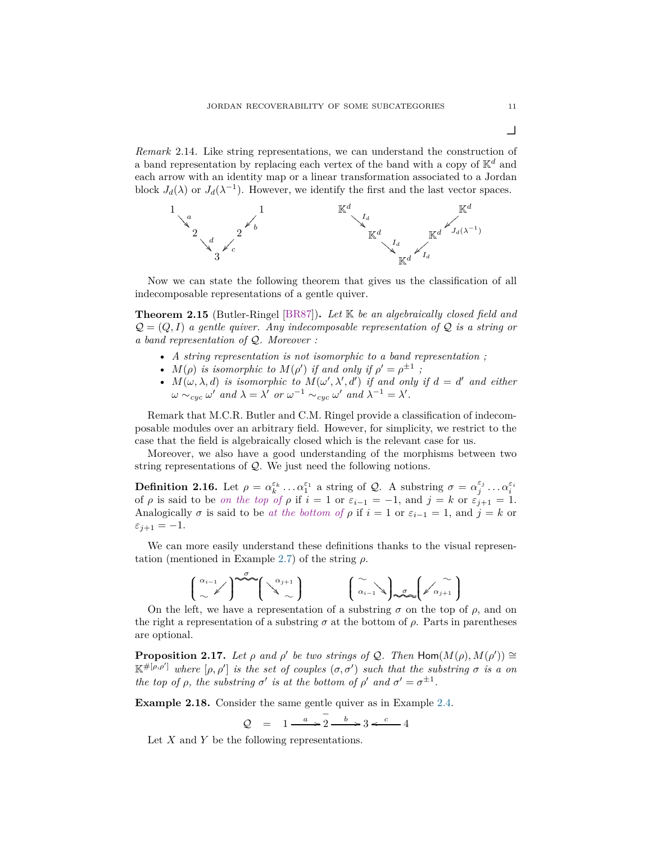*Remark* 2.14*.* Like string representations, we can understand the construction of a band representation by replacing each vertex of the band with a copy of K*<sup>d</sup>* and each arrow with an identity map or a linear transformation associated to a Jordan block  $J_d(\lambda)$  or  $J_d(\lambda^{-1})$ . However, we identify the first and the last vector spaces.



Now we can state the following theorem that gives us the classification of all indecomposable representations of a gentle quiver.

<span id="page-10-0"></span>**Theorem 2.15** (Butler-Ringel [\[BR87\]](#page-40-12))**.** *Let* K *be an algebraically closed field and*  $\mathcal{Q} = (Q, I)$  *a gentle quiver. Any indecomposable representation of*  $\mathcal{Q}$  *is a string or a band representation of* Q*. Moreover :*

- *A string representation is not isomorphic to a band representation ;*
- $M(\rho)$  *is isomorphic to*  $M(\rho')$  *if and only if*  $\rho' = \rho^{\pm 1}$ ;
- $M(\omega, \lambda, d)$  *is isomorphic to*  $M(\omega', \lambda', d')$  *if and only if*  $d = d'$  *and either*  $\omega \sim_{cyc} \omega'$  and  $\lambda = \lambda'$  or  $\omega^{-1} \sim_{cyc} \omega'$  and  $\lambda^{-1} = \lambda'$ .

Remark that M.C.R. Butler and C.M. Ringel provide a classification of indecomposable modules over an arbitrary field. However, for simplicity, we restrict to the case that the field is algebraically closed which is the relevant case for us.

Moreover, we also have a good understanding of the morphisms between two string representations of Q. We just need the following notions.

**Definition 2.16.** Let  $\rho = \alpha_k^{\varepsilon_k} \dots \alpha_1^{\varepsilon_1}$  a string of  $Q$ . A substring  $\sigma = \alpha_j^{\varepsilon_j} \dots \alpha_i^{\varepsilon_i}$  of  $\rho$  is said to be *on the top of*  $\rho$  if  $i = 1$  or  $\varepsilon_{i-1} = -1$ , and  $j = k$  or  $\varepsilon_{j+1} = 1$ . Analogically  $\sigma$  is said to be *at the bottom of*  $\rho$  if  $i = 1$  or  $\varepsilon_{i-1} = 1$ , and  $j = k$  or  $\varepsilon_{j+1} = -1.$ 

We can more easily understand these definitions thanks to the visual representation (mentioned in Example [2.7\)](#page-7-0) of the string *ρ*.

$$
\begin{pmatrix} \alpha_{i-1} \\ \sim \end{pmatrix} \xrightarrow{\sigma} \begin{pmatrix} \alpha_{j+1} \\ \alpha_{j} \end{pmatrix} \qquad \begin{pmatrix} \alpha \\ \alpha_{i-1} \end{pmatrix} \xrightarrow{\sigma} \begin{pmatrix} \alpha \\ \alpha_{j+1} \end{pmatrix}
$$

On the left, we have a representation of a substring  $\sigma$  on the top of  $\rho$ , and on the right a representation of a substring  $\sigma$  at the bottom of  $\rho$ . Parts in parentheses are optional.

<span id="page-10-1"></span>**Proposition 2.17.** *Let*  $\rho$  *and*  $\rho'$  *be two strings of*  $Q$ *. Then*  $\text{Hom}(M(\rho), M(\rho')) \cong$  $\mathbb{K}^{\#[\rho,\rho']}$  where  $[\rho,\rho']$  is the set of couples  $(\sigma,\sigma')$  such that the substring  $\sigma$  is a on *the top of*  $\rho$ *, the substring*  $\sigma'$  *is at the bottom of*  $\rho'$  *and*  $\sigma' = \sigma^{\pm 1}$ *.* 

**Example 2.18.** Consider the same gentle quiver as in Example [2.4.](#page-6-0)

 $Q = 1 \xrightarrow{a} 2$  $2 \xrightarrow{b} 3 \xleftarrow{c} 4$ 

Let *X* and *Y* be the following representations.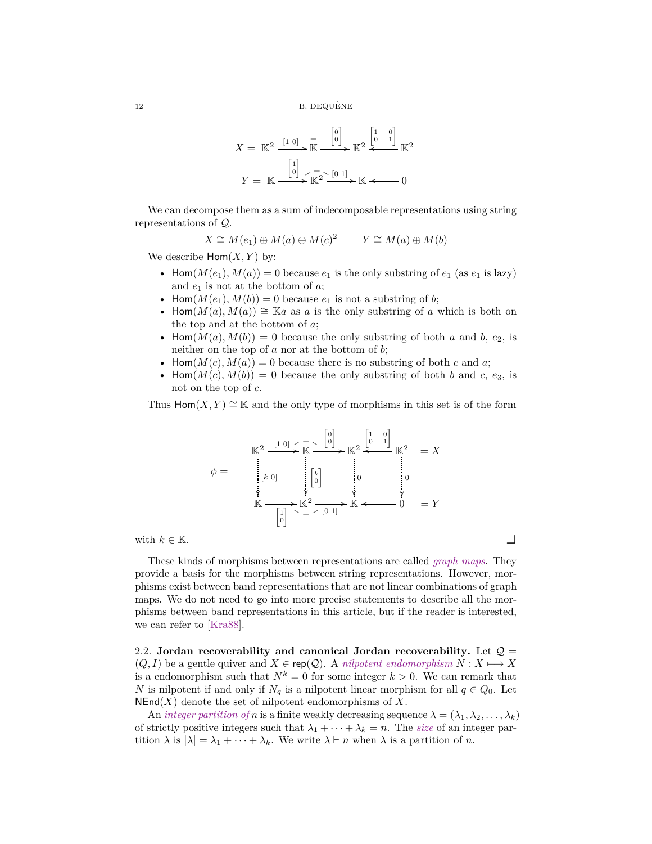$$
X = \mathbb{K}^2 \xrightarrow{\begin{bmatrix} 1 & 0 \end{bmatrix}} \mathbb{K} \xrightarrow{\begin{bmatrix} 0 \\ 0 \end{bmatrix}} \mathbb{K}^2 \xleftarrow{\begin{bmatrix} 1 & 0 \\ 0 & 1 \end{bmatrix}} \mathbb{K}^2
$$

$$
Y = \mathbb{K} \xrightarrow{\begin{bmatrix} 1 \\ 0 \end{bmatrix}} \mathbb{K}^2 \xleftarrow{\begin{bmatrix} 0 & 1 \end{bmatrix}} \mathbb{K} \xleftarrow{0}
$$

We can decompose them as a sum of indecomposable representations using string representations of Q.

$$
X \cong M(e_1) \oplus M(a) \oplus M(c)^2 \qquad Y \cong M(a) \oplus M(b)
$$

We describe  $\text{Hom}(X, Y)$  by:

- Hom $(M(e_1), M(a)) = 0$  because  $e_1$  is the only substring of  $e_1$  (as  $e_1$  is lazy) and *e*<sup>1</sup> is not at the bottom of *a*;
- Hom $(M(e_1), M(b)) = 0$  because  $e_1$  is not a substring of *b*;
- Hom $(M(a), M(a)) \cong \mathbb{K}a$  as *a* is the only substring of *a* which is both on the top and at the bottom of *a*;
- Hom $(M(a), M(b)) = 0$  because the only substring of both *a* and *b*,  $e_2$ , is neither on the top of *a* nor at the bottom of *b*;
- Hom $(M(c), M(a)) = 0$  because there is no substring of both *c* and *a*;
- Hom $(M(c), M(b)) = 0$  because the only substring of both *b* and *c*, *e*<sub>3</sub>, is not on the top of *c*.

Thus  $\text{Hom}(X, Y) \cong \mathbb{K}$  and the only type of morphisms in this set is of the form

$$
\phi = \begin{array}{c}\n\mathbb{K}^2 \xrightarrow{\begin{bmatrix} 1 & 0 \end{bmatrix} < -\frac{1}{K} \leq \begin{bmatrix} 0 \\ 0 \end{bmatrix}} \mathbb{K}^2 \xrightarrow{\begin{bmatrix} 1 & 0 \\ 0 & 1 \end{bmatrix}} \mathbb{K}^2 = X \\
\downarrow{\begin{bmatrix} k & 0 \end{bmatrix}} \\
\mathbb{K} \xrightarrow{\begin{bmatrix} k \\ 0 \end{bmatrix} < k^2 \end{array}} \mathbb{K}^2 \xrightarrow{\begin{bmatrix} k \\ 0 \end{bmatrix}} \mathbb{K}^2 \xrightarrow{\begin{bmatrix} 0 & 1 \end{bmatrix}} \mathbb{K} \xrightarrow{\begin{bmatrix} 0 & 0 \end{bmatrix}} \mathbb{K}^2 \xrightarrow{\begin{bmatrix} 0 & 1 \end{bmatrix}} \mathbb{K} \xrightarrow{\begin{bmatrix} 0 & 0 \end{bmatrix}} \mathbb{K} \xrightarrow{\begin{bmatrix} 0 & 0 \end{bmatrix}} \mathbb{K} \xrightarrow{\begin{bmatrix} 0 & 0 \end{bmatrix}} \mathbb{K} \xrightarrow{\begin{bmatrix} 0 & 0 \end{bmatrix}} \mathbb{K} \xrightarrow{\begin{bmatrix} 0 & 0 \end{bmatrix}} \mathbb{K} \xrightarrow{\begin{bmatrix} 0 & 0 \end{bmatrix}} \mathbb{K} \xrightarrow{\begin{bmatrix} 0 & 0 \end{bmatrix}} \mathbb{K} \xrightarrow{\begin{bmatrix} 0 & 0 \end{bmatrix}} \mathbb{K} \xrightarrow{\begin{bmatrix} 0 & 0 \end{bmatrix}} \mathbb{K} \xrightarrow{\begin{bmatrix} 0 & 0 \end{bmatrix}} \mathbb{K} \xrightarrow{\begin{bmatrix} 0 & 0 \end{bmatrix}} \mathbb{K} \xrightarrow{\begin{bmatrix} 0 & 0 \end{bmatrix}} \mathbb{K} \xrightarrow{\begin{bmatrix} 0 & 0 \end{bmatrix}} \mathbb{K} \xrightarrow{\begin{bmatrix} 0 & 0 \end{bmatrix}} \mathbb{K} \xrightarrow{\begin{bmatrix} 0 & 0 \end{bmatrix}} \mathbb{K} \xrightarrow{\begin{bmatrix} 0 & 0 \end{bmatrix}} \mathbb{K} \xrightarrow{\begin{bmatrix} 0 & 0 \end{b
$$

These kinds of morphisms between representations are called *graph maps*. They provide a basis for the morphisms between string representations. However, morphisms exist between band representations that are not linear combinations of graph maps. We do not need to go into more precise statements to describe all the morphisms between band representations in this article, but if the reader is interested, we can refer to [\[Kra88\]](#page-40-13).

<span id="page-11-0"></span>2.2. **Jordan recoverability and canonical Jordan recoverability.** Let  $Q =$  $(Q, I)$  be a gentle quiver and  $X \in \text{rep}(\mathcal{Q})$ . A *nilpotent endomorphism*  $N : X \longmapsto X$ is a endomorphism such that  $N^k = 0$  for some integer  $k > 0$ . We can remark that *N* is nilpotent if and only if  $N_q$  is a nilpotent linear morphism for all  $q \in Q_0$ . Let  $NEnd(X)$  denote the set of nilpotent endomorphisms of X.

An *integer partition of n* is a finite weakly decreasing sequence  $\lambda = (\lambda_1, \lambda_2, \dots, \lambda_k)$ of strictly positive integers such that  $\lambda_1 + \cdots + \lambda_k = n$ . The *size* of an integer partition  $\lambda$  is  $|\lambda| = \lambda_1 + \cdots + \lambda_k$ . We write  $\lambda \vdash n$  when  $\lambda$  is a partition of *n*.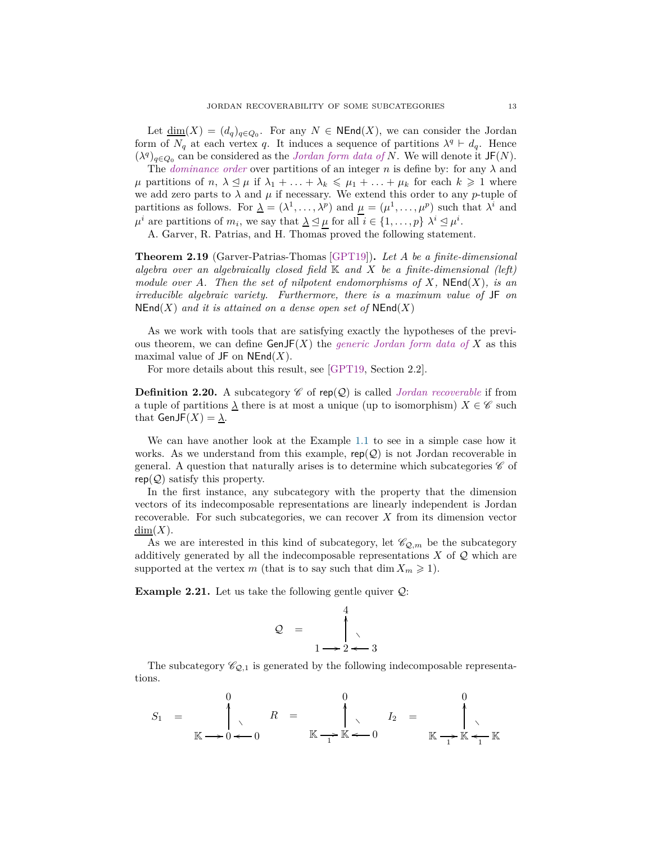Let  $\underline{\dim}(X) = (d_q)_{q \in Q_0}$ . For any  $N \in \text{NEnd}(X)$ , we can consider the Jordan form of  $N_q$  at each vertex *q*. It induces a sequence of partitions  $\lambda^q \vdash d_q$ . Hence  $(\lambda^q)_{q \in Q_0}$  can be considered as the *Jordan form data of N*. We will denote it JF(*N*).

The *dominance order* over partitions of an integer *n* is define by: for any  $\lambda$  and  $\mu$  partitions of *n*,  $\lambda \leq \mu$  if  $\lambda_1 + \ldots + \lambda_k \leq \mu_1 + \ldots + \mu_k$  for each  $k \geq 1$  where we add zero parts to  $\lambda$  and  $\mu$  if necessary. We extend this order to any *p*-tuple of partitions as follows. For  $\underline{\lambda} = (\lambda^1, \dots, \lambda^p)$  and  $\mu = (\mu^1, \dots, \mu^p)$  such that  $\lambda^i$  and  $\mu^{i}$  are partitions of  $m_{i}$ , we say that  $\underline{\lambda} \leq \mu$  for all  $i \in \{1, ..., p\}$   $\lambda^{i} \leq \mu^{i}$ .

A. Garver, R. Patrias, and H. Thomas proved the following statement.

<span id="page-12-1"></span>**Theorem 2.19** (Garver-Patrias-Thomas [\[GPT19\]](#page-40-10))**.** *Let A be a finite-dimensional algebra over an algebraically closed field* K *and X be a finite-dimensional (left) module over A. Then the set of nilpotent endomorphisms of X,* **NEnd**(*X*)*, is an irreducible algebraic variety. Furthermore, there is a maximum value of* JF *on*  $NEnd(X)$  *and it is attained on a dense open set of*  $NEnd(X)$ 

As we work with tools that are satisfying exactly the hypotheses of the previous theorem, we can define  $GenJF(X)$  the *generic Jordan form data of* X as this maximal value of  $JF$  on  $NEnd(X)$ .

For more details about this result, see [\[GPT19,](#page-40-10) Section 2.2].

**Definition 2.20.** A subcategory  $\mathscr{C}$  of rep( $\mathscr{Q}$ ) is called *Jordan recoverable* if from a tuple of partitions  $\lambda$  there is at most a unique (up to isomorphism)  $X \in \mathscr{C}$  such that  $GenJF(X) = \lambda$ .

We can have another look at the Example [1.1](#page-1-0) to see in a simple case how it works. As we understand from this example,  $rep(Q)$  is not Jordan recoverable in general. A question that naturally arises is to determine which subcategories  $\mathscr C$  of  $rep(Q)$  satisfy this property.

In the first instance, any subcategory with the property that the dimension vectors of its indecomposable representations are linearly independent is Jordan recoverable. For such subcategories, we can recover *X* from its dimension vector  $\dim(X)$ .

As we are interested in this kind of subcategory, let  $\mathscr{C}_{Q,m}$  be the subcategory additively generated by all the indecomposable representations  $X$  of  $Q$  which are supported at the vertex *m* (that is to say such that dim  $X_m \geq 1$ ).

<span id="page-12-0"></span>**Example 2.21.** Let us take the following gentle quiver  $Q$ :

$$
Q = \begin{pmatrix} 4 \\ 1 \\ 2 \end{pmatrix}
$$

The subcategory  $\mathcal{C}_{Q,1}$  is generated by the following indecomposable representations.

$$
S_1 = \begin{pmatrix} 0 \\ 0 \\ 0 \end{pmatrix}, \quad R = \begin{pmatrix} 0 \\ 0 \\ 0 \end{pmatrix}, \quad I_2 = \begin{pmatrix} 0 \\ 0 \\ 0 \end{pmatrix}
$$

$$
\mathbb{K} \longrightarrow 0 \longrightarrow 0 \quad \mathbb{K} \longrightarrow \mathbb{K} \longrightarrow 0 \quad \mathbb{K} \longrightarrow \mathbb{K} \longrightarrow \mathbb{K}
$$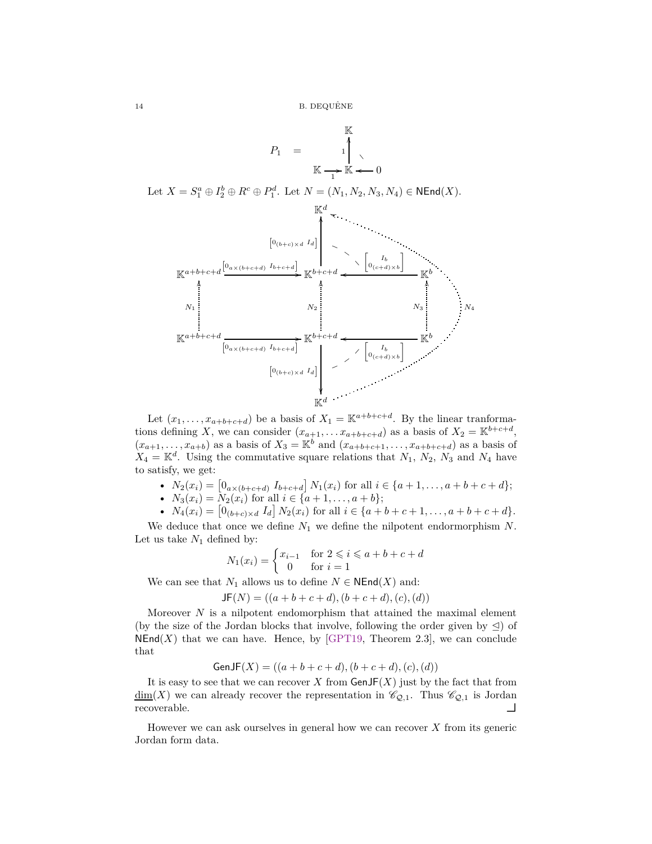

Let  $(x_1, \ldots, x_{a+b+c+d})$  be a basis of  $X_1 = \mathbb{K}^{a+b+c+d}$ . By the linear tranformations defining *X*, we can consider  $(x_{a+1}, \ldots, x_{a+b+c+d})$  as a basis of  $X_2 = \mathbb{K}^{b+c+d}$ ,  $(x_{a+1},...,x_{a+b})$  as a basis of  $X_3 = \mathbb{K}^b$  and  $(x_{a+b+c+1},...,x_{a+b+c+d})$  as a basis of  $X_4 = \mathbb{K}^d$ . Using the commutative square relations that  $N_1$ ,  $N_2$ ,  $N_3$  and  $N_4$  have to satisfy, we get:

- $N_2(x_i) = [0_{a \times (b+c+d)} \ I_{b+c+d}] N_1(x_i)$  for all  $i \in \{a+1, \ldots, a+b+c+d\};$
- $N_3(x_i) = N_2(x_i)$  for all  $i \in \{a+1, \ldots, a+b\};$
- $N_4(x_i) = [0_{(b+c)\times d} I_d] N_2(x_i)$  for all  $i \in \{a+b+c+1,\ldots,a+b+c+d\}.$

We deduce that once we define *N*<sup>1</sup> we define the nilpotent endormorphism *N*. Let us take  $N_1$  defined by:

$$
N_1(x_i) = \begin{cases} x_{i-1} & \text{for } 2 \leq i \leq a+b+c+d \\ 0 & \text{for } i=1 \end{cases}
$$

We can see that  $N_1$  allows us to define  $N \in \mathsf{NEnd}(X)$  and:

$$
JF(N) = ((a+b+c+d), (b+c+d), (c), (d))
$$

Moreover *N* is a nilpotent endomorphism that attained the maximal element (by the size of the Jordan blocks that involve, following the order given by  $\trianglelefteq$ ) of  $NEnd(X)$  that we can have. Hence, by [\[GPT19,](#page-40-10) Theorem 2.3], we can conclude that

$$
GenJF(X) = ((a + b + c + d), (b + c + d), (c), (d))
$$

It is easy to see that we can recover  $X$  from  $\mathsf{GenJF}(X)$  just by the fact that from  $\underline{\dim}(X)$  we can already recover the representation in  $\mathcal{C}_{\mathcal{Q},1}$ . Thus  $\mathcal{C}_{\mathcal{Q},1}$  is Jordan recoverable.

However we can ask ourselves in general how we can recover *X* from its generic Jordan form data.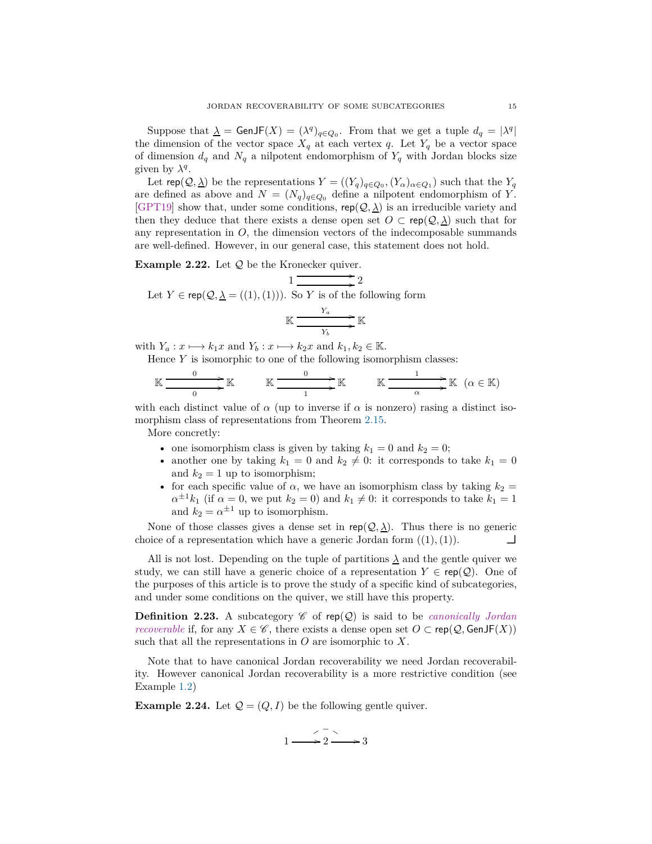Suppose that  $\lambda = \text{GenJF}(X) = (\lambda^q)_{q \in Q_0}$ . From that we get a tuple  $d_q = |\lambda^q|$ the dimension of the vector space  $X_q$  at each vertex *q*. Let  $Y_q$  be a vector space of dimension  $d_q$  and  $N_q$  a nilpotent endomorphism of  $Y_q$  with Jordan blocks size given by  $\lambda^q$ .

Let  $\mathsf{rep}(\mathcal{Q}, \underline{\lambda})$  be the representations  $Y = ((Y_q)_{q \in Q_0}, (Y_\alpha)_{\alpha \in Q_1})$  such that the  $Y_q$ are defined as above and  $N = (N_q)_{q \in Q_0}$  define a nilpotent endomorphism of *Y*. [\[GPT19\]](#page-40-10) show that, under some conditions,  $\text{rep}(\mathcal{Q}, \underline{\lambda})$  is an irreducible variety and then they deduce that there exists a dense open set  $O \subset \text{rep}(\mathcal{Q}, \underline{\lambda})$  such that for any representation in  $O$ , the dimension vectors of the indecomposable summands are well-defined. However, in our general case, this statement does not hold.

**Example 2.22.** Let  $Q$  be the Kronecker quiver.

Let 
$$
Y \in \text{rep}(\mathcal{Q}, \underline{\lambda} = ((1), (1))).
$$
 So  $Y$  is of the following form  

$$
\mathbb{K} \xrightarrow{Y_a} \mathbb{K}
$$

with  $Y_a: x \longmapsto k_1x$  and  $Y_b: x \longmapsto k_2x$  and  $k_1, k_2 \in \mathbb{K}$ .

Hence *Y* is isomorphic to one of the following isomorphism classes:

$$
\mathbb{K} \xrightarrow{\hspace{.2cm} 0 \hspace{.2cm} 0 \hspace{.2cm} \mathbb{K}} \qquad \mathbb{K} \xrightarrow{\hspace{.2cm} 0 \hspace{.2cm} 1 \hspace{.2cm} \mathbb{K}} \qquad \mathbb{K} \xrightarrow{\hspace{.2cm} 1 \hspace{.2cm} 1 \hspace{.2cm} \mathbb{K}} \qquad (\alpha \in \mathbb{K})
$$

with each distinct value of  $\alpha$  (up to inverse if  $\alpha$  is nonzero) rasing a distinct isomorphism class of representations from Theorem [2.15.](#page-10-0)

More concretly:

- one isomorphism class is given by taking  $k_1 = 0$  and  $k_2 = 0$ ;
- another one by taking  $k_1 = 0$  and  $k_2 \neq 0$ : it corresponds to take  $k_1 = 0$ and  $k_2 = 1$  up to isomorphism;
- for each specific value of  $\alpha$ , we have an isomorphism class by taking  $k_2 =$  $\alpha^{\pm 1}k_1$  (if  $\alpha = 0$ , we put  $k_2 = 0$ ) and  $k_1 \neq 0$ : it corresponds to take  $k_1 = 1$ and  $k_2 = \alpha^{\pm 1}$  up to isomorphism.

None of those classes gives a dense set in  $rep(Q, \underline{\lambda})$ . Thus there is no generic choice of a representation which have a generic Jordan form  $((1), (1))$ .

All is not lost. Depending on the tuple of partitions  $\lambda$  and the gentle quiver we study, we can still have a generic choice of a representation  $Y \in \text{rep}(\mathcal{Q})$ . One of the purposes of this article is to prove the study of a specific kind of subcategories, and under some conditions on the quiver, we still have this property.

**Definition 2.23.** A subcategory  $\mathscr{C}$  of rep( $\mathscr{Q}$ ) is said to be *canonically Jordan recoverable* if, for any *X* ∈  $\mathscr{C}$ , there exists a dense open set  $O \subset \text{rep}(\mathcal{Q}, \text{GenJF}(X))$ such that all the representations in *O* are isomorphic to *X*.

Note that to have canonical Jordan recoverability we need Jordan recoverability. However canonical Jordan recoverability is a more restrictive condition (see Example [1.2\)](#page-2-0)

<span id="page-14-0"></span>**Example 2.24.** Let  $Q = (Q, I)$  be the following gentle quiver.

$$
1 \xrightarrow{\phantom{1}} 2 \xrightarrow{\phantom{1}} 3
$$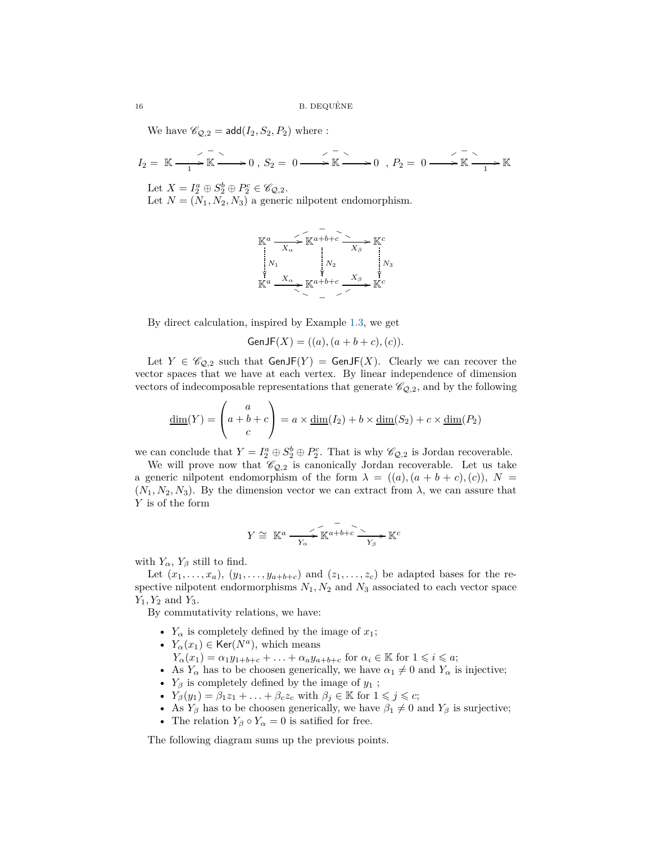We have  $\mathcal{C}_{Q,2} = \text{add}(I_2, S_2, P_2)$  where :

$$
I_2 = \mathbb{K} \xrightarrow{--} \mathbb{K} \longrightarrow 0 \ , \ S_2 = 0 \longrightarrow \mathbb{K} \longrightarrow 0 \ , \ P_2 = 0 \longrightarrow \mathbb{K} \xrightarrow{--} \mathbb{K}
$$

Let  $X = I_2^a \oplus S_2^b \oplus P_2^c \in \mathscr{C}_{\mathcal{Q},2}$ .

Let  $N = (N_1, N_2, N_3)$  a generic nilpotent endomorphism.



By direct calculation, inspired by Example [1.3,](#page-2-1) we get

$$
GenJF(X) = ((a), (a+b+c), (c)).
$$

Let  $Y \in \mathscr{C}_{Q,2}$  such that  $\mathsf{GenJF}(Y) = \mathsf{GenJF}(X)$ . Clearly we can recover the vector spaces that we have at each vertex. By linear independence of dimension vectors of indecomposable representations that generate  $\mathcal{C}_{Q,2}$ , and by the following

$$
\underline{\dim}(Y) = \begin{pmatrix} a \\ a+b+c \\ c \end{pmatrix} = a \times \underline{\dim}(I_2) + b \times \underline{\dim}(S_2) + c \times \underline{\dim}(P_2)
$$

we can conclude that  $Y = I_2^a \oplus S_2^b \oplus P_2^c$ . That is why  $\mathscr{C}_{Q,2}$  is Jordan recoverable.

We will prove now that  $\mathcal{C}_{Q,2}$  is canonically Jordan recoverable. Let us take a generic nilpotent endomorphism of the form  $\lambda = ((a), (a + b + c), (c)), N =$  $(N_1, N_2, N_3)$ . By the dimension vector we can extract from  $\lambda$ , we can assure that *Y* is of the form

$$
Y \cong \mathbb{K}^a \xrightarrow[Y_\alpha]{} \mathbb{K}^{a+b+c} \xrightarrow[Y_\beta]{} \mathbb{K}^c
$$

with  $Y_\alpha$ ,  $Y_\beta$  still to find.

Let  $(x_1, \ldots, x_a)$ ,  $(y_1, \ldots, y_{a+b+c})$  and  $(z_1, \ldots, z_c)$  be adapted bases for the respective nilpotent endormorphisms  $N_1, N_2$  and  $N_3$  associated to each vector space *Y*1*, Y*<sup>2</sup> and *Y*3.

By commutativity relations, we have:

- $Y_\alpha$  is completely defined by the image of  $x_1$ ;
- $Y_\alpha(x_1) \in \text{Ker}(N^a)$ , which means
	- *Y*<sub>α</sub> $(x_1) = \alpha_1 y_{1+b+c} + \ldots + \alpha_a y_{a+b+c}$  for  $\alpha_i \in \mathbb{K}$  for  $1 \leq i \leq a$ ;
- As  $Y_\alpha$  has to be choosen generically, we have  $\alpha_1 \neq 0$  and  $Y_\alpha$  is injective;
- *Y<sup>β</sup>* is completely defined by the image of *y*<sup>1</sup> ;
- $Y_{\beta}(y_1) = \beta_1 z_1 + \ldots + \beta_c z_c$  with  $\beta_j \in \mathbb{K}$  for  $1 \leqslant j \leqslant c$ ;
- As  $Y_\beta$  has to be choosen generically, we have  $\beta_1 \neq 0$  and  $Y_\beta$  is surjective;
- The relation  $Y_\beta \circ Y_\alpha = 0$  is satified for free.

The following diagram sums up the previous points.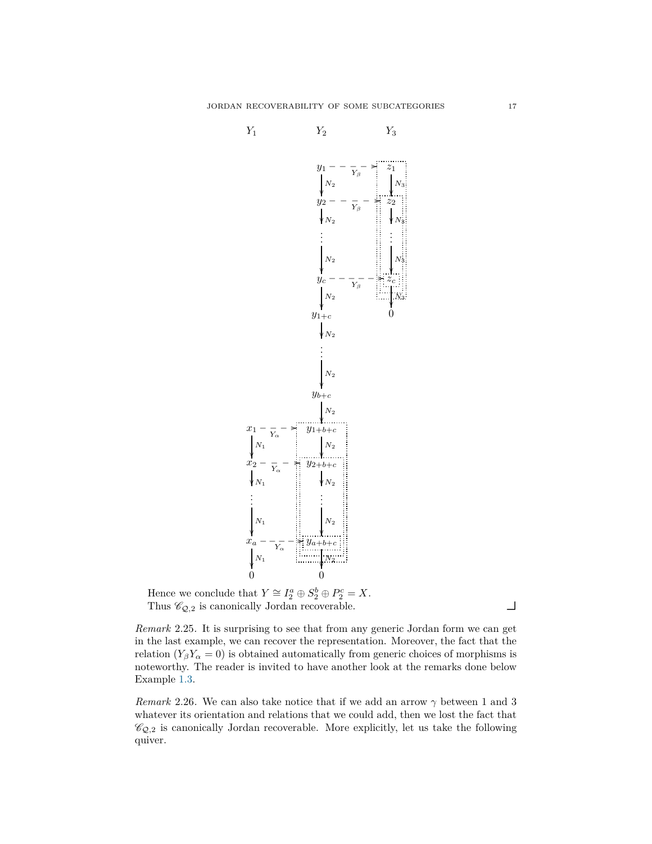

Hence we conclude that  $Y \cong I_2^a \oplus S_2^b \oplus P_2^c = X$ . Thus  $\mathcal{C}_{\mathcal{Q},2}$  is canonically Jordan recoverable.

*Remark* 2.25*.* It is surprising to see that from any generic Jordan form we can get in the last example, we can recover the representation. Moreover, the fact that the relation  $(Y_\beta Y_\alpha = 0)$  is obtained automatically from generic choices of morphisms is noteworthy. The reader is invited to have another look at the remarks done below Example [1.3.](#page-2-1)

<span id="page-16-0"></span>*Remark* 2.26*.* We can also take notice that if we add an arrow *γ* between 1 and 3 whatever its orientation and relations that we could add, then we lost the fact that  $\mathscr{C}_{Q,2}$  is canonically Jordan recoverable. More explicitly, let us take the following quiver.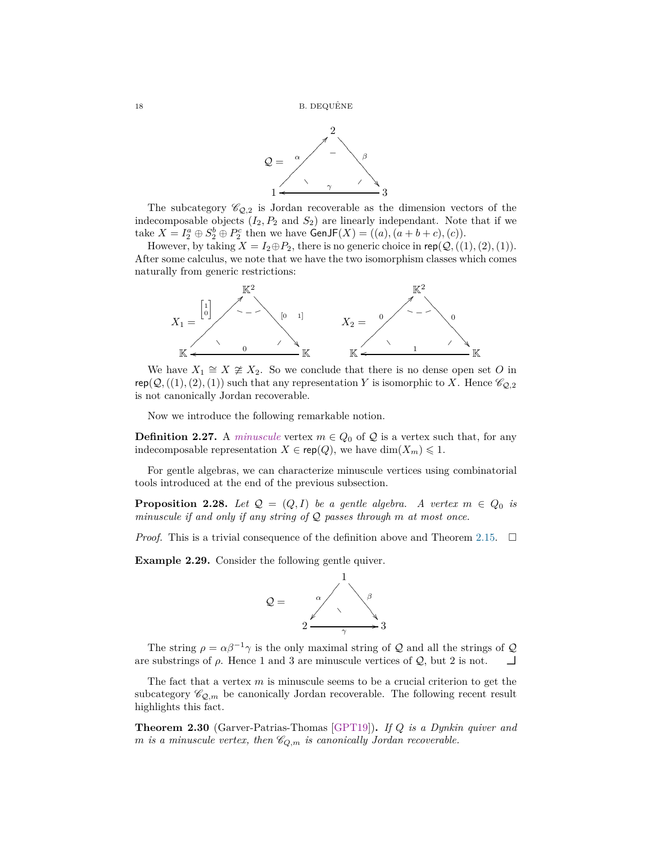

The subcategory  $\mathcal{C}_{Q,2}$  is Jordan recoverable as the dimension vectors of the indecomposable objects  $(I_2, P_2 \text{ and } S_2)$  are linearly independant. Note that if we take  $X = I_2^a \oplus S_2^b \oplus P_2^c$  then we have  $\textsf{GenJF}(X) = ((a), (a + b + c), (c)).$ 

However, by taking  $X = I_2 \oplus P_2$ , there is no generic choice in rep( $Q$ , ((1), (2), (1)). After some calculus, we note that we have the two isomorphism classes which comes naturally from generic restrictions:



We have  $X_1 \cong X \ncong X_2$ . So we conclude that there is no dense open set O in  $rep(Q, ((1), (2), (1))$  such that any representation *Y* is isomorphic to *X*. Hence  $\mathscr{C}_{Q,2}$ is not canonically Jordan recoverable.

Now we introduce the following remarkable notion.

**Definition 2.27.** A *minuscule* vertex  $m \in Q_0$  of  $Q$  is a vertex such that, for any indecomposable representation  $X \in \text{rep}(Q)$ , we have  $\dim(X_m) \leq 1$ .

For gentle algebras, we can characterize minuscule vertices using combinatorial tools introduced at the end of the previous subsection.

<span id="page-17-0"></span>**Proposition 2.28.** *Let*  $Q = (Q, I)$  *be a gentle algebra.* A vertex  $m \in Q_0$  *is minuscule if and only if any string of* Q *passes through m at most once.*

*Proof.* This is a trivial consequence of the definition above and Theorem [2.15.](#page-10-0)  $\Box$ 

**Example 2.29.** Consider the following gentle quiver.



The string  $\rho = \alpha \beta^{-1} \gamma$  is the only maximal string of Q and all the strings of Q are substrings of  $\rho$ . Hence 1 and 3 are minuscule vertices of  $\mathcal{Q}$ , but 2 is not.

The fact that a vertex *m* is minuscule seems to be a crucial criterion to get the subcategory  $\mathscr{C}_{\mathcal{Q},m}$  be canonically Jordan recoverable. The following recent result highlights this fact.

<span id="page-17-1"></span>**Theorem 2.30** (Garver-Patrias-Thomas [\[GPT19\]](#page-40-10))**.** *If Q is a Dynkin quiver and m is a minuscule vertex, then*  $\mathcal{C}_{Q,m}$  *is canonically Jordan recoverable.*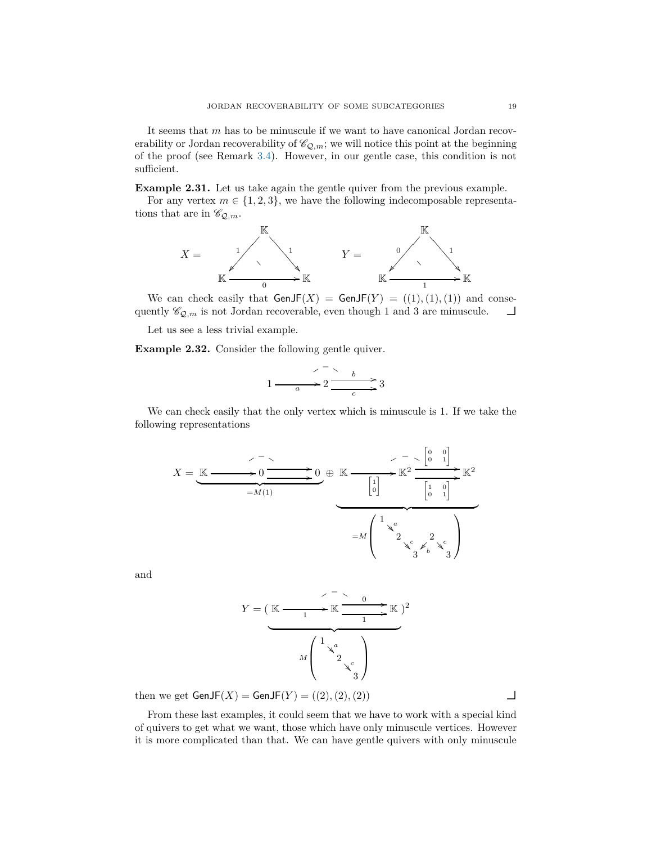It seems that *m* has to be minuscule if we want to have canonical Jordan recoverability or Jordan recoverability of  $\mathcal{C}_{Q,m}$ ; we will notice this point at the beginning of the proof (see Remark [3.4\)](#page-20-0). However, in our gentle case, this condition is not sufficient.

<span id="page-18-0"></span>**Example 2.31.** Let us take again the gentle quiver from the previous example.

For any vertex  $m \in \{1, 2, 3\}$ , we have the following indecomposable representations that are in  $\mathscr{C}_{\mathcal{Q},m}$ .



We can check easily that  $GenJF(X) = GenJF(Y) = ((1), (1), (1))$  and consequently  $\mathscr{C}_{\mathcal{Q},m}$  is not Jordan recoverable, even though 1 and 3 are minuscule.  $\Box$ 

Let us see a less trivial example.

<span id="page-18-1"></span>**Example 2.32.** Consider the following gentle quiver.

$$
1 \xrightarrow{a} 2 \xrightarrow{b} 3
$$

We can check easily that the only vertex which is minuscule is 1. If we take the following representations

$$
X = \underbrace{\mathbb{K} \longrightarrow 0 \longrightarrow 0 \longrightarrow 0}_{=\mathcal{M}(1)} \oplus \underbrace{\mathbb{K} \longrightarrow \mathbb{K}^2 \longrightarrow 0}_{=\mathcal{M}\begin{pmatrix} 1 \\ 0 \end{pmatrix} \longrightarrow \mathbb{K}^2 \longrightarrow 0 \longrightarrow 0}
$$

$$
= \mathcal{M}\begin{pmatrix} 1 & a & b \\ & 2 & a \\ & & 3 & b \\ & & & 3 \end{pmatrix} \longrightarrow \mathbb{K}^2
$$

and

*Y* = ( K 1 / r ❴ ▲ K <sup>0</sup> / 1 /K | {z } *M* <sup>1</sup> *<sup>a</sup>* ❂ ❂ <sup>2</sup> *<sup>c</sup>* ❂ ❂ 3 ) 2

then we get  $GenJF(X) = GenJF(Y) = ((2), (2), (2))$ 

From these last examples, it could seem that we have to work with a special kind of quivers to get what we want, those which have only minuscule vertices. However it is more complicated than that. We can have gentle quivers with only minuscule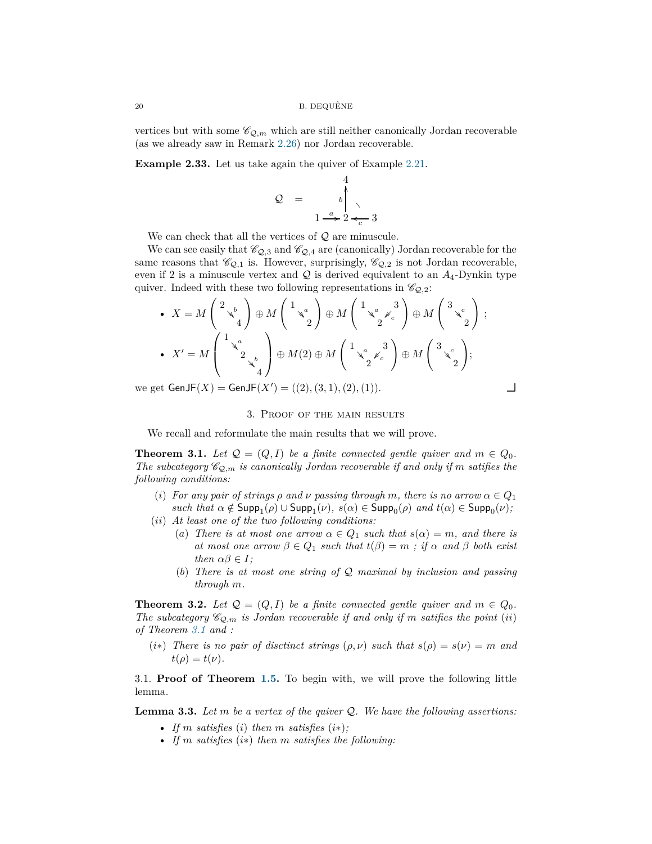vertices but with some  $\mathcal{C}_{Q,m}$  which are still neither canonically Jordan recoverable (as we already saw in Remark [2.26\)](#page-16-0) nor Jordan recoverable.

<span id="page-19-3"></span>**Example 2.33.** Let us take again the quiver of Example [2.21.](#page-12-0)

$$
Q = \begin{pmatrix} 4 \\ b \\ 1 \end{pmatrix}
$$

We can check that all the vertices of  $\mathcal{Q}$  are minuscule.

We can see easily that  $\mathcal{C}_{\mathcal{Q},3}$  and  $\mathcal{C}_{\mathcal{Q},4}$  are (canonically) Jordan recoverable for the same reasons that  $\mathcal{C}_{Q,1}$  is. However, surprisingly,  $\mathcal{C}_{Q,2}$  is not Jordan recoverable, even if 2 is a minuscule vertex and  $\mathcal Q$  is derived equivalent to an  $A_4$ -Dynkin type quiver. Indeed with these two following representations in  $\mathcal{C}_{Q,2}$ :

• 
$$
X = M \begin{pmatrix} 2 \ x^b \ 4 \end{pmatrix} \oplus M \begin{pmatrix} 1 \ x^a \ 2 \end{pmatrix} \oplus M \begin{pmatrix} 1 \ x^a \ 2 \end{pmatrix} \oplus M \begin{pmatrix} 3 \ x^c \ 2 \end{pmatrix} ;
$$
  
\n•  $X' = M \begin{pmatrix} 1 \ x^a \ 2 \ x^b \ 4 \end{pmatrix} \oplus M(2) \oplus M \begin{pmatrix} 1 \ x^a \ x^c \ 2 \end{pmatrix} \oplus M \begin{pmatrix} 3 \ x^c \ 2 \end{pmatrix};$   
\nwe get GenJF(X) = GenJF(X') = ((2), (3, 1), (2), (1)).

<span id="page-19-0"></span>

## 3. Proof of the main results

We recall and reformulate the main results that we will prove.

<span id="page-19-2"></span>**Theorem 3.1.** *Let*  $Q = (Q, I)$  *be a finite connected gentle quiver and*  $m \in Q_0$ *. The subcategory*  $\mathcal{C}_{\mathcal{Q},m}$  *is canonically Jordan recoverable if and only if m satifies the following conditions:*

- (*i*) *For any pair of strings*  $\rho$  *<i>and*  $\nu$  *passing through*  $m$ *, there is no arrow*  $\alpha \in Q_1$  $such that \alpha \notin \text{Supp}_1(\rho) \cup \text{Supp}_1(\nu), \ s(\alpha) \in \text{Supp}_0(\rho) \ and \ t(\alpha) \in \text{Supp}_0(\nu);$
- (*ii*) *At least one of the two following conditions:*
	- (*a*) *There is at most one arrow*  $\alpha \in Q_1$  *such that*  $s(\alpha) = m$ *, and there is at most one arrow*  $\beta \in Q_1$  *such that*  $t(\beta) = m$ ; *if*  $\alpha$  *and*  $\beta$  *both exist then*  $\alpha\beta \in I$ *;*
	- (*b*) *There is at most one string of* Q *maximal by inclusion and passing through m.*

<span id="page-19-5"></span>**Theorem 3.2.** *Let*  $Q = (Q, I)$  *be a finite connected gentle quiver and*  $m \in Q_0$ *. The subcategory*  $\mathcal{C}_{\mathcal{Q},m}$  *is Jordan recoverable if and only if m satifies the point* (*ii*) *of Theorem [3.1](#page-19-2) and :*

(*i*\*) *There is no pair of disctinct strings*  $(\rho, \nu)$  *such that*  $s(\rho) = s(\nu) = m$  *and*  $t(\rho) = t(\nu)$ .

<span id="page-19-1"></span>3.1. **Proof of Theorem [1.5.](#page-4-0)** To begin with, we will prove the following little lemma.

<span id="page-19-4"></span>**Lemma 3.3.** *Let m be a vertex of the quiver* Q*. We have the following assertions:*

- If *m* satisfies (*i*) then *m* satisfies  $(i*)$ ;
- *If m satisfies* (*i*∗) *then m satisfies the following:*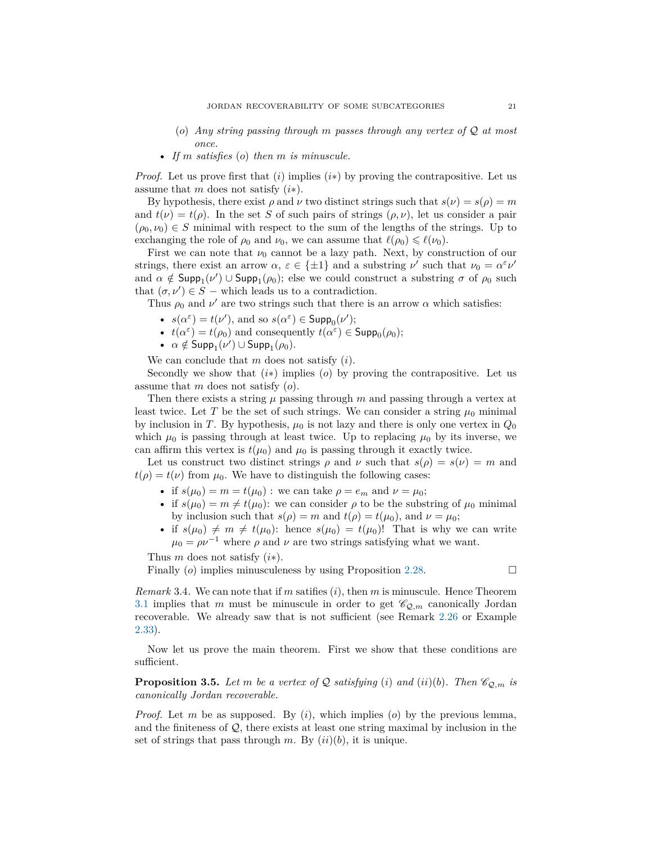- (*o*) *Any string passing through m passes through any vertex of* Q *at most once.*
- *If m satisfies* (*o*) *then m is minuscule.*

*Proof.* Let us prove first that  $(i)$  implies  $(i*)$  by proving the contrapositive. Let us assume that *m* does not satisfy (*i*∗).

By hypothesis, there exist  $\rho$  and  $\nu$  two distinct strings such that  $s(\nu) = s(\rho) = m$ and  $t(\nu) = t(\rho)$ . In the set *S* of such pairs of strings  $(\rho, \nu)$ , let us consider a pair  $(\rho_0, \nu_0) \in S$  minimal with respect to the sum of the lengths of the strings. Up to exchanging the role of  $\rho_0$  and  $\nu_0$ , we can assume that  $\ell(\rho_0) \leq \ell(\nu_0)$ .

First we can note that  $\nu_0$  cannot be a lazy path. Next, by construction of our strings, there exist an arrow  $\alpha$ ,  $\varepsilon \in \{\pm 1\}$  and a substring  $\nu'$  such that  $\nu_0 = \alpha^{\varepsilon} \nu'$ and  $\alpha \notin \text{Supp}_1(\nu') \cup \text{Supp}_1(\rho_0)$ ; else we could construct a substring  $\sigma$  of  $\rho_0$  such that  $(\sigma, \nu') \in S$  – which leads us to a contradiction.

Thus  $\rho_0$  and  $\nu'$  are two strings such that there is an arrow  $\alpha$  which satisfies:

- $s(\alpha^{\varepsilon}) = t(\nu')$ , and so  $s(\alpha^{\varepsilon}) \in \text{Supp}_0(\nu')$ ;
- $t(\alpha^{\varepsilon}) = t(\rho_0)$  and consequently  $t(\alpha^{\varepsilon}) \in \mathsf{Supp}_0(\rho_0)$ ;
- $\alpha \notin \mathsf{Supp}_1(\nu') \cup \mathsf{Supp}_1(\rho_0)$ .

We can conclude that *m* does not satisfy (*i*).

Secondly we show that  $(i*)$  implies  $(o)$  by proving the contrapositive. Let us assume that *m* does not satisfy (*o*).

Then there exists a string  $\mu$  passing through  $m$  and passing through a vertex at least twice. Let *T* be the set of such strings. We can consider a string  $\mu_0$  minimal by inclusion in *T*. By hypothesis,  $\mu_0$  is not lazy and there is only one vertex in  $Q_0$ which  $\mu_0$  is passing through at least twice. Up to replacing  $\mu_0$  by its inverse, we can affirm this vertex is  $t(\mu_0)$  and  $\mu_0$  is passing through it exactly twice.

Let us construct two distinct strings  $\rho$  and  $\nu$  such that  $s(\rho) = s(\nu) = m$  and  $t(\rho) = t(\nu)$  from  $\mu_0$ . We have to distinguish the following cases:

- if  $s(\mu_0) = m = t(\mu_0)$ : we can take  $\rho = e_m$  and  $\nu = \mu_0$ ;
- if  $s(\mu_0) = m \neq t(\mu_0)$ : we can consider  $\rho$  to be the substring of  $\mu_0$  minimal by inclusion such that  $s(\rho) = m$  and  $t(\rho) = t(\mu_0)$ , and  $\nu = \mu_0$ ;
- if  $s(\mu_0) \neq m \neq t(\mu_0)$ : hence  $s(\mu_0) = t(\mu_0)!$  That is why we can write  $\mu_0 = \rho \nu^{-1}$  where  $\rho$  and  $\nu$  are two strings satisfying what we want.

Thus *m* does not satisfy (*i*∗).

Finally (*o*) implies minusculeness by using Proposition [2.28.](#page-17-0)

<span id="page-20-0"></span>*Remark* 3.4*.* We can note that if *m* satifies (*i*), then *m* is minuscule. Hence Theorem [3.1](#page-19-2) implies that *m* must be minuscule in order to get  $\mathcal{C}_{Q,m}$  canonically Jordan recoverable. We already saw that is not sufficient (see Remark [2.26](#page-16-0) or Example [2.33\)](#page-19-3).

Now let us prove the main theorem. First we show that these conditions are sufficient.

<span id="page-20-1"></span>**Proposition 3.5.** Let m be a vertex of Q satisfying (*i*) and (*ii*)(*b*). Then  $\mathcal{C}_{Q,m}$  is *canonically Jordan recoverable.*

*Proof.* Let *m* be as supposed. By (*i*), which implies (*o*) by the previous lemma, and the finiteness of  $\mathcal{Q}$ , there exists at least one string maximal by inclusion in the set of strings that pass through  $m$ . By  $(ii)(b)$ , it is unique.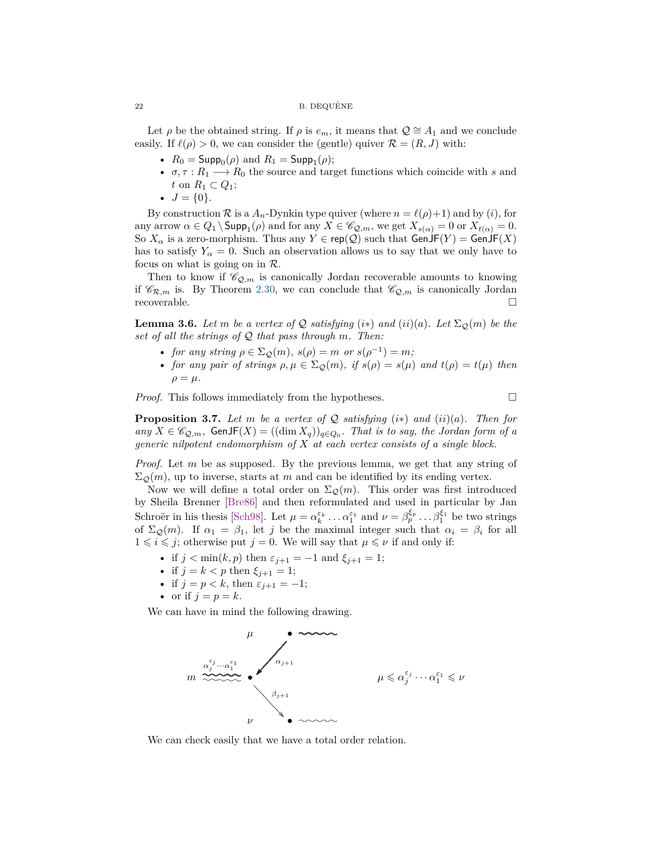#### $22$  B. DEQUÊNE

Let  $\rho$  be the obtained string. If  $\rho$  is  $e_m$ , it means that  $\mathcal{Q} \cong A_1$  and we conclude easily. If  $\ell(\rho) > 0$ , we can consider the (gentle) quiver  $\mathcal{R} = (R, J)$  with:

- $R_0 = \text{Supp}_0(\rho)$  and  $R_1 = \text{Supp}_1(\rho);$
- $\sigma, \tau : R_1 \longrightarrow R_0$  the source and target functions which coincide with *s* and *t* on  $R_1$  ⊂  $Q_1$ ;
- $J = \{0\}.$

By construction  $\mathcal R$  is a  $A_n$ -Dynkin type quiver (where  $n = \ell(\rho)+1$ ) and by (*i*), for any arrow  $\alpha \in Q_1 \setminus \textsf{Supp}_1(\rho)$  and for any  $X \in \mathscr{C}_{\mathcal{Q},m}$ , we get  $X_{s(\alpha)} = 0$  or  $X_{t(\alpha)} = 0$ . So  $X_\alpha$  is a zero-morphism. Thus any  $Y \in \text{rep}(\mathcal{Q})$  such that  $\text{GenJF}(Y) = \text{GenJF}(X)$ has to satisfy  $Y_\alpha = 0$ . Such an observation allows us to say that we only have to focus on what is going on in  $\mathcal{R}$ .

Then to know if  $\mathscr{C}_{Q,m}$  is canonically Jordan recoverable amounts to knowing if  $\mathscr{C}_{\mathcal{R},m}$  is. By Theorem [2.30,](#page-17-1) we can conclude that  $\mathscr{C}_{\mathcal{Q},m}$  is canonically Jordan recoverable.

<span id="page-21-0"></span>**Lemma 3.6.** Let m be a vertex of Q satisfying  $(i*)$  and  $(ii)(a)$ . Let  $\Sigma_{\mathcal{Q}}(m)$  be the *set of all the strings of* Q *that pass through m. Then:*

- *for any string*  $\rho \in \Sigma_{\mathcal{Q}}(m)$ ,  $s(\rho) = m$  *or*  $s(\rho^{-1}) = m$ ;
- *for any pair of strings*  $\rho, \mu \in \Sigma_{\mathcal{Q}}(m)$ , *if*  $s(\rho) = s(\mu)$  *and*  $t(\rho) = t(\mu)$  *then*  $\rho = \mu$ .

*Proof.* This follows immediately from the hypotheses.  $\Box$ 

<span id="page-21-1"></span>**Proposition 3.7.** Let m be a vertex of Q satisfying  $(i*)$  and  $(ii)(a)$ . Then for  $any X ∈ ℓQ,m$ , GenJF( $X$ ) = ((dim  $X_q$ ))<sub>q∈ $Q_0$ </sub>. That is to say, the Jordan form of a *generic nilpotent endomorphism of X at each vertex consists of a single block.*

*Proof.* Let *m* be as supposed. By the previous lemma, we get that any string of  $\Sigma_{\mathcal{Q}}(m)$ , up to inverse, starts at *m* and can be identified by its ending vertex.

Now we will define a total order on  $\Sigma_{\mathcal{Q}}(m)$ . This order was first introduced by Sheila Brenner [\[Bre86\]](#page-40-14) and then reformulated and used in particular by Jan Schroër in his thesis [\[Sch98\]](#page-40-15). Let  $\mu = \alpha_k^{\varepsilon_k} \dots \alpha_1^{\varepsilon_1}$  and  $\nu = \beta_p^{\xi_p} \dots \beta_1^{\xi_1}$  be two strings of  $\Sigma_{\mathcal{Q}}(m)$ . If  $\alpha_1 = \beta_1$ , let *j* be the maximal integer such that  $\alpha_i = \beta_i$  for all  $1 \leq i \leq j$ ; otherwise put  $j = 0$ . We will say that  $\mu \leq \nu$  if and only if:

- if  $j < \min(k, p)$  then  $\varepsilon_{j+1} = -1$  and  $\xi_{j+1} = 1$ ;
- if  $j = k < p$  then  $\xi_{j+1} = 1$ ;
- if  $j = p < k$ , then  $\varepsilon_{j+1} = -1$ ;
- or if  $j = p = k$ .

We can have in mind the following drawing.



We can check easily that we have a total order relation.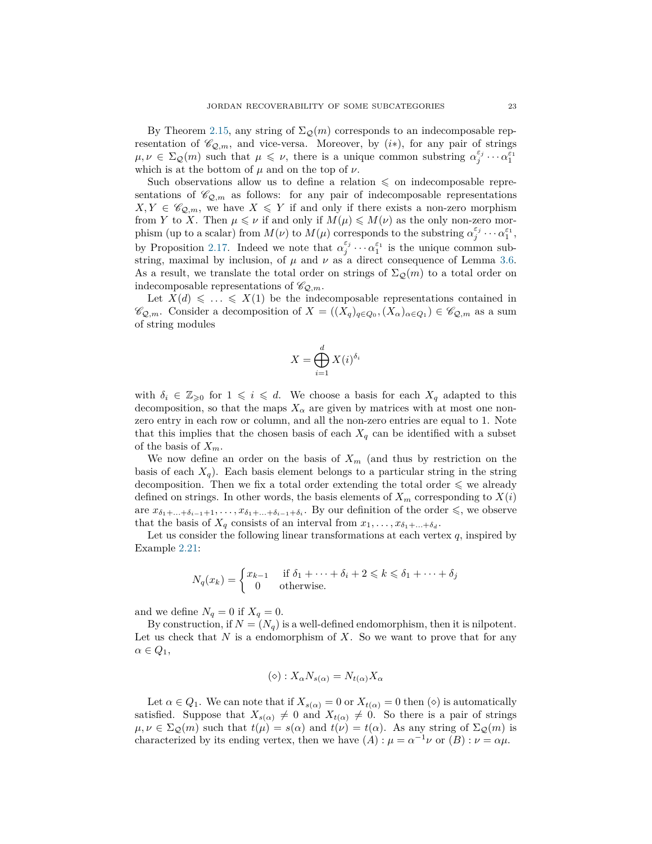By Theorem [2.15,](#page-10-0) any string of  $\Sigma_{\mathcal{Q}}(m)$  corresponds to an indecomposable representation of  $\mathscr{C}_{\mathcal{Q},m}$ , and vice-versa. Moreover, by  $(i*)$ , for any pair of strings  $\mu, \nu \in \Sigma_{\mathcal{Q}}(m)$  such that  $\mu \leq \nu$ , there is a unique common substring  $\alpha_j^{\varepsilon_j} \cdots \alpha_1^{\varepsilon_1}$ which is at the bottom of  $\mu$  and on the top of  $\nu$ .

Such observations allow us to define a relation  $\leq$  on indecomposable representations of  $\mathscr{C}_{\mathcal{Q},m}$  as follows: for any pair of indecomposable representations  $X, Y \in \mathscr{C}_{\mathcal{Q},m}$ , we have  $X \leqslant Y$  if and only if there exists a non-zero morphism from *Y* to *X*. Then  $\mu \leq \nu$  if and only if  $M(\mu) \leq M(\nu)$  as the only non-zero morphism (up to a scalar) from  $M(\nu)$  to  $M(\mu)$  corresponds to the substring  $\alpha_j^{\varepsilon_j} \cdots \alpha_1^{\varepsilon_1}$ , by Proposition [2.17.](#page-10-1) Indeed we note that  $\alpha_j^{\varepsilon_j} \cdots \alpha_1^{\varepsilon_1}$  is the unique common substring, maximal by inclusion, of  $\mu$  and  $\nu$  as a direct consequence of Lemma [3.6.](#page-21-0) As a result, we translate the total order on strings of  $\Sigma_{\mathcal{Q}}(m)$  to a total order on indecomposable representations of  $\mathscr{C}_{\mathcal{Q},m}$ .

Let  $X(d) \leq \ldots \leq X(1)$  be the indecomposable representations contained in  $\mathscr{C}_{\mathcal{Q},m}$ . Consider a decomposition of  $X = ((X_q)_{q \in Q_0}, (X_\alpha)_{\alpha \in Q_1}) \in \mathscr{C}_{\mathcal{Q},m}$  as a sum of string modules

$$
X = \bigoplus_{i=1}^{d} X(i)^{\delta_i}
$$

with  $\delta_i \in \mathbb{Z}_{\geqslant 0}$  for  $1 \leqslant i \leqslant d$ . We choose a basis for each  $X_q$  adapted to this decomposition, so that the maps  $X_{\alpha}$  are given by matrices with at most one nonzero entry in each row or column, and all the non-zero entries are equal to 1. Note that this implies that the chosen basis of each  $X_q$  can be identified with a subset of the basis of *Xm*.

We now define an order on the basis of  $X_m$  (and thus by restriction on the basis of each  $X_q$ ). Each basis element belongs to a particular string in the string decomposition. Then we fix a total order extending the total order  $\leq$  we already defined on strings. In other words, the basis elements of  $X_m$  corresponding to  $X(i)$ are  $x_{\delta_1+\ldots+\delta_{i-1}+1},\ldots,x_{\delta_1+\ldots+\delta_{i-1}+\delta_i}$ . By our definition of the order  $\leq$ , we observe that the basis of  $X_q$  consists of an interval from  $x_1, \ldots, x_{\delta_1 + \ldots + \delta_d}$ .

Let us consider the following linear transformations at each vertex  $q$ , inspired by Example [2.21:](#page-12-0)

$$
N_q(x_k) = \begin{cases} x_{k-1} & \text{if } \delta_1 + \dots + \delta_i + 2 \leq k \leq \delta_1 + \dots + \delta_j \\ 0 & \text{otherwise.} \end{cases}
$$

and we define  $N_q = 0$  if  $X_q = 0$ .

By construction, if  $N = (N_q)$  is a well-defined endomorphism, then it is nilpotent. Let us check that *N* is a endomorphism of *X*. So we want to prove that for any  $\alpha \in Q_1$ ,

$$
(\diamond) : X_{\alpha} N_{s(\alpha)} = N_{t(\alpha)} X_{\alpha}
$$

Let  $\alpha \in Q_1$ . We can note that if  $X_{s(\alpha)} = 0$  or  $X_{t(\alpha)} = 0$  then  $(\diamond)$  is automatically satisfied. Suppose that  $X_{s(\alpha)} \neq 0$  and  $X_{t(\alpha)} \neq 0$ . So there is a pair of strings  $\mu, \nu \in \Sigma_{\mathcal{Q}}(m)$  such that  $t(\mu) = s(\alpha)$  and  $t(\nu) = t(\alpha)$ . As any string of  $\Sigma_{\mathcal{Q}}(m)$  is characterized by its ending vertex, then we have  $(A): \mu = \alpha^{-1} \nu$  or  $(B): \nu = \alpha \mu$ .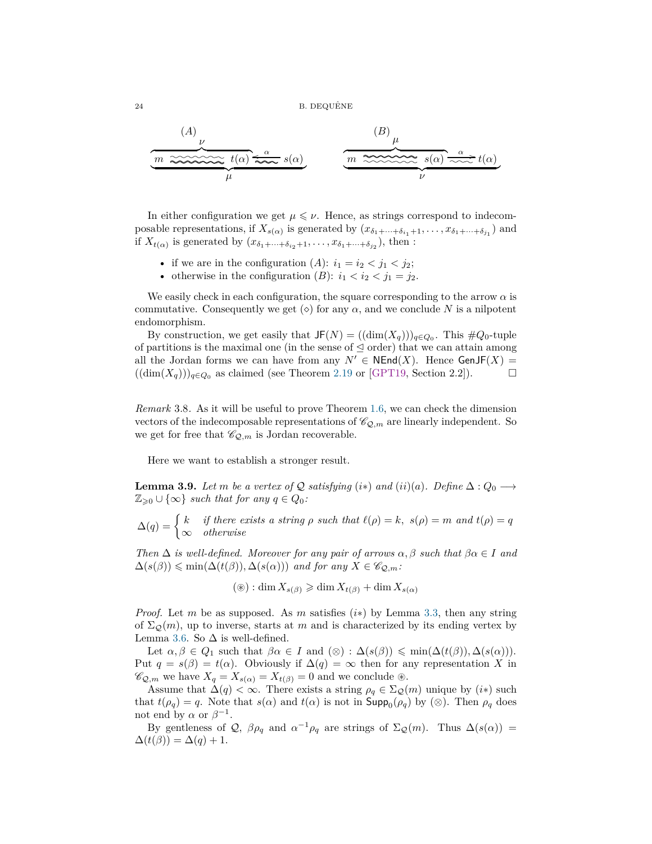$24$  B. DEQUÊNE

(A)  
\n
$$
\underbrace{m \xrightarrow{\omega} \underbrace{\omega}_{\mu} t(\alpha) \xrightarrow{\alpha} s(\alpha)}_{\mu}
$$
\n(B)  
\n $\underbrace{m \xrightarrow{\infty} s(\alpha) \xrightarrow{\alpha} t(\alpha)}_{\nu}$ 

In either configuration we get  $\mu \leq \nu$ . Hence, as strings correspond to indecomposable representations, if  $X_{s(\alpha)}$  is generated by  $(x_{\delta_1+\cdots+\delta_{i_1}+1},...,x_{\delta_1+\cdots+\delta_{j_1}})$  and if  $X_{t(\alpha)}$  is generated by  $(x_{\delta_1+\cdots+\delta_{i_2}+1},\ldots,x_{\delta_1+\cdots+\delta_{j_2}})$ , then :

- if we are in the configuration  $(A)$ :  $i_1 = i_2 < j_1 < j_2$ ;
- otherwise in the configuration  $(B)$ :  $i_1 < i_2 < j_1 = j_2$ .

We easily check in each configuration, the square corresponding to the arrow  $\alpha$  is commutative. Consequently we get  $(\diamond)$  for any  $\alpha$ , and we conclude N is a nilpotent endomorphism.

By construction, we get easily that  $JF(N) = ((\dim(X_q)))_{q \in Q_0}$ . This  $\#Q_0$ -tuple of partitions is the maximal one (in the sense of  $\leq$  order) that we can attain among all the Jordan forms we can have from any  $N' \in \mathsf{NEnd}(X)$ . Hence  $\mathsf{GenJF}(X) =$  $((\dim(X_q)))_{q \in Q_0}$  as claimed (see Theorem [2.19](#page-12-1) or [\[GPT19,](#page-40-10) Section 2.2]). □

<span id="page-23-1"></span>*Remark* 3.8*.* As it will be useful to prove Theorem [1.6,](#page-5-2) we can check the dimension vectors of the indecomposable representations of  $\mathcal{C}_{\mathcal{Q},m}$  are linearly independent. So we get for free that  $\mathscr{C}_{\mathcal{Q},m}$  is Jordan recoverable.

Here we want to establish a stronger result.

<span id="page-23-0"></span>**Lemma 3.9.** *Let m be a vertex of*  $Q$  *satisfying* (*i*\*) *and* (*ii*)(*a*)*. Define*  $\Delta$  :  $Q_0 \rightarrow$  $\mathbb{Z}_{\geq 0} \cup \{\infty\}$  *such that for any*  $q \in Q_0$ *:* 

 $\Delta(q) = \begin{cases} k & \text{if there exists a string } \rho \text{ such that } \ell(\rho) = k, \ s(\rho) = m \text{ and } t(\rho) = q \end{cases}$ ∞ *otherwise*

*Then*  $\Delta$  *is well-defined. Moreover for any pair of arrows*  $\alpha$ ,  $\beta$  *such that*  $\beta \alpha \in I$  *and*  $\Delta(s(\beta)) \leq \min(\Delta(t(\beta)), \Delta(s(\alpha)))$  *and for any*  $X \in \mathscr{C}_{Q,m}$ *:* 

$$
(\circledast) : \dim X_{s(\beta)} \geqslant \dim X_{t(\beta)} + \dim X_{s(\alpha)}
$$

*Proof.* Let *m* be as supposed. As *m* satisfies (*i*∗) by Lemma [3.3,](#page-19-4) then any string of  $\Sigma_{\mathcal{Q}}(m)$ , up to inverse, starts at *m* and is characterized by its ending vertex by Lemma [3.6.](#page-21-0) So  $\Delta$  is well-defined.

Let  $\alpha, \beta \in Q_1$  such that  $\beta\alpha \in I$  and  $(\otimes) : \Delta(s(\beta)) \leq \min(\Delta(t(\beta)), \Delta(s(\alpha))).$ Put  $q = s(\beta) = t(\alpha)$ . Obviously if  $\Delta(q) = \infty$  then for any representation *X* in  $\mathscr{C}_{\mathcal{Q},m}$  we have  $X_q = X_{s(\alpha)} = X_{t(\beta)} = 0$  and we conclude  $\circledast$ .

Assume that  $\Delta(q) < \infty$ . There exists a string  $\rho_q \in \Sigma_{\mathcal{Q}}(m)$  unique by  $(i*)$  such that  $t(\rho_q) = q$ . Note that  $s(\alpha)$  and  $t(\alpha)$  is not in  $\text{Supp}_0(\rho_q)$  by  $(\otimes)$ . Then  $\rho_q$  does not end by  $\alpha$  or  $\beta^{-1}$ .

By gentleness of  $Q$ ,  $\beta \rho_q$  and  $\alpha^{-1} \rho_q$  are strings of  $\Sigma_Q(m)$ . Thus  $\Delta(s(\alpha))$  =  $\Delta(t(\beta)) = \Delta(q) + 1.$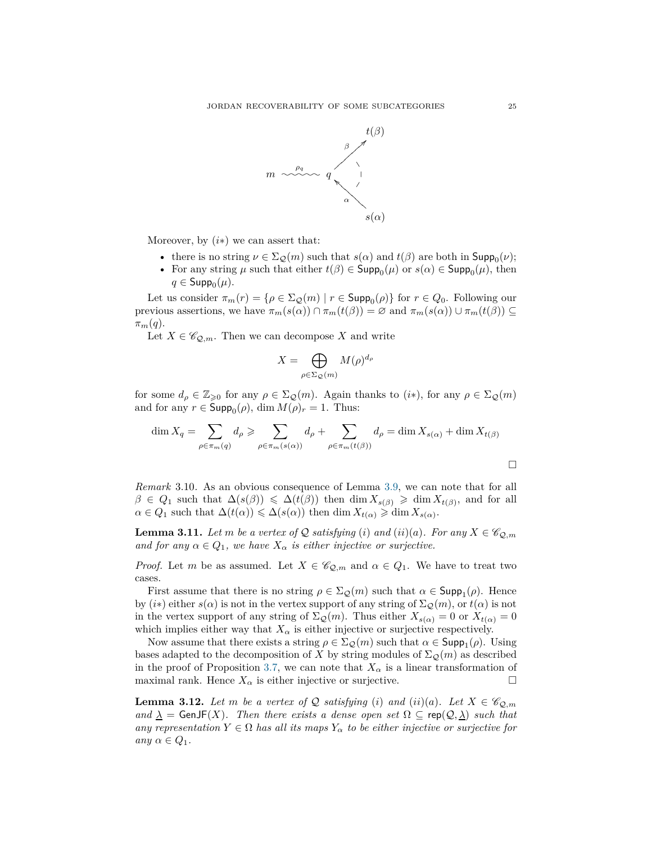

Moreover, by  $(i*)$  we can assert that:

- there is no string  $\nu \in \Sigma_{\mathcal{Q}}(m)$  such that  $s(\alpha)$  and  $t(\beta)$  are both in  $\mathsf{Supp}_0(\nu)$ ;
- For any string  $\mu$  such that either  $t(\beta) \in \text{Supp}_0(\mu)$  or  $s(\alpha) \in \text{Supp}_0(\mu)$ , then  $q \in \mathsf{Supp}_0(\mu)$ .

Let us consider  $\pi_m(r) = \{ \rho \in \Sigma_{\mathcal{Q}}(m) \mid r \in \mathsf{Supp}_0(\rho) \}$  for  $r \in Q_0$ . Following our previous assertions, we have  $\pi_m(s(\alpha)) \cap \pi_m(t(\beta)) = \varnothing$  and  $\pi_m(s(\alpha)) \cup \pi_m(t(\beta)) \subseteq$  $\pi_m(q)$ .

Let  $X \in \mathscr{C}_{\mathcal{Q},m}$ . Then we can decompose X and write

$$
X = \bigoplus_{\rho \in \Sigma_{\mathcal{Q}}(m)} M(\rho)^{d_{\rho}}
$$

for some  $d_{\rho} \in \mathbb{Z}_{\geqslant 0}$  for any  $\rho \in \Sigma_{\mathcal{Q}}(m)$ . Again thanks to  $(i*)$ , for any  $\rho \in \Sigma_{\mathcal{Q}}(m)$ and for any  $r \in \mathsf{Supp}_0(\rho)$ , dim  $M(\rho)_r = 1$ . Thus:

$$
\dim X_q = \sum_{\rho \in \pi_m(q)} d_{\rho} \ge \sum_{\rho \in \pi_m(s(\alpha))} d_{\rho} + \sum_{\rho \in \pi_m(t(\beta))} d_{\rho} = \dim X_{s(\alpha)} + \dim X_{t(\beta)}
$$

*Remark* 3.10*.* As an obvious consequence of Lemma [3.9,](#page-23-0) we can note that for all  $\beta \in Q_1$  such that  $\Delta(s(\beta)) \leq \Delta(t(\beta))$  then dim  $X_{s(\beta)} \geq \dim X_{t(\beta)}$ , and for all  $\alpha \in Q_1$  such that  $\Delta(t(\alpha)) \leq \Delta(s(\alpha))$  then dim  $X_{t(\alpha)} \geq \dim X_{s(\alpha)}$ .

<span id="page-24-0"></span>**Lemma 3.11.** *Let m be a vertex of*  $Q$  *satisfying* (*i*) *and* (*ii*)(*a*)*. For any*  $X \in \mathscr{C}_{Q,m}$ *and for any*  $\alpha \in Q_1$ *, we have*  $X_{\alpha}$  *is either injective or surjective.* 

*Proof.* Let *m* be as assumed. Let  $X \in \mathscr{C}_{\mathcal{Q},m}$  and  $\alpha \in Q_1$ . We have to treat two cases.

First assume that there is no string  $\rho \in \Sigma_{\mathcal{Q}}(m)$  such that  $\alpha \in \mathsf{Supp}_1(\rho)$ . Hence by  $(i*)$  either  $s(\alpha)$  is not in the vertex support of any string of  $\Sigma_{\mathcal{Q}}(m)$ , or  $t(\alpha)$  is not in the vertex support of any string of  $\Sigma_{\mathcal{Q}}(m)$ . Thus either  $X_{s(\alpha)} = 0$  or  $X_{t(\alpha)} = 0$ which implies either way that  $X_\alpha$  is either injective or surjective respectively.

Now assume that there exists a string  $\rho \in \Sigma_{\mathcal{Q}}(m)$  such that  $\alpha \in \mathsf{Supp}_1(\rho)$ . Using bases adapted to the decomposition of *X* by string modules of  $\Sigma_{\mathcal{Q}}(m)$  as described in the proof of Proposition [3.7,](#page-21-1) we can note that  $X_\alpha$  is a linear transformation of maximal rank. Hence  $X_{\alpha}$  is either injective or surjective.

<span id="page-24-1"></span>**Lemma 3.12.** Let *m* be a vertex of Q satisfying (i) and (ii)(a). Let  $X \in \mathscr{C}_{\mathcal{Q},m}$ *and*  $\lambda$  = GenJF(*X*)*. Then there exists a dense open set*  $\Omega \subseteq \text{rep}(\mathcal{Q}, \lambda)$  *such that any representation*  $Y \in \Omega$  *has all its maps*  $Y_{\alpha}$  *to be either injective or surjective for*  $any \alpha \in Q_1$ .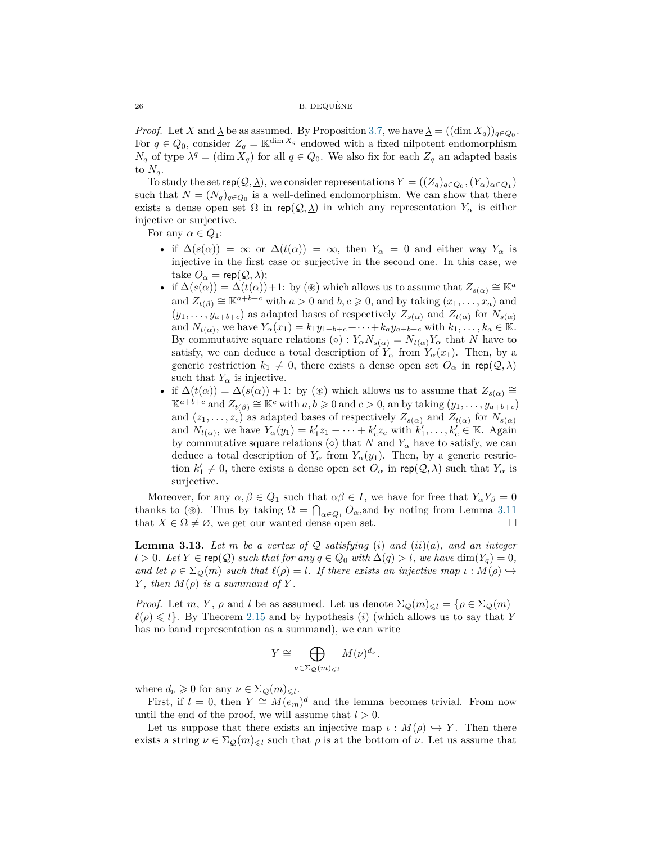*Proof.* Let *X* and  $\lambda$  be as assumed. By Proposition [3.7,](#page-21-1) we have  $\lambda = ((\dim X_q))_{q \in Q_0}$ . For  $q \in Q_0$ , consider  $Z_q = \mathbb{K}^{\dim X_q}$  endowed with a fixed nilpotent endomorphism *N*<sup>*q*</sup> of type  $\lambda^q = (\dim X_q)$  for all  $q \in Q_0$ . We also fix for each  $Z_q$  an adapted basis to  $N_q$ .

To study the set  $\mathsf{rep}(\mathcal{Q}, \underline{\lambda})$ , we consider representations  $Y = ((Z_q)_{q \in Q_0}, (Y_\alpha)_{\alpha \in Q_1})$ such that  $N = (N_q)_{q \in Q_0}$  is a well-defined endomorphism. We can show that there exists a dense open set  $\Omega$  in rep( $\mathcal{Q}, \underline{\lambda}$ ) in which any representation  $Y_\alpha$  is either injective or surjective.

For any  $\alpha \in Q_1$ :

- if  $\Delta(s(\alpha)) = \infty$  or  $\Delta(t(\alpha)) = \infty$ , then  $Y_{\alpha} = 0$  and either way  $Y_{\alpha}$  is injective in the first case or surjective in the second one. In this case, we take  $O_{\alpha} = \mathsf{rep}(\mathcal{Q}, \lambda);$
- if  $\Delta(s(\alpha)) = \Delta(t(\alpha)) + 1$ : by (⊛) which allows us to assume that  $Z_{s(\alpha)} \cong \mathbb{K}^a$ and  $Z_{t(\beta)} \cong \mathbb{K}^{a+b+c}$  with  $a > 0$  and  $b, c \geq 0$ , and by taking  $(x_1, \ldots, x_a)$  and  $(y_1, \ldots, y_{a+b+c})$  as adapted bases of respectively  $Z_{s(\alpha)}$  and  $Z_{t(\alpha)}$  for  $N_{s(\alpha)}$ and  $N_{t(\alpha)}$ , we have  $Y_{\alpha}(x_1) = k_1 y_{1+b+c} + \cdots + k_a y_{a+b+c}$  with  $k_1, \ldots, k_a \in \mathbb{K}$ . By commutative square relations ( $\diamond$ ) :  $Y_{\alpha}N_{s(\alpha)} = N_{t(\alpha)}Y_{\alpha}$  that *N* have to satisfy, we can deduce a total description of  $\overline{Y}_{\alpha}$  from  $\overline{Y}_{\alpha}(x_1)$ . Then, by a generic restriction  $k_1 \neq 0$ , there exists a dense open set  $O_\alpha$  in rep( $\mathcal{Q}, \lambda$ ) such that  $Y_\alpha$  is injective.
- if  $\Delta(t(\alpha)) = \Delta(s(\alpha)) + 1$ : by (⊛) which allows us to assume that  $Z_{s(\alpha)} \cong$  $\mathbb{K}^{a+b+c}$  and  $Z_{t(\beta)} \cong \mathbb{K}^c$  with  $a, b \geqslant 0$  and  $c > 0$ , an by taking  $(y_1, \ldots, y_{a+b+c})$ and  $(z_1, \ldots, z_c)$  as adapted bases of respectively  $Z_{s(\alpha)}$  and  $Z_{t(\alpha)}$  for  $N_{s(\alpha)}$ and  $N_{t(\alpha)}$ , we have  $Y_{\alpha}(y_1) = k_1' z_1 + \cdots + k_c' z_c$  with  $k_1', \ldots, k_c' \in \mathbb{K}$ . Again by commutative square relations  $\circ$  that *N* and  $Y_\alpha$  have to satisfy, we can deduce a total description of  $Y_\alpha$  from  $Y_\alpha(y_1)$ . Then, by a generic restriction  $k'_1 \neq 0$ , there exists a dense open set  $O_\alpha$  in rep( $\mathcal{Q}, \lambda$ ) such that  $Y_\alpha$  is surjective.

Moreover, for any  $\alpha, \beta \in Q_1$  such that  $\alpha\beta \in I$ , we have for free that  $Y_\alpha Y_\beta = 0$ thanks to (⊛). Thus by taking  $\Omega = \bigcap_{\alpha \in Q_1} O_\alpha$ , and by noting from Lemma [3.11](#page-24-0) that  $X \in \Omega \neq \emptyset$ , we get our wanted dense open set.

**Lemma 3.13.** Let m be a vertex of  $Q$  satisfying (*i*) and (*ii*)(*a*)*,* and an integer *l* > 0*. Let Y* ∈ rep( $Q$ ) *such that for any*  $q ∈ Q$ <sup>0</sup> *with*  $\Delta(q) > l$ *, we have* dim( $Y_q$ ) = 0*, and let*  $\rho \in \Sigma_{\mathcal{O}}(m)$  *such that*  $\ell(\rho) = l$ *. If there exists an injective map*  $\iota : M(\rho) \hookrightarrow$ *Y*, then  $M(\rho)$  *is a summand of Y*.

*Proof.* Let *m*, *Y*,  $\rho$  and *l* be as assumed. Let us denote  $\Sigma_{\mathcal{Q}}(m)_{\leq l} = {\rho \in \Sigma_{\mathcal{Q}}(m)}$  $\ell(\rho) \leq l$ . By Theorem [2.15](#page-10-0) and by hypothesis *(i)* (which allows us to say that *Y* has no band representation as a summand), we can write

$$
Y \cong \bigoplus_{\nu \in \Sigma_{\mathcal{Q}}(m)_{\leqslant l}} M(\nu)^{d_{\nu}}.
$$

where  $d_{\nu} \geqslant 0$  for any  $\nu \in \Sigma_{\mathcal{Q}}(m)_{\leqslant l}$ .

First, if  $l = 0$ , then  $Y \cong M(e_m)^d$  and the lemma becomes trivial. From now until the end of the proof, we will assume that  $l > 0$ .

Let us suppose that there exists an injective map  $\iota : M(\rho) \hookrightarrow Y$ . Then there exists a string  $\nu \in \Sigma_{\mathcal{Q}}(m)_{\leq \ell}$  such that  $\rho$  is at the bottom of  $\nu$ . Let us assume that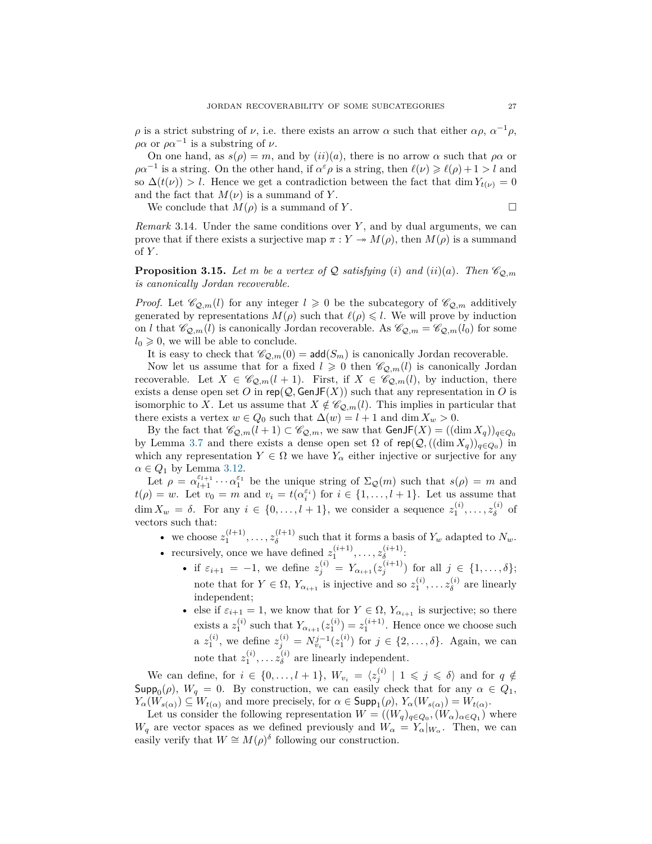*ρ* is a strict substring of *ν*, i.e. there exists an arrow  $\alpha$  such that either  $\alpha \rho$ ,  $\alpha^{-1} \rho$ ,  $\rho \alpha$  or  $\rho \alpha^{-1}$  is a substring of *ν*.

On one hand, as  $s(\rho) = m$ , and by  $(ii)(a)$ , there is no arrow  $\alpha$  such that  $\rho \alpha$  or  $\rho \alpha^{-1}$  is a string. On the other hand, if  $\alpha^{\varepsilon} \rho$  is a string, then  $\ell(\nu) \geqslant \ell(\rho) + 1 > l$  and so  $\Delta(t(\nu)) > l$ . Hence we get a contradiction between the fact that dim  $Y_{t(\nu)} = 0$ and the fact that  $M(\nu)$  is a summand of Y.

We conclude that  $M(\rho)$  is a summand of *Y*.

*Remark* 3.14*.* Under the same conditions over *Y* , and by dual arguments, we can prove that if there exists a surjective map  $\pi : Y \twoheadrightarrow M(\rho)$ , then  $M(\rho)$  is a summand of *Y* .

<span id="page-26-0"></span>**Proposition 3.15.** Let m be a vertex of Q satisfying (*i*) and (*ii*)(*a*). Then  $\mathscr{C}_{\mathcal{O},m}$ *is canonically Jordan recoverable.*

*Proof.* Let  $\mathcal{C}_{Q,m}(l)$  for any integer  $l \geq 0$  be the subcategory of  $\mathcal{C}_{Q,m}$  additively generated by representations  $M(\rho)$  such that  $\ell(\rho) \leq l$ . We will prove by induction on *l* that  $\mathscr{C}_{\mathcal{Q},m}(l)$  is canonically Jordan recoverable. As  $\mathscr{C}_{\mathcal{Q},m} = \mathscr{C}_{\mathcal{Q},m}(l_0)$  for some  $l_0 \geqslant 0$ , we will be able to conclude.

It is easy to check that  $\mathcal{C}_{\mathcal{Q},m}(0) = \text{add}(S_m)$  is canonically Jordan recoverable.

Now let us assume that for a fixed  $l \geq 0$  then  $\mathcal{C}_{Q,m}(l)$  is canonically Jordan recoverable. Let  $X \in \mathscr{C}_{\mathcal{Q},m}(l+1)$ . First, if  $X \in \mathscr{C}_{\mathcal{Q},m}(l)$ , by induction, there exists a dense open set *O* in rep( $Q$ , GenJF( $X$ )) such that any representation in *O* is isomorphic to *X*. Let us assume that  $X \notin \mathscr{C}_{\mathcal{Q},m}(l)$ . This implies in particular that there exists a vertex  $w \in Q_0$  such that  $\Delta(w) = l + 1$  and dim  $X_w > 0$ .

By the fact that  $\mathscr{C}_{\mathcal{Q},m}(l+1) \subset \mathscr{C}_{\mathcal{Q},m}$ , we saw that  $\text{GenJF}(X) = ((\dim X_q))_{q \in Q_0}$ by Lemma [3.7](#page-21-1) and there exists a dense open set  $\Omega$  of  $\text{rep}(\mathcal{Q},((\dim X_q))_{q\in Q_0})$  in which any representation  $Y \in \Omega$  we have  $Y_\alpha$  either injective or surjective for any  $\alpha \in Q_1$  by Lemma [3.12.](#page-24-1)

Let  $\rho = \alpha_{l+1}^{\varepsilon_{l+1}} \cdots \alpha_1^{\varepsilon_1}$  be the unique string of  $\Sigma_{\mathcal{Q}}(m)$  such that  $s(\rho) = m$  and  $t(\rho) = w$ . Let  $v_0 = m$  and  $v_i = t(\alpha_i^{\varepsilon_i})$  for  $i \in \{1, \ldots, l + 1\}$ . Let us assume that  $\dim X_w = \delta$ . For any  $i \in \{0, \ldots, l+1\}$ , we consider a sequence  $z_1^{(i)}, \ldots, z_\delta^{(i)}$ *δ* of vectors such that:

- we choose  $z_1^{(l+1)}, \ldots, z_{\delta}^{(l+1)}$  $\delta^{(t+1)}$  such that it forms a basis of  $Y_w$  adapted to  $N_w$ . • recursively, once we have defined  $z_1^{(i+1)}, \ldots, z_{\delta}^{(i+1)}$ *δ* :
	- if  $\varepsilon_{i+1} = -1$ , we define  $z_j^{(i)} = Y_{\alpha_{i+1}}(z_j^{(i+1)})$  for all  $j \in \{1, ..., \delta\};$ note that for  $Y \in \Omega$ ,  $Y_{\alpha_{i+1}}$  is injective and so  $z_1^{(i)}, \ldots z_\delta^{(i)}$  $\delta$ <sup>(*i*</sup>) are linearly independent;
	- else if  $\varepsilon_{i+1} = 1$ , we know that for  $Y \in \Omega$ ,  $Y_{\alpha_{i+1}}$  is surjective; so there exists a  $z_1^{(i)}$  such that  $Y_{\alpha_{i+1}}(z_1^{(i)}) = z_1^{(i+1)}$ . Hence once we choose such a  $z_1^{(i)}$ , we define  $z_j^{(i)} = N_{v_i}^{j-1}(z_1^{(i)})$  for  $j \in \{2, ..., \delta\}$ . Again, we can note that  $z_1^{(i)}, \ldots z_\delta^{(i)}$  $\delta$ <sup>(*i*</sup>) are linearly independent.

We can define, for  $i \in \{0, \ldots, l+1\}$ ,  $W_{v_i} = \langle z_j^{(i)} \mid 1 \leqslant j \leqslant \delta \rangle$  and for  $q \notin$  $\textsf{Supp}_0(\rho)$ ,  $W_q = 0$ . By construction, we can easily check that for any  $\alpha \in Q_1$ ,  $Y_{\alpha}(W_{s(\alpha)}) \subseteq W_{t(\alpha)}$  and more precisely, for  $\alpha \in \text{Supp}_1(\rho)$ ,  $Y_{\alpha}(W_{s(\alpha)}) = W_{t(\alpha)}$ .

Let us consider the following representation  $W = ((W_q)_{q \in Q_0}, (W_\alpha)_{\alpha \in Q_1})$  where *W*<sub>*q*</sub> are vector spaces as we defined previously and  $W_{\alpha} = Y_{\alpha}|_{W_{\alpha}}$ . Then, we can easily verify that  $W \cong M(\rho)^\delta$  following our construction.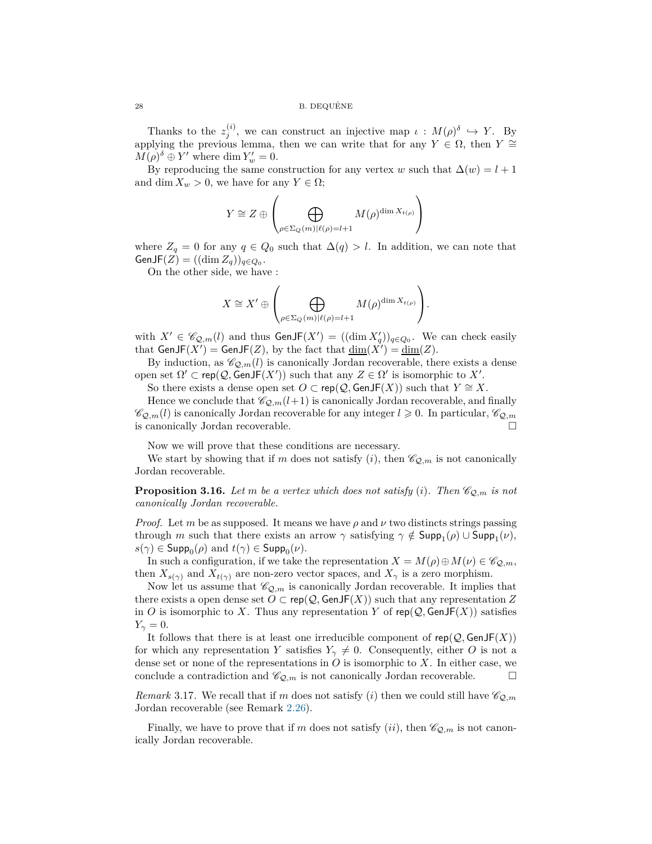Thanks to the  $z_j^{(i)}$ , we can construct an injective map  $\iota : M(\rho)^\delta \hookrightarrow Y$ . By applying the previous lemma, then we can write that for any  $Y \in \Omega$ , then  $Y \cong$  $M(\rho)^{\delta} \oplus Y'$  where dim  $Y'_{w} = 0$ .

By reproducing the same construction for any vertex *w* such that  $\Delta(w) = l + 1$ and dim  $X_w > 0$ , we have for any  $Y \in \Omega$ ;

$$
Y \cong Z \oplus \left( \bigoplus_{\rho \in \Sigma_Q(m) | \ell(\rho) = l+1} M(\rho)^{\dim X_{t(\rho)}} \right)
$$

where  $Z_q = 0$  for any  $q \in Q_0$  such that  $\Delta(q) > l$ . In addition, we can note that  $\mathsf{GenJF}(Z) = ((\dim Z_q))_{q \in Q_0}.$ 

On the other side, we have :

$$
X \cong X' \oplus \left( \bigoplus_{\rho \in \Sigma_Q(m) | \ell(\rho) = l+1} M(\rho)^{\dim X_{t(\rho)}} \right).
$$

with  $X' \in \mathscr{C}_{\mathcal{Q},m}(l)$  and thus  $\textsf{GenJF}(X') = ((\dim X'_q))_{q \in Q_0}$ . We can check easily that  $\mathsf{GenJF}(X') = \mathsf{GenJF}(Z)$ , by the fact that  $\underline{\dim}(X') = \underline{\dim}(Z)$ .

By induction, as  $\mathcal{C}_{Q,m}(l)$  is canonically Jordan recoverable, there exists a dense open set  $\Omega' \subset \text{rep}(\mathcal{Q}, \text{GenJF}(X'))$  such that any  $Z \in \Omega'$  is isomorphic to X'.

So there exists a dense open set  $O \subset \text{rep}(\mathcal{Q}, \text{GenJF}(X))$  such that  $Y \cong X$ .

Hence we conclude that  $\mathcal{C}_{\mathcal{Q},m}(l+1)$  is canonically Jordan recoverable, and finally  $\mathscr{C}_{\mathcal{Q},m}(l)$  is canonically Jordan recoverable for any integer  $l \geqslant 0$ . In particular,  $\mathscr{C}_{\mathcal{Q},m}$ is canonically Jordan recoverable.

Now we will prove that these conditions are necessary.

We start by showing that if *m* does not satisfy  $(i)$ , then  $\mathcal{C}_{Q,m}$  is not canonically Jordan recoverable.

<span id="page-27-0"></span>**Proposition 3.16.** *Let m be a vertex which does not satisfy* (*i*)*. Then*  $\mathcal{C}_{Q,m}$  *is not canonically Jordan recoverable.*

*Proof.* Let *m* be as supposed. It means we have  $\rho$  and  $\nu$  two distincts strings passing through *m* such that there exists an arrow  $\gamma$  satisfying  $\gamma \notin \textsf{Supp}_1(\rho) \cup \textsf{Supp}_1(\nu)$ ,  $s(\gamma) \in \mathsf{Supp}_0(\rho)$  and  $t(\gamma) \in \mathsf{Supp}_0(\nu)$ .

In such a configuration, if we take the representation  $X = M(\rho) \oplus M(\nu) \in \mathscr{C}_{\mathcal{Q},m}$ , then  $X_{s(\gamma)}$  and  $X_{t(\gamma)}$  are non-zero vector spaces, and  $X_{\gamma}$  is a zero morphism.

Now let us assume that  $\mathscr{C}_{Q,m}$  is canonically Jordan recoverable. It implies that there exists a open dense set  $O \subset \text{rep}(\mathcal{Q}, \text{GenJF}(X))$  such that any representation Z in *O* is isomorphic to *X*. Thus any representation *Y* of rep( $Q$ , GenJF( $X$ )) satisfies  $Y_{\gamma} = 0.$ 

It follows that there is at least one irreducible component of  $rep(Q, GenJF(X))$ for which any representation *Y* satisfies  $Y_{\gamma} \neq 0$ . Consequently, either *O* is not a dense set or none of the representations in *O* is isomorphic to *X*. In either case, we conclude a contradiction and  $\mathscr{C}_{\mathcal{Q},m}$  is not canonically Jordan recoverable.

*Remark* 3.17. We recall that if *m* does not satisfy (*i*) then we could still have  $\mathcal{C}_{\mathcal{Q},m}$ Jordan recoverable (see Remark [2.26\)](#page-16-0).

Finally, we have to prove that if *m* does not satisfy (*ii*), then  $\mathscr{C}_{\mathcal{Q},m}$  is not canonically Jordan recoverable.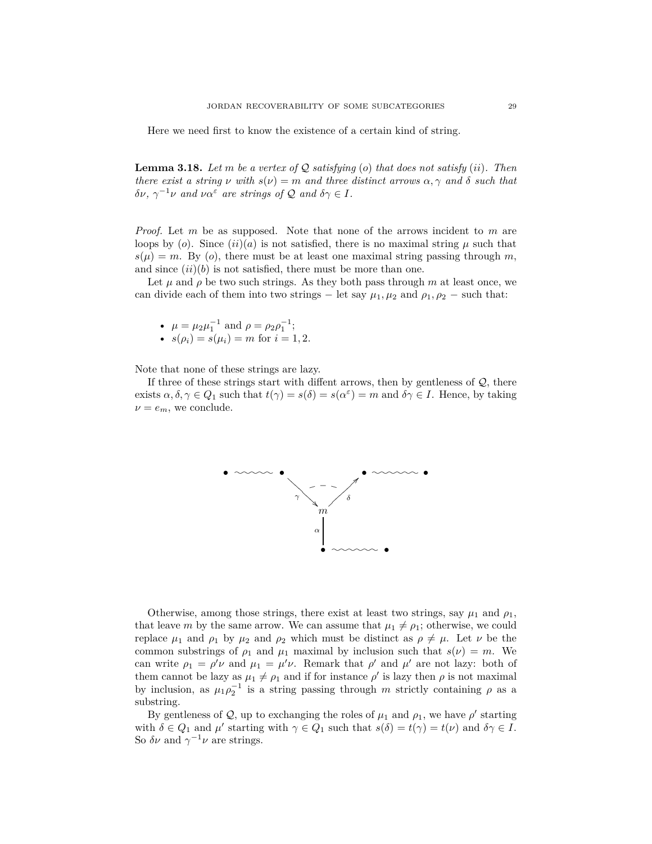Here we need first to know the existence of a certain kind of string.

<span id="page-28-0"></span>**Lemma 3.18.** Let  $m$  be a vertex of  $Q$  satisfying (*o*) that does not satisfy (*ii*). Then *there exist a string*  $\nu$  *with*  $s(\nu) = m$  *and three distinct arrows*  $\alpha, \gamma$  *and*  $\delta$  *such that δν*,  $\gamma^{-1}$ *ν and να*<sup>*ε*</sup> *are strings of*  $Q$  *and*  $\delta \gamma \in I$ *.* 

*Proof.* Let *m* be as supposed. Note that none of the arrows incident to *m* are loops by (*o*). Since  $(ii)(a)$  is not satisfied, there is no maximal string  $\mu$  such that  $s(\mu) = m$ . By (*o*), there must be at least one maximal string passing through *m*, and since  $(ii)(b)$  is not satisfied, there must be more than one.

Let  $\mu$  and  $\rho$  be two such strings. As they both pass through  $m$  at least once, we can divide each of them into two strings – let say  $\mu_1, \mu_2$  and  $\rho_1, \rho_2$  – such that:

• 
$$
\mu = \mu_2 \mu_1^{-1}
$$
 and  $\rho = \rho_2 \rho_1^{-1}$ ;

• 
$$
s(\rho_i) = s(\mu_i) = m
$$
 for  $i = 1, 2$ .

Note that none of these strings are lazy.

If three of these strings start with diffent arrows, then by gentleness of  $\mathcal{Q}$ , there exists  $\alpha, \delta, \gamma \in Q_1$  such that  $t(\gamma) = s(\delta) = s(\alpha^{\varepsilon}) = m$  and  $\delta \gamma \in I$ . Hence, by taking  $\nu = e_m$ , we conclude.



Otherwise, among those strings, there exist at least two strings, say  $\mu_1$  and  $\rho_1$ , that leave *m* by the same arrow. We can assume that  $\mu_1 \neq \rho_1$ ; otherwise, we could replace  $\mu_1$  and  $\rho_1$  by  $\mu_2$  and  $\rho_2$  which must be distinct as  $\rho \neq \mu$ . Let  $\nu$  be the common substrings of  $\rho_1$  and  $\mu_1$  maximal by inclusion such that  $s(\nu) = m$ . We can write  $\rho_1 = \rho' \nu$  and  $\mu_1 = \mu' \nu$ . Remark that  $\rho'$  and  $\mu'$  are not lazy: both of them cannot be lazy as  $\mu_1 \neq \rho_1$  and if for instance  $\rho'$  is lazy then  $\rho$  is not maximal by inclusion, as  $\mu_1 \rho_2^{-1}$  is a string passing through *m* strictly containing  $\rho$  as a substring.

By gentleness of  $Q$ , up to exchanging the roles of  $\mu_1$  and  $\rho_1$ , we have  $\rho'$  starting with  $\delta \in Q_1$  and  $\mu'$  starting with  $\gamma \in Q_1$  such that  $s(\delta) = t(\gamma) = t(\nu)$  and  $\delta \gamma \in I$ . So  $\delta \nu$  and  $\gamma^{-1} \nu$  are strings.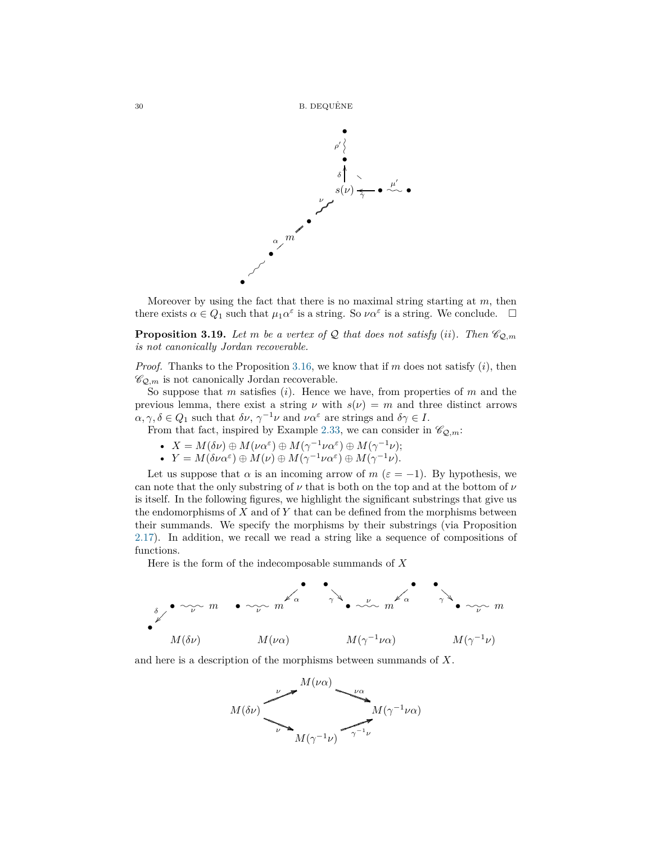

Moreover by using the fact that there is no maximal string starting at *m*, then there exists  $\alpha \in Q_1$  such that  $\mu_1 \alpha^{\varepsilon}$  is a string. So  $\nu \alpha^{\varepsilon}$  is a string. We conclude.  $\square$ 

<span id="page-29-0"></span>**Proposition 3.19.** Let *m* be a vertex of Q that does not satisfy (*ii*). Then  $\mathcal{C}_{\mathcal{Q},m}$ *is not canonically Jordan recoverable.*

*Proof.* Thanks to the Proposition [3.16,](#page-27-0) we know that if *m* does not satisfy (*i*), then  $\mathscr{C}_{\mathcal{Q},m}$  is not canonically Jordan recoverable.

So suppose that *m* satisfies (*i*). Hence we have, from properties of *m* and the previous lemma, there exist a string  $\nu$  with  $s(\nu) = m$  and three distinct arrows  $\alpha, \gamma, \delta \in Q_1$  such that  $\delta \nu, \gamma^{-1} \nu$  and  $\nu \alpha^{\varepsilon}$  are strings and  $\delta \gamma \in I$ .

From that fact, inspired by Example [2.33,](#page-19-3) we can consider in  $\mathscr{C}_{\mathcal{Q},m}$ :

• 
$$
X = M(\delta \nu) \oplus M(\nu \alpha^{\varepsilon}) \oplus M(\gamma^{-1} \nu \alpha^{\varepsilon}) \oplus M(\gamma^{-1} \nu);
$$

•  $Y = M(\delta \nu \alpha^{\varepsilon}) \oplus M(\nu) \oplus M(\gamma^{-1} \nu \alpha^{\varepsilon}) \oplus M(\gamma^{-1} \nu).$ 

Let us suppose that  $\alpha$  is an incoming arrow of  $m$  ( $\varepsilon = -1$ ). By hypothesis, we can note that the only substring of *ν* that is both on the top and at the bottom of *ν* is itself. In the following figures, we highlight the significant substrings that give us the endomorphisms of *X* and of *Y* that can be defined from the morphisms between their summands. We specify the morphisms by their substrings (via Proposition [2.17\)](#page-10-1). In addition, we recall we read a string like a sequence of compositions of functions.

Here is the form of the indecomposable summands of *X*



and here is a description of the morphisms between summands of *X*.

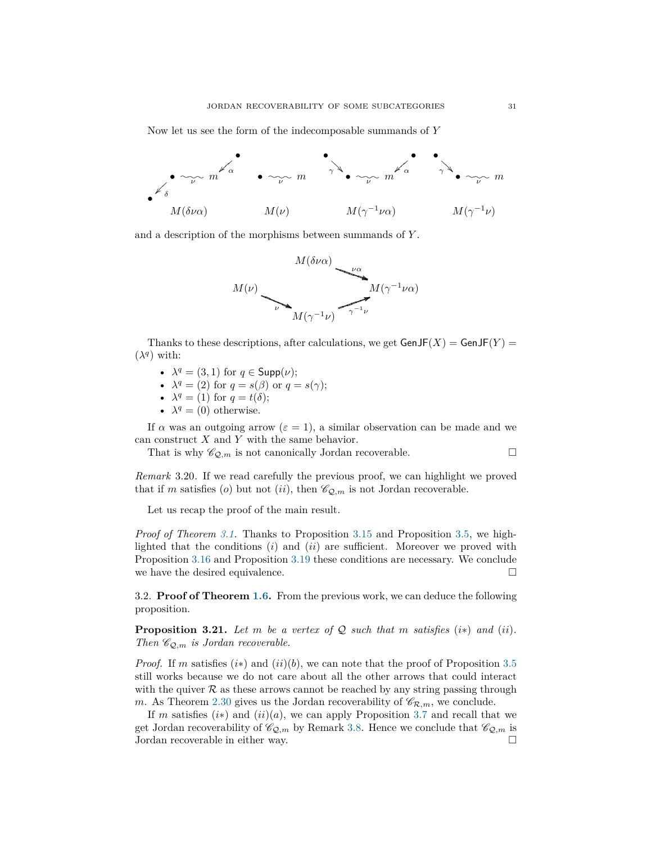Now let us see the form of the indecomposable summands of *Y*



and a description of the morphisms between summands of *Y* .



Thanks to these descriptions, after calculations, we get  $GenJF(X) = GenJF(Y) =$  $(\lambda^q)$  with:

- $\lambda^q = (3, 1)$  for  $q \in \text{Supp}(\nu)$ ;
- $\lambda^q = (2)$  for  $q = s(\beta)$  or  $q = s(\gamma)$ ;
- $\lambda^q = (1)$  for  $q = t(\delta);$
- $\lambda^q = (0)$  otherwise.

If  $\alpha$  was an outgoing arrow ( $\varepsilon = 1$ ), a similar observation can be made and we can construct *X* and *Y* with the same behavior.

That is why  $\mathscr{C}_{\mathcal{Q},m}$  is not canonically Jordan recoverable.

<span id="page-30-1"></span>*Remark* 3.20*.* If we read carefully the previous proof, we can highlight we proved that if *m* satisfies (*o*) but not (*ii*), then  $\mathcal{C}_{Q,m}$  is not Jordan recoverable.

Let us recap the proof of the main result.

*Proof of Theorem [3.1.](#page-19-2)* Thanks to Proposition [3.15](#page-26-0) and Proposition [3.5,](#page-20-1) we highlighted that the conditions (*i*) and (*ii*) are sufficient. Moreover we proved with Proposition [3.16](#page-27-0) and Proposition [3.19](#page-29-0) these conditions are necessary. We conclude we have the desired equivalence.  $\Box$ 

<span id="page-30-0"></span>3.2. **Proof of Theorem [1.6.](#page-5-2)** From the previous work, we can deduce the following proposition.

<span id="page-30-2"></span>**Proposition 3.21.** Let  $m$  be a vertex of  $Q$  such that  $m$  satisfies (*i*\*) and (*ii*). *Then*  $\mathcal{C}_{\mathcal{Q},m}$  *is Jordan recoverable.* 

*Proof.* If *m* satisfies  $(i*)$  and  $(ii)(b)$ , we can note that the proof of Proposition [3.5](#page-20-1) still works because we do not care about all the other arrows that could interact with the quiver  $\mathcal R$  as these arrows cannot be reached by any string passing through *m*. As Theorem [2.30](#page-17-1) gives us the Jordan recoverability of  $\mathcal{C}_{\mathcal{R},m}$ , we conclude.

If *m* satisfies  $(i*)$  and  $(ii)(a)$ , we can apply Proposition [3.7](#page-21-1) and recall that we get Jordan recoverability of  $\mathcal{C}_{Q,m}$  by Remark [3.8.](#page-23-1) Hence we conclude that  $\mathcal{C}_{Q,m}$  is Jordan recoverable in either way.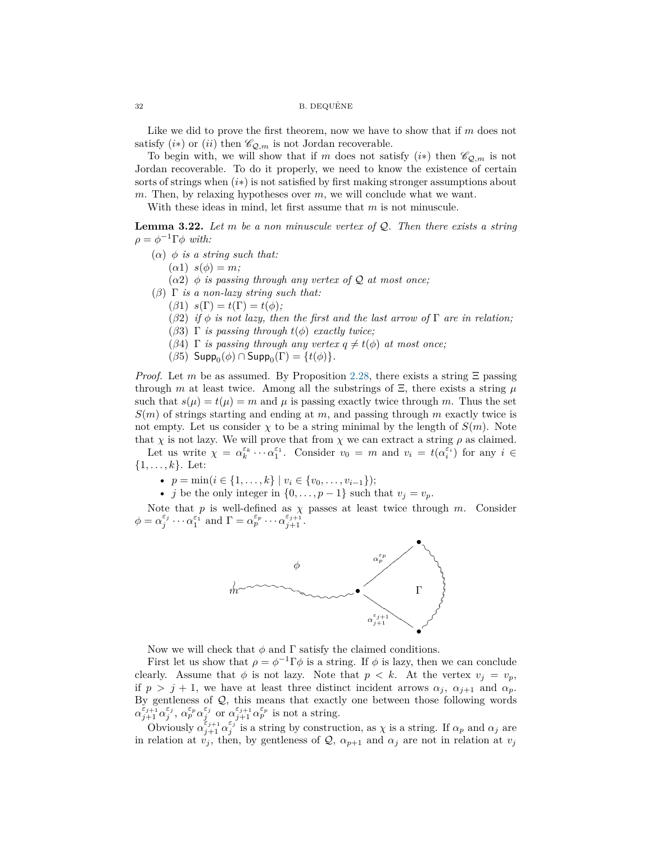#### $32$  B. DEQUÊNE

Like we did to prove the first theorem, now we have to show that if *m* does not satisfy  $(i*)$  or  $(ii)$  then  $\mathscr{C}_{\mathcal{Q},m}$  is not Jordan recoverable.

To begin with, we will show that if *m* does not satisfy  $(i*)$  then  $\mathcal{C}_{Q,m}$  is not Jordan recoverable. To do it properly, we need to know the existence of certain sorts of strings when (*i*∗) is not satisfied by first making stronger assumptions about *m*. Then, by relaxing hypotheses over *m*, we will conclude what we want.

With these ideas in mind, let first assume that *m* is not minuscule.

**Lemma 3.22.** *Let m be a non minuscule vertex of* Q*. Then there exists a string*  $\rho = \phi^{-1} \Gamma \phi$  *with:* 

- (*α*) *φ is a string such that:*
	- $(\alpha 1)$   $s(\phi) = m$ ;

 $(\alpha 2)$   $\phi$  *is passing through any vertex of*  $\mathcal Q$  *at most once;* 

- (*β*) Γ *is a non-lazy string such that:*
	- $(\beta 1)$   $s(\Gamma) = t(\Gamma) = t(\phi);$
	- (*β*2) *if*  $\phi$  *is not lazy, then the first and the last arrow of*  $\Gamma$  *are in relation;*
	- (*β*3) Γ *is passing through t*(*φ*) *exactly twice;*
	- (*β*4)  $\Gamma$  *is passing through any vertex*  $q \neq t(\phi)$  *at most once*;
	- $(\beta 5)$  Supp<sub>0</sub> $(\phi)$   $\cap$  Supp<sub>0</sub> $(\Gamma)$  = {*t*( $\phi$ )}.

*Proof.* Let *m* be as assumed. By Proposition [2.28,](#page-17-0) there exists a string  $\Xi$  passing through *m* at least twice. Among all the substrings of  $\Xi$ , there exists a string  $\mu$ such that  $s(\mu) = t(\mu) = m$  and  $\mu$  is passing exactly twice through m. Thus the set *S*(*m*) of strings starting and ending at *m*, and passing through *m* exactly twice is not empty. Let us consider  $\chi$  to be a string minimal by the length of  $S(m)$ . Note that  $\chi$  is not lazy. We will prove that from  $\chi$  we can extract a string  $\rho$  as claimed.

Let us write  $\chi = \alpha_k^{\varepsilon_k} \cdots \alpha_1^{\varepsilon_1}$ . Consider  $v_0 = m$  and  $v_i = t(\alpha_i^{\varepsilon_i})$  for any  $i \in$ {1*, . . . , k*}. Let:

- *p* = min(*i* ∈ {1*, . . . , k*} | *v<sup>i</sup>* ∈ {*v*0*, . . . , v<sup>i</sup>*−1});
- *j* be the only integer in  $\{0, \ldots, p-1\}$  such that  $v_j = v_p$ .

Note that  $p$  is well-defined as  $\chi$  passes at least twice through  $m$ . Consider  $\phi = \alpha_j^{\varepsilon_j} \cdots \alpha_1^{\varepsilon_1}$  and  $\Gamma = \alpha_p^{\varepsilon_p} \cdots \alpha_{j+1}^{\varepsilon_{j+1}}$ .



Now we will check that  $\phi$  and  $\Gamma$  satisfy the claimed conditions.

First let us show that  $\rho = \phi^{-1} \Gamma \phi$  is a string. If  $\phi$  is lazy, then we can conclude clearly. Assume that  $\phi$  is not lazy. Note that  $p < k$ . At the vertex  $v_j = v_p$ , if  $p > j + 1$ , we have at least three distinct incident arrows  $\alpha_j$ ,  $\alpha_{j+1}$  and  $\alpha_p$ . By gentleness of Q, this means that exactly one between those following words  $\alpha_{j+1}^{\varepsilon_{j+1}} \alpha_j^{\varepsilon_j}, \, \alpha_p^{\varepsilon_p} \alpha_j^{\varepsilon_j}$  or  $\alpha_{j+1}^{\varepsilon_{j+1}} \alpha_p^{\varepsilon_p}$  is not a string.

Obviously  $\alpha_{j+1}^{\varepsilon_{j+1}} \alpha_j^{\varepsilon_j}$  is a string by construction, as  $\chi$  is a string. If  $\alpha_p$  and  $\alpha_j$  are in relation at  $v_j$ , then, by gentleness of  $\mathcal{Q}$ ,  $\alpha_{p+1}$  and  $\alpha_j$  are not in relation at  $v_j$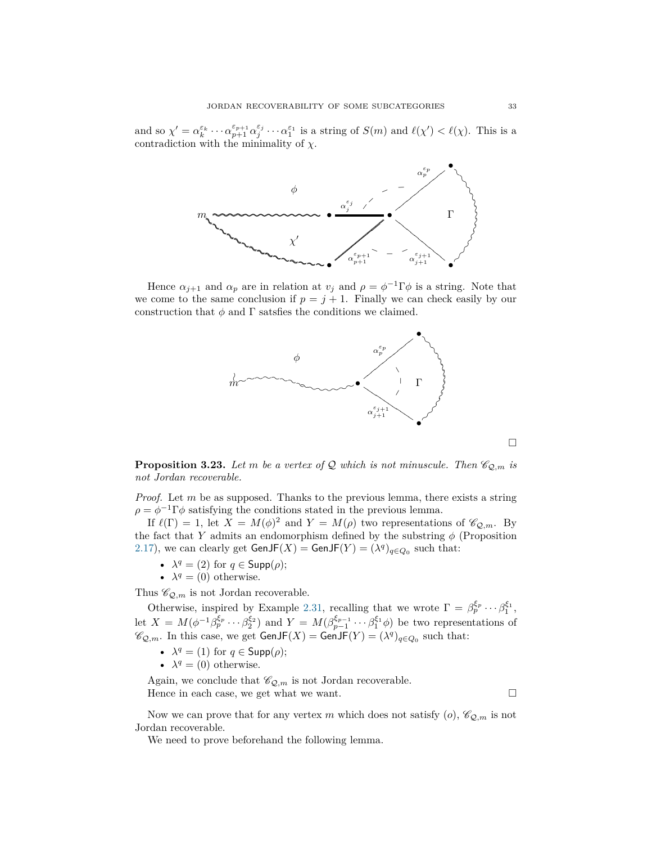and so  $\chi' = \alpha_k^{\varepsilon_k} \cdots \alpha_{p+1}^{\varepsilon_{p+1}} \alpha_j^{\varepsilon_j} \cdots \alpha_1^{\varepsilon_1}$  is a string of  $S(m)$  and  $\ell(\chi') < \ell(\chi)$ . This is a contradiction with the minimality of  $\chi$ .



Hence  $\alpha_{j+1}$  and  $\alpha_p$  are in relation at  $v_j$  and  $\rho = \phi^{-1} \Gamma \phi$  is a string. Note that we come to the same conclusion if  $p = j + 1$ . Finally we can check easily by our construction that  $\phi$  and  $\Gamma$  satsfies the conditions we claimed.



<span id="page-32-0"></span>**Proposition 3.23.** Let *m* be a vertex of Q which is not minuscule. Then  $\mathcal{C}_{\mathcal{Q},m}$  is *not Jordan recoverable.*

*Proof.* Let *m* be as supposed. Thanks to the previous lemma, there exists a string  $\rho = \phi^{-1} \Gamma \phi$  satisfying the conditions stated in the previous lemma.

If  $\ell(\Gamma) = 1$ , let  $X = M(\phi)^2$  and  $Y = M(\rho)$  two representations of  $\mathscr{C}_{\mathcal{Q},m}$ . By the fact that *Y* admits an endomorphism defined by the substring  $\phi$  (Proposition [2.17\)](#page-10-1), we can clearly get  $\mathsf{GenJF}(X) = \mathsf{GenJF}(Y) = (\lambda^q)_{q \in Q_0}$  such that:

- $\lambda^q = (2)$  for  $q \in \mathsf{Supp}(\rho);$
- $\lambda^q = (0)$  otherwise.

Thus  $\mathscr{C}_{\mathcal{Q},m}$  is not Jordan recoverable.

Otherwise, inspired by Example [2.31,](#page-18-0) recalling that we wrote  $\Gamma = \beta_p^{\xi_p} \cdots \beta_1^{\xi_1}$ , let  $X = M(\phi^{-1}\beta_p^{\xi_p} \cdots \beta_2^{\xi_2})$  and  $Y = M(\beta_{p-1}^{\xi_{p-1}} \cdots \beta_1^{\xi_1} \phi)$  be two representations of  $\mathscr{C}_{\mathcal{Q},m}$ . In this case, we get  $\mathsf{GenJF}(X) = \mathsf{GenJF}(Y) = (\lambda^q)_{q \in Q_0}$  such that:

- $\lambda^q = (1)$  for  $q \in \mathsf{Supp}(\rho);$
- $\lambda^q = (0)$  otherwise.

Again, we conclude that  $\mathscr{C}_{\mathcal{Q},m}$  is not Jordan recoverable. Hence in each case, we get what we want.  $\Box$ 

 $\Box$ 

Now we can prove that for any vertex *m* which does not satisfy  $(o)$ ,  $\mathscr{C}_{\mathcal{Q},m}$  is not Jordan recoverable.

We need to prove beforehand the following lemma.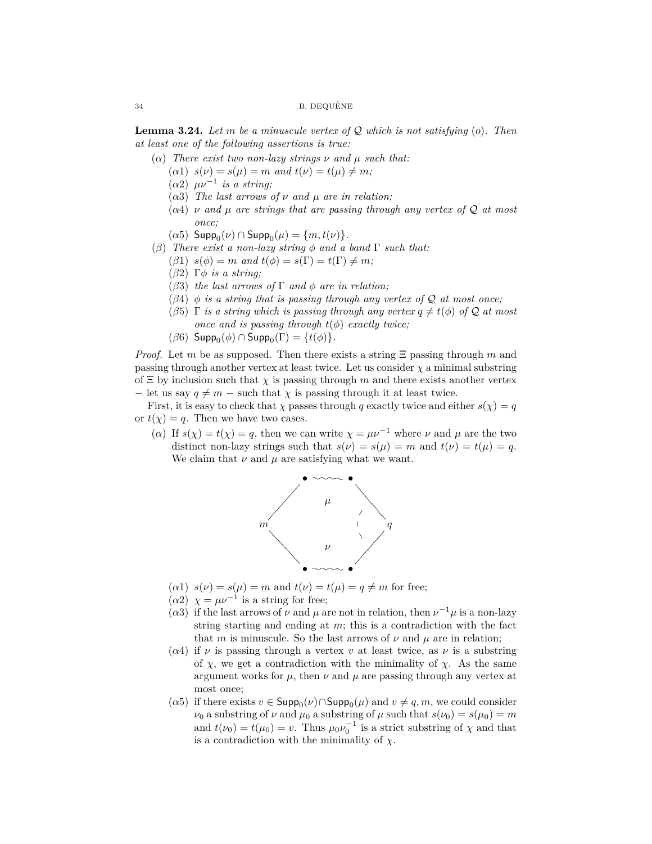**Lemma 3.24.** *Let m be a minuscule vertex of* Q *which is not satisfying* (*o*)*. Then at least one of the following assertions is true:*

- ( $\alpha$ ) *There exist two non-lazy strings*  $\nu$  *and*  $\mu$  *such that:* 
	- $(a_1)$   $s(\nu) = s(\mu) = m$  and  $t(\nu) = t(\mu) \neq m$ ;
	- (*α*2) *µν*−<sup>1</sup> *is a string;*
	- ( $\alpha$ 3) *The last arrows of*  $\nu$  *and*  $\mu$  *are in relation;*
	- (*α*4) *ν and µ are strings that are passing through any vertex of* Q *at most once;*
	- $(\alpha 5)$  Supp<sub>0</sub> $(\nu)$   $\cap$  Supp<sub>0</sub> $(\mu)$  =  $\{m, t(\nu)\}.$
- (*β*) *There exist a non-lazy string φ and a band* Γ *such that:*
	- (*β*1)  $s(\phi) = m$  *and*  $t(\phi) = s(\Gamma) = t(\Gamma) \neq m$ ;
	- (*β*2) Γ*φ is a string;*
	- (*β*3) *the last arrows of* Γ *and φ are in relation;*
	- ( $\beta$ 4)  $\phi$  *is a string that is passing through any vertex of*  $\mathcal Q$  *at most once*;
	- (*β*5)  $\Gamma$  *is a string which is passing through any vertex*  $q \neq t(\phi)$  *of*  $\mathcal Q$  *at most once and is passing through*  $t(\phi)$  *exactly twice*;
	- $(\beta 6)$  Supp<sub>0</sub> $(\phi)$   $\cap$  Supp<sub>0</sub> $(\Gamma)$  = {*t*( $\phi$ )}.

*Proof.* Let *m* be as supposed. Then there exists a string Ξ passing through *m* and passing through another vertex at least twice. Let us consider  $\chi$  a minimal substring of  $\Xi$  by inclusion such that  $\chi$  is passing through *m* and there exists another vertex  $-$  let us say  $q \neq m$  – such that  $\chi$  is passing through it at least twice.

First, it is easy to check that  $\chi$  passes through *q* exactly twice and either  $s(\chi) = q$ or  $t(\chi) = q$ . Then we have two cases.

(*α*) If  $s(\chi) = t(\chi) = q$ , then we can write  $\chi = \mu \nu^{-1}$  where  $\nu$  and  $\mu$  are the two distinct non-lazy strings such that  $s(\nu) = s(\mu) = m$  and  $t(\nu) = t(\mu) = q$ . We claim that  $\nu$  and  $\mu$  are satisfying what we want.



- $(a_1)$   $s(\nu) = s(\mu) = m$  and  $t(\nu) = t(\mu) = q \neq m$  for free;
- ( $\alpha$ 2)  $\chi = \mu \nu^{-1}$  is a string for free;
- ( $\alpha$ 3) if the last arrows of  $\nu$  and  $\mu$  are not in relation, then  $\nu^{-1}\mu$  is a non-lazy string starting and ending at *m*; this is a contradiction with the fact that *m* is minuscule. So the last arrows of  $\nu$  and  $\mu$  are in relation;
- ( $\alpha$ 4) if  $\nu$  is passing through a vertex  $\nu$  at least twice, as  $\nu$  is a substring of  $\chi$ , we get a contradiction with the minimality of  $\chi$ . As the same argument works for  $\mu$ , then  $\nu$  and  $\mu$  are passing through any vertex at most once;
- $(\alpha 5)$  if there exists  $v \in \textsf{Supp}_0(v) \cap \textsf{Supp}_0(u)$  and  $v \neq q, m$ , we could consider *ν*<sub>0</sub> a substring of *ν* and  $\mu_0$  a substring of  $\mu$  such that  $s(\nu_0) = s(\mu_0) = m$ and  $t(\nu_0) = t(\mu_0) = v$ . Thus  $\mu_0 \nu_0^{-1}$  is a strict substring of  $\chi$  and that is a contradiction with the minimality of  $\chi$ .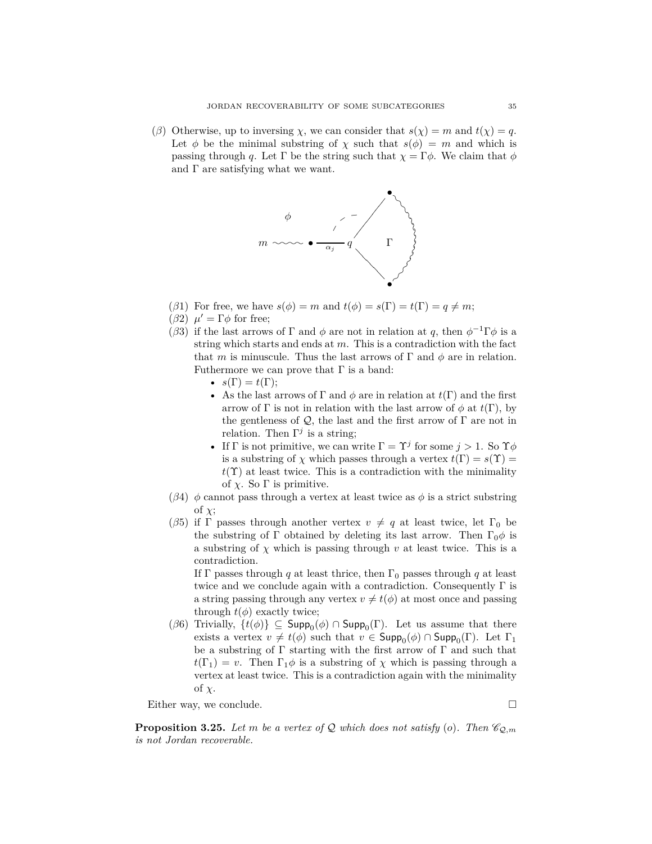(*β*) Otherwise, up to inversing *χ*, we can consider that  $s(\chi) = m$  and  $t(\chi) = q$ . Let  $\phi$  be the minimal substring of  $\chi$  such that  $s(\phi) = m$  and which is passing through *q*. Let  $\Gamma$  be the string such that  $\chi = \Gamma \phi$ . We claim that  $\phi$ and  $\Gamma$  are satisfying what we want.



- (*β*1) For free, we have  $s(\phi) = m$  and  $t(\phi) = s(\Gamma) = t(\Gamma) = q \neq m$ ;
- (*β*2)  $μ' = Γφ$  for free;
- (*β*3) if the last arrows of  $\Gamma$  and  $\phi$  are not in relation at *q*, then  $\phi^{-1}\Gamma\phi$  is a string which starts and ends at *m*. This is a contradiction with the fact that *m* is minuscule. Thus the last arrows of  $\Gamma$  and  $\phi$  are in relation. Futhermore we can prove that  $\Gamma$  is a band:
	- $s(\Gamma) = t(\Gamma);$
	- As the last arrows of  $\Gamma$  and  $\phi$  are in relation at  $t(\Gamma)$  and the first arrow of  $\Gamma$  is not in relation with the last arrow of  $\phi$  at  $t(\Gamma)$ , by the gentleness of  $\mathcal{Q}$ , the last and the first arrow of  $\Gamma$  are not in relation. Then  $\Gamma^j$  is a string;
	- If  $\Gamma$  is not primitive, we can write  $\Gamma = \Upsilon^j$  for some  $j > 1$ . So  $\Upsilon \phi$ is a substring of *χ* which passes through a vertex  $t(\Gamma) = s(\Upsilon)$  $t(\Upsilon)$  at least twice. This is a contradiction with the minimality of  $\chi$ . So  $\Gamma$  is primitive.
- (*β*4)  $\phi$  cannot pass through a vertex at least twice as  $\phi$  is a strict substring of *χ*;
- (*β*5) if Γ passes through another vertex  $v \neq q$  at least twice, let Γ<sub>0</sub> be the substring of Γ obtained by deleting its last arrow. Then  $\Gamma_0 \phi$  is a substring of  $\chi$  which is passing through  $v$  at least twice. This is a contradiction.

If Γ passes through *q* at least thrice, then  $\Gamma_0$  passes through *q* at least twice and we conclude again with a contradiction. Consequently  $\Gamma$  is a string passing through any vertex  $v \neq t(\phi)$  at most once and passing through  $t(\phi)$  exactly twice;

 $(\beta 6)$  Trivially,  $\{t(\phi)\}\subseteq \mathsf{Supp}_0(\phi) \cap \mathsf{Supp}_0(\Gamma)$ . Let us assume that there exists a vertex  $v \neq t(\phi)$  such that  $v \in \mathsf{Supp}_0(\phi) \cap \mathsf{Supp}_0(\Gamma)$ . Let  $\Gamma_1$ be a substring of  $\Gamma$  starting with the first arrow of  $\Gamma$  and such that  $t(\Gamma_1) = v$ . Then  $\Gamma_1 \phi$  is a substring of  $\chi$  which is passing through a vertex at least twice. This is a contradiction again with the minimality of *χ*.

Either way, we conclude.

<span id="page-34-0"></span>**Proposition 3.25.** Let m be a vertex of Q which does not satisfy (*o*). Then  $\mathcal{C}_{Q,m}$ *is not Jordan recoverable.*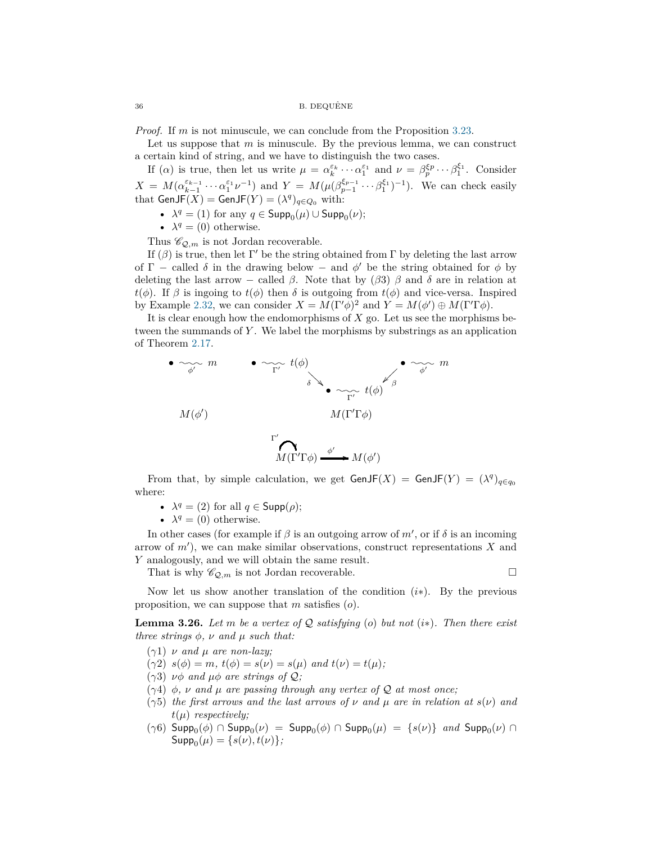*Proof.* If *m* is not minuscule, we can conclude from the Proposition [3.23.](#page-32-0)

Let us suppose that *m* is minuscule. By the previous lemma, we can construct a certain kind of string, and we have to distinguish the two cases.

If (*α*) is true, then let us write  $\mu = \alpha_k^{\varepsilon_k} \cdots \alpha_1^{\varepsilon_1}$  and  $\nu = \beta_p^{\varepsilon_p} \cdots \beta_1^{\varepsilon_1}$ . Consider  $X = M(\alpha_{k-1}^{\varepsilon_{k-1}} \cdots \alpha_1^{\varepsilon_1} \nu^{-1})$  and  $Y = M(\mu(\beta_{p-1}^{\varepsilon_{p-1}} \cdots \beta_1^{\varepsilon_1})^{-1})$ . We can check easily that  $\mathsf{GenJF}(X) = \mathsf{GenJF}(Y) = (\lambda^q)_{q \in Q_0}$  with:

- $\lambda^q = (1)$  for any  $q \in \mathsf{Supp}_0(\mu) \cup \mathsf{Supp}_0(\nu);$
- $\lambda^q = (0)$  otherwise.

Thus  $\mathscr{C}_{\mathcal{Q},m}$  is not Jordan recoverable.

If  $(\beta)$  is true, then let  $\Gamma'$  be the string obtained from  $\Gamma$  by deleting the last arrow of  $\Gamma$  – called  $\delta$  in the drawing below – and  $\phi'$  be the string obtained for  $\phi$  by deleting the last arrow – called *β*. Note that by (*β*3) *β* and *δ* are in relation at *t*(*φ*). If *β* is ingoing to *t*(*φ*) then *δ* is outgoing from *t*(*φ*) and vice-versa. Inspired by Example [2.32,](#page-18-1) we can consider  $X = M(\Gamma' \phi)^2$  and  $Y = M(\phi') \oplus M(\Gamma' \Gamma \phi)$ .

It is clear enough how the endomorphisms of *X* go. Let us see the morphisms between the summands of *Y* . We label the morphisms by substrings as an application of Theorem [2.17.](#page-10-1)



From that, by simple calculation, we get  $\mathsf{GenJF}(X) = \mathsf{GenJF}(Y) = (\lambda^q)_{q \in q_0}$ where:

- $\lambda^q = (2)$  for all  $q \in \mathsf{Supp}(\rho)$ ;
- $\lambda^q = (0)$  otherwise.

In other cases (for example if  $\beta$  is an outgoing arrow of  $m'$ , or if  $\delta$  is an incoming arrow of *m*′ ), we can make similar observations, construct representations *X* and *Y* analogously, and we will obtain the same result.

That is why  $\mathscr{C}_{\mathcal{Q},m}$  is not Jordan recoverable.

Now let us show another translation of the condition (*i*∗). By the previous proposition, we can suppose that *m* satisfies (*o*).

<span id="page-35-0"></span>**Lemma 3.26.** Let m be a vertex of  $Q$  satisfying (o) but not (*i*\*). Then there exist *three strings*  $\phi$ *,*  $\nu$  *and*  $\mu$  *such that:* 

- (*γ*1) *ν and µ are non-lazy;*
- $(\gamma 2)$   $s(\phi) = m$ ,  $t(\phi) = s(\nu) = s(\mu)$  and  $t(\nu) = t(\mu)$ ;
- (*γ*3) *νφ and µφ are strings of* Q*;*
- (*γ*4) *φ, ν and µ are passing through any vertex of* Q *at most once;*
- (*γ*5) *the first arrows and the last arrows of ν and µ are in relation at s*(*ν*) *and t*(*µ*) *respectively;*
- $(γ6)$  Supp<sub>0</sub> $(φ) ∩$  Supp<sub>0</sub> $(ν) =$  Supp<sub>0</sub> $(φ) ∩$  Supp<sub>0</sub> $(μ) = {s(ν)}$  *and* Supp<sub>0</sub> $(ν) ∩$  $\mathsf{Supp}_0(\mu) = \{s(\nu), t(\nu)\};$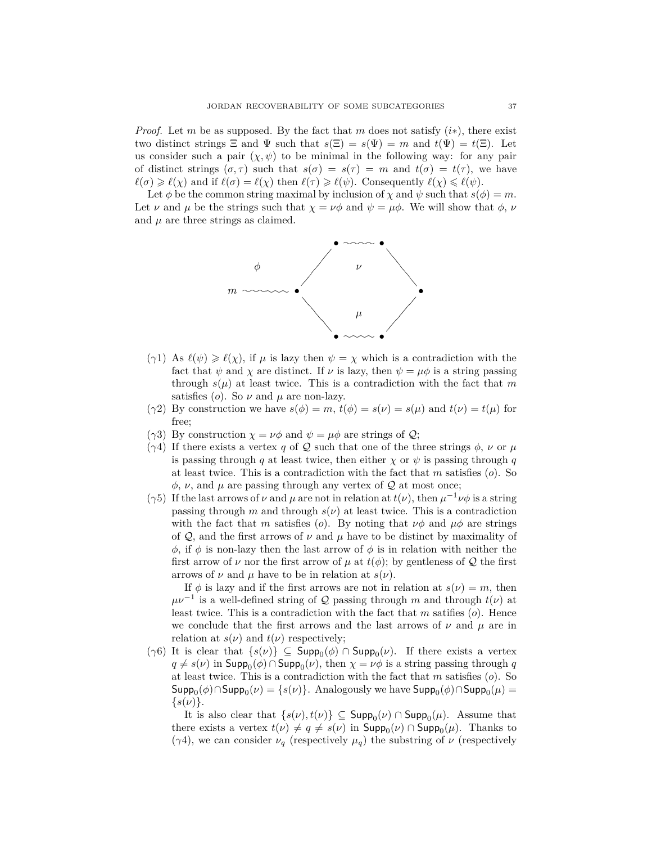*Proof.* Let *m* be as supposed. By the fact that *m* does not satisfy (*i*∗), there exist two distinct strings  $\Xi$  and  $\Psi$  such that  $s(\Xi) = s(\Psi) = m$  and  $t(\Psi) = t(\Xi)$ . Let us consider such a pair  $(\chi, \psi)$  to be minimal in the following way: for any pair of distinct strings  $(\sigma, \tau)$  such that  $s(\sigma) = s(\tau) = m$  and  $t(\sigma) = t(\tau)$ , we have  $\ell(\sigma) \geq \ell(\chi)$  and if  $\ell(\sigma) = \ell(\chi)$  then  $\ell(\tau) \geq \ell(\psi)$ . Consequently  $\ell(\chi) \leq \ell(\psi)$ .

Let  $\phi$  be the common string maximal by inclusion of  $\chi$  and  $\psi$  such that  $s(\phi) = m$ . Let *ν* and  $\mu$  be the strings such that  $\chi = \nu \phi$  and  $\psi = \mu \phi$ . We will show that  $\phi$ , *ν* and  $\mu$  are three strings as claimed.



- (*γ*1) As  $\ell(\psi) \geq \ell(\chi)$ , if  $\mu$  is lazy then  $\psi = \chi$  which is a contradiction with the fact that  $\psi$  and  $\chi$  are distinct. If  $\nu$  is lazy, then  $\psi = \mu \phi$  is a string passing through  $s(\mu)$  at least twice. This is a contradiction with the fact that m satisfies (*o*). So  $\nu$  and  $\mu$  are non-lazy.
- (*γ*2) By construction we have  $s(\phi) = m$ ,  $t(\phi) = s(\nu) = s(\mu)$  and  $t(\nu) = t(\mu)$  for free;
- ( $\gamma$ 3) By construction  $\chi = \nu \phi$  and  $\psi = \mu \phi$  are strings of  $\mathcal{Q}$ ;
- ( $\gamma$ 4) If there exists a vertex *q* of Q such that one of the three strings  $\phi$ , *ν* or *µ* is passing through *q* at least twice, then either  $\chi$  or  $\psi$  is passing through *q* at least twice. This is a contradiction with the fact that *m* satisfies (*o*). So  $\phi$ ,  $\nu$ , and  $\mu$  are passing through any vertex of  $\mathcal Q$  at most once;
- ( $\gamma$ 5) If the last arrows of  $\nu$  and  $\mu$  are not in relation at  $t(\nu)$ , then  $\mu^{-1}\nu\phi$  is a string passing through  $m$  and through  $s(\nu)$  at least twice. This is a contradiction with the fact that *m* satisfies (*o*). By noting that  $\nu\phi$  and  $\mu\phi$  are strings of Q, and the first arrows of  $\nu$  and  $\mu$  have to be distinct by maximality of *φ*, if *φ* is non-lazy then the last arrow of *φ* is in relation with neither the first arrow of  $\nu$  nor the first arrow of  $\mu$  at  $t(\phi)$ ; by gentleness of  $\mathcal Q$  the first arrows of  $\nu$  and  $\mu$  have to be in relation at  $s(\nu)$ .

If  $\phi$  is lazy and if the first arrows are not in relation at  $s(\nu) = m$ , then  $\mu\nu^{-1}$  is a well-defined string of Q passing through *m* and through  $t(\nu)$  at least twice. This is a contradiction with the fact that *m* satifies (*o*). Hence we conclude that the first arrows and the last arrows of  $\nu$  and  $\mu$  are in relation at  $s(\nu)$  and  $t(\nu)$  respectively;

 $(\gamma 6)$  It is clear that  $\{s(\nu)\}\subseteq \mathsf{Supp}_0(\phi) \cap \mathsf{Supp}_0(\nu)$ . If there exists a vertex  $q \neq s(\nu)$  in  $\mathsf{Supp}_0(\phi) \cap \mathsf{Supp}_0(\nu)$ , then  $\chi = \nu \phi$  is a string passing through  $q$ at least twice. This is a contradiction with the fact that *m* satisfies (*o*). So  $\mathsf{Supp}_0(\phi) \cap \mathsf{Supp}_0(\nu) = \{s(\nu)\}.$  Analogously we have  $\mathsf{Supp}_0(\phi) \cap \mathsf{Supp}_0(\mu) = \emptyset$  $\{s(\nu)\}.$ 

It is also clear that  $\{s(\nu), t(\nu)\} \subseteq \mathsf{Supp}_0(\nu) \cap \mathsf{Supp}_0(\mu)$ . Assume that there exists a vertex  $t(\nu) \neq q \neq s(\nu)$  in  $\mathsf{Supp}_0(\nu) \cap \mathsf{Supp}_0(\mu)$ . Thanks to ( $\gamma$ 4), we can consider  $\nu_q$  (respectively  $\mu_q$ ) the substring of  $\nu$  (respectively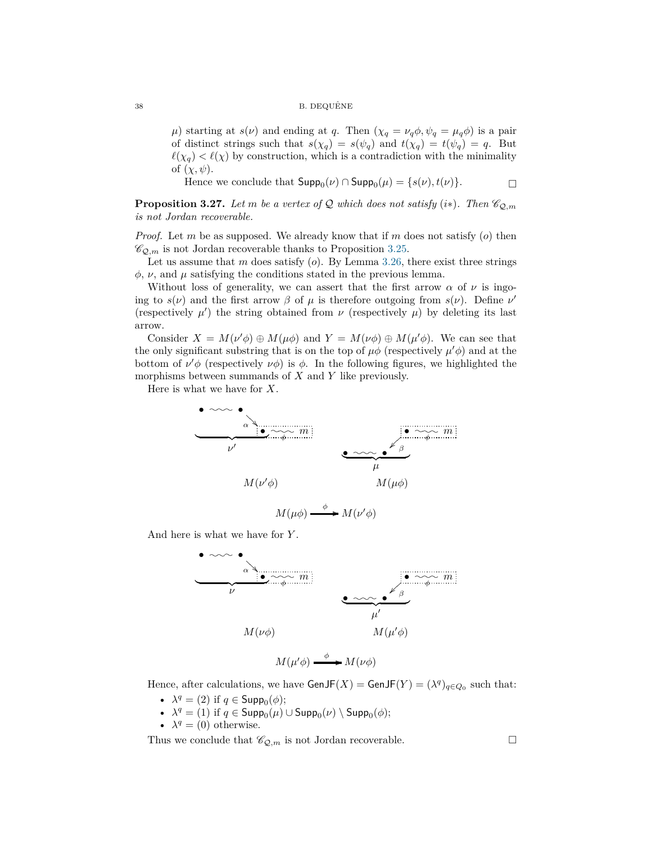#### B. DEQUÊNE

*µ*) starting at *s*(*v*) and ending at *q*. Then  $(\chi_q = \nu_q \phi, \psi_q = \mu_q \phi)$  is a pair of distinct strings such that  $s(\chi_q) = s(\psi_q)$  and  $t(\chi_q) = t(\psi_q) = q$ . But  $\ell(\chi_q) < \ell(\chi)$  by construction, which is a contradiction with the minimality of  $(\chi, \psi)$ .

Hence we conclude that  $\mathsf{Supp}_0(\nu) \cap \mathsf{Supp}_0(\mu) = \{s(\nu), t(\nu)\}.$ 

<span id="page-37-0"></span>**Proposition 3.27.** *Let m be a vertex of*  $Q$  *which does not satisfy* (*i*\*)*. Then*  $\mathcal{C}_{Q,m}$ *is not Jordan recoverable.*

*Proof.* Let *m* be as supposed. We already know that if *m* does not satisfy (*o*) then  $\mathscr{C}_{\mathcal{Q},m}$  is not Jordan recoverable thanks to Proposition [3.25.](#page-34-0)

Let us assume that *m* does satisfy (*o*). By Lemma [3.26,](#page-35-0) there exist three strings  $\phi$ ,  $\nu$ , and  $\mu$  satisfying the conditions stated in the previous lemma.

Without loss of generality, we can assert that the first arrow  $\alpha$  of  $\nu$  is ingoing to  $s(\nu)$  and the first arrow  $\beta$  of  $\mu$  is therefore outgoing from  $s(\nu)$ . Define  $\nu'$ (respectively  $\mu'$ ) the string obtained from  $\nu$  (respectively  $\mu$ ) by deleting its last arrow.

Consider  $X = M(\nu' \phi) \oplus M(\mu \phi)$  and  $Y = M(\nu \phi) \oplus M(\mu' \phi)$ . We can see that the only significant substring that is on the top of  $\mu \phi$  (respectively  $\mu' \phi$ ) and at the bottom of  $\nu'$  (respectively  $\nu \phi$ ) is  $\phi$ . In the following figures, we highlighted the morphisms between summands of *X* and *Y* like previously.

Here is what we have for *X*.



$$
M(\mu\phi) \xrightarrow{\phi} M(\nu'\phi)
$$

And here is what we have for *Y* .



Hence, after calculations, we have  $\textsf{GenJF}(X) = \textsf{GenJF}(Y) = (\lambda^q)_{q \in Q_0}$  such that:

- $\lambda^q = (2)$  if  $q \in \mathsf{Supp}_0(\phi)$ ;
- $\lambda^q = (1)$  if  $q \in \mathsf{Supp}_0(\mu) \cup \mathsf{Supp}_0(\nu) \setminus \mathsf{Supp}_0(\phi);$
- $\lambda^q = (0)$  otherwise.

Thus we conclude that  $\mathscr{C}_{\mathcal{Q},m}$  is not Jordan recoverable.

$$
38 \\
$$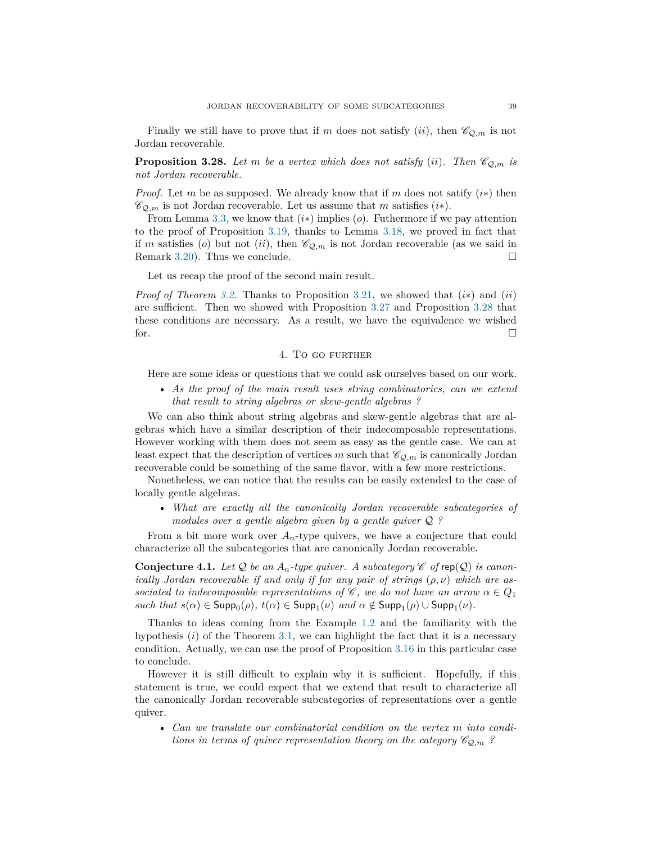Finally we still have to prove that if *m* does not satisfy (*ii*), then  $\mathcal{C}_{Q,m}$  is not Jordan recoverable.

<span id="page-38-1"></span>**Proposition 3.28.** Let *m* be a vertex which does not satisfy (*ii*). Then  $\mathcal{C}_{Q,m}$  is *not Jordan recoverable.*

*Proof.* Let *m* be as supposed. We already know that if *m* does not satify  $(i*)$  then  $\mathscr{C}_{\mathcal{Q},m}$  is not Jordan recoverable. Let us assume that *m* satisfies (*i*\*).

From Lemma [3.3,](#page-19-4) we know that (*i*∗) implies (*o*). Futhermore if we pay attention to the proof of Proposition [3.19,](#page-29-0) thanks to Lemma [3.18,](#page-28-0) we proved in fact that if *m* satisfies (*o*) but not (*ii*), then  $\mathcal{C}_{\mathcal{Q},m}$  is not Jordan recoverable (as we said in Remark [3.20\)](#page-30-1). Thus we conclude.  $\square$ 

Let us recap the proof of the second main result.

*Proof of Theorem [3.2.](#page-19-5)* Thanks to Proposition [3.21,](#page-30-2) we showed that (*i*∗) and (*ii*) are sufficient. Then we showed with Proposition [3.27](#page-37-0) and Proposition [3.28](#page-38-1) that these conditions are necessary. As a result, we have the equivalence we wished for.

# 4. To go further

<span id="page-38-0"></span>Here are some ideas or questions that we could ask ourselves based on our work.

• *As the proof of the main result uses string combinatorics, can we extend that result to string algebras or skew-gentle algebras ?*

We can also think about string algebras and skew-gentle algebras that are algebras which have a similar description of their indecomposable representations. However working with them does not seem as easy as the gentle case. We can at least expect that the description of vertices *m* such that  $\mathcal{C}_{Q,m}$  is canonically Jordan recoverable could be something of the same flavor, with a few more restrictions.

Nonetheless, we can notice that the results can be easily extended to the case of locally gentle algebras.

• *What are exactly all the canonically Jordan recoverable subcategories of modules over a gentle algebra given by a gentle quiver* Q *?*

From a bit more work over  $A_n$ -type quivers, we have a conjecture that could characterize all the subcategories that are canonically Jordan recoverable.

<span id="page-38-2"></span>**Conjecture 4.1.** Let  $\mathcal Q$  be an  $A_n$ -type quiver. A subcategory  $\mathscr C$  of rep( $\mathcal Q$ ) is canon*ically Jordan recoverable if and only if for any pair of strings* (*ρ, ν*) *which are associated to indecomposable representations of*  $\mathscr{C}$ *, we do not have an arrow*  $\alpha \in Q_1$  $such that s(\alpha) \in \mathsf{Supp}_{0}(\rho), t(\alpha) \in \mathsf{Supp}_{1}(\nu) \text{ and } \alpha \notin \mathsf{Supp}_{1}(\rho) \cup \mathsf{Supp}_{1}(\nu).$ 

Thanks to ideas coming from the Example [1.2](#page-2-0) and the familiarity with the hypothesis (*i*) of the Theorem [3.1,](#page-19-2) we can highlight the fact that it is a necessary condition. Actually, we can use the proof of Proposition [3.16](#page-27-0) in this particular case to conclude.

However it is still difficult to explain why it is sufficient. Hopefully, if this statement is true, we could expect that we extend that result to characterize all the canonically Jordan recoverable subcategories of representations over a gentle quiver.

• *Can we translate our combinatorial condition on the vertex m into conditions in terms of quiver representation theory on the category*  $\mathcal{C}_{Q,m}$ ?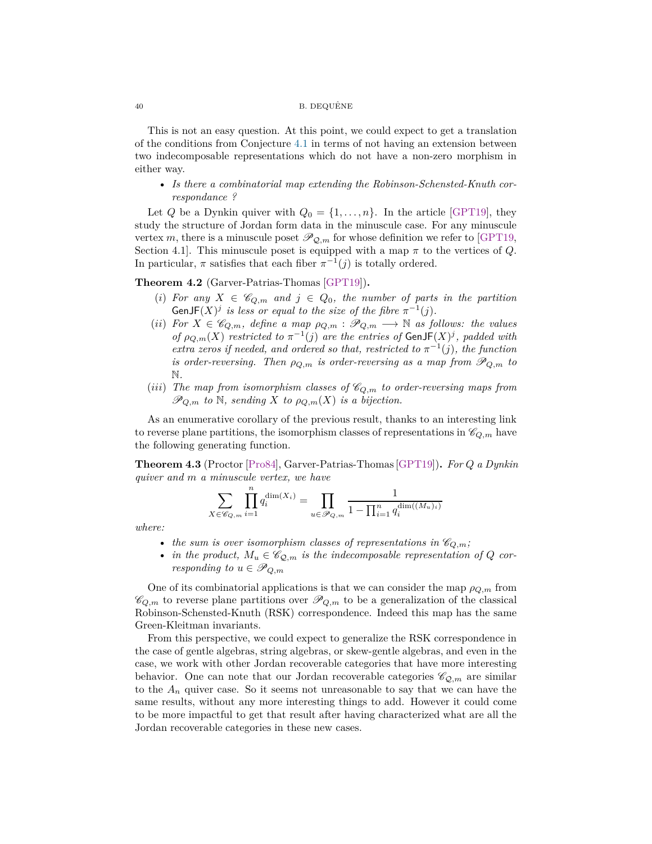#### $40$  B. DEQUÊNE

This is not an easy question. At this point, we could expect to get a translation of the conditions from Conjecture [4.1](#page-38-2) in terms of not having an extension between two indecomposable representations which do not have a non-zero morphism in either way.

• *Is there a combinatorial map extending the Robinson-Schensted-Knuth correspondance ?*

Let *Q* be a Dynkin quiver with  $Q_0 = \{1, \ldots, n\}$ . In the article [\[GPT19\]](#page-40-10), they study the structure of Jordan form data in the minuscule case. For any minuscule vertex *m*, there is a minuscule poset  $\mathscr{P}_{\mathcal{Q},m}$  for whose definition we refer to [\[GPT19,](#page-40-10) Section 4.1]. This minuscule poset is equipped with a map  $\pi$  to the vertices of  $Q$ . In particular,  $\pi$  satisfies that each fiber  $\pi^{-1}(j)$  is totally ordered.

# **Theorem 4.2** (Garver-Patrias-Thomas [\[GPT19\]](#page-40-10))**.**

- (*i*) For any  $X \in \mathscr{C}_{Q,m}$  and  $j \in Q_0$ , the number of parts in the partition GenJF $(X)^j$  is less or equal to the size of the fibre  $\pi^{-1}(j)$ .
- (*ii*) *For*  $X \in \mathscr{C}_{Q,m}$ *, define a map*  $\rho_{Q,m} : \mathscr{P}_{Q,m} \longrightarrow \mathbb{N}$  *as follows: the values of*  $\rho_{Q,m}(X)$  *restricted to*  $\pi^{-1}(j)$  *are the entries of* GenJF $(X)^j$ , *padded with extra zeros if needed, and ordered so that, restricted to*  $\pi^{-1}(j)$ *, the function is order-reversing. Then*  $\rho_{Q,m}$  *is order-reversing as a map from*  $\mathscr{P}_{Q,m}$  *to* N*.*
- (*iii*) The map from isomorphism classes of  $\mathcal{C}_{Q,m}$  to order-reversing maps from  $\mathscr{P}_{Q,m}$  *to*  $\mathbb{N}$ *, sending X to*  $\rho_{Q,m}(X)$  *is a bijection.*

As an enumerative corollary of the previous result, thanks to an interesting link to reverse plane partitions, the isomorphism classes of representations in  $\mathcal{C}_{Q,m}$  have the following generating function.

**Theorem 4.3** (Proctor [\[Pro84\]](#page-40-16), Garver-Patrias-Thomas [\[GPT19\]](#page-40-10))**.** *For Q a Dynkin quiver and m a minuscule vertex, we have*

$$
\sum_{X \in \mathscr{C}_{Q,m}} \prod_{i=1}^{n} q_i^{\dim(X_i)} = \prod_{u \in \mathscr{P}_{Q,m}} \frac{1}{1 - \prod_{i=1}^{n} q_i^{\dim((M_u)_i)}}
$$

*where:*

- the sum is over isomorphism classes of representations in  $\mathcal{C}_{Q,m}$ ;
- *in the product,*  $M_u \in \mathcal{C}_{\mathcal{Q},m}$  *is the indecomposable representation of Q corresponding to*  $u \in \mathscr{P}_{Q,m}$

One of its combinatorial applications is that we can consider the map  $\rho_{Q,m}$  from  $\mathscr{C}_{Q,m}$  to reverse plane partitions over  $\mathscr{P}_{Q,m}$  to be a generalization of the classical Robinson-Schensted-Knuth (RSK) correspondence. Indeed this map has the same Green-Kleitman invariants.

From this perspective, we could expect to generalize the RSK correspondence in the case of gentle algebras, string algebras, or skew-gentle algebras, and even in the case, we work with other Jordan recoverable categories that have more interesting behavior. One can note that our Jordan recoverable categories  $\mathscr{C}_{\mathcal{Q},m}$  are similar to the  $A_n$  quiver case. So it seems not unreasonable to say that we can have the same results, without any more interesting things to add. However it could come to be more impactful to get that result after having characterized what are all the Jordan recoverable categories in these new cases.